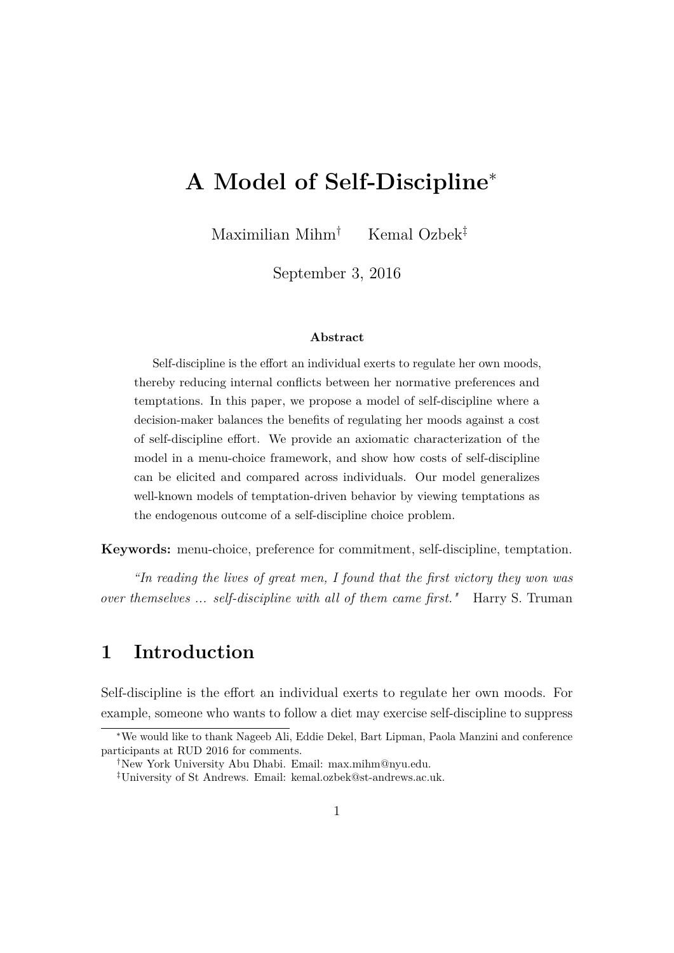# **A Model of Self-Discipline**<sup>∗</sup>

Maximilian Mihm† Kemal Ozbek‡

September 3, 2016

#### **Abstract**

Self-discipline is the effort an individual exerts to regulate her own moods, thereby reducing internal conflicts between her normative preferences and temptations. In this paper, we propose a model of self-discipline where a decision-maker balances the benefits of regulating her moods against a cost of self-discipline effort. We provide an axiomatic characterization of the model in a menu-choice framework, and show how costs of self-discipline can be elicited and compared across individuals. Our model generalizes well-known models of temptation-driven behavior by viewing temptations as the endogenous outcome of a self-discipline choice problem.

**Keywords:** menu-choice, preference for commitment, self-discipline, temptation.

*"In reading the lives of great men, I found that the first victory they won was over themselves ... self-discipline with all of them came first."* Harry S. Truman

## **1 Introduction**

Self-discipline is the effort an individual exerts to regulate her own moods. For example, someone who wants to follow a diet may exercise self-discipline to suppress

<sup>∗</sup>We would like to thank Nageeb Ali, Eddie Dekel, Bart Lipman, Paola Manzini and conference participants at RUD 2016 for comments.

<sup>†</sup>New York University Abu Dhabi. Email: max.mihm@nyu.edu.

<sup>‡</sup>University of St Andrews. Email: kemal.ozbek@st-andrews.ac.uk.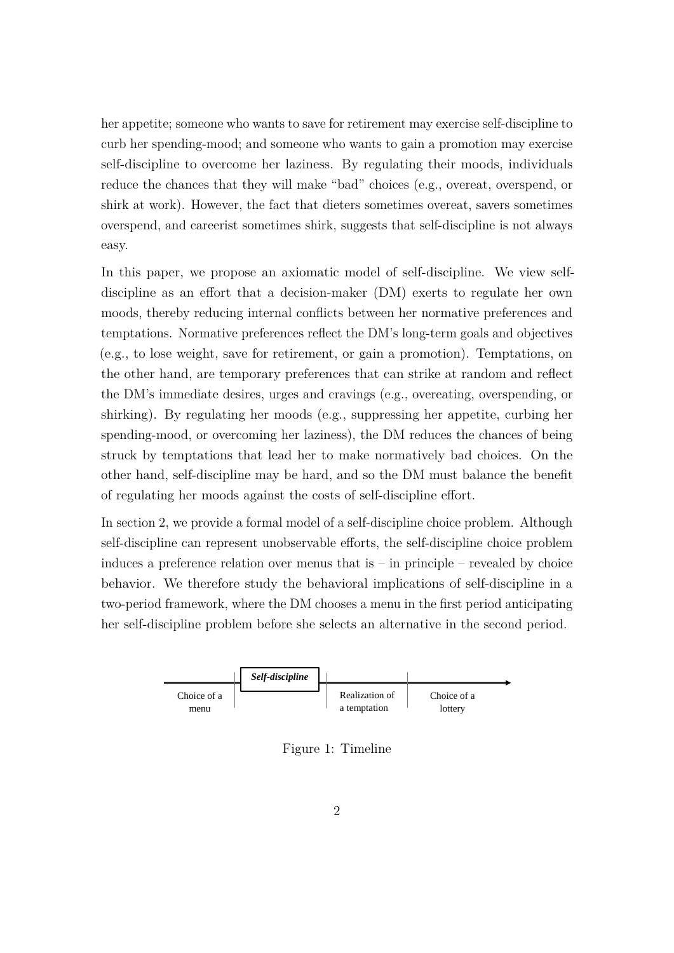her appetite; someone who wants to save for retirement may exercise self-discipline to curb her spending-mood; and someone who wants to gain a promotion may exercise self-discipline to overcome her laziness. By regulating their moods, individuals reduce the chances that they will make "bad" choices (e.g., overeat, overspend, or shirk at work). However, the fact that dieters sometimes overeat, savers sometimes overspend, and careerist sometimes shirk, suggests that self-discipline is not always easy.

In this paper, we propose an axiomatic model of self-discipline. We view selfdiscipline as an effort that a decision-maker (DM) exerts to regulate her own moods, thereby reducing internal conflicts between her normative preferences and temptations. Normative preferences reflect the DM's long-term goals and objectives (e.g., to lose weight, save for retirement, or gain a promotion). Temptations, on the other hand, are temporary preferences that can strike at random and reflect the DM's immediate desires, urges and cravings (e.g., overeating, overspending, or shirking). By regulating her moods (e.g., suppressing her appetite, curbing her spending-mood, or overcoming her laziness), the DM reduces the chances of being struck by temptations that lead her to make normatively bad choices. On the other hand, self-discipline may be hard, and so the DM must balance the benefit of regulating her moods against the costs of self-discipline effort.

In section 2, we provide a formal model of a self-discipline choice problem. Although self-discipline can represent unobservable efforts, the self-discipline choice problem induces a preference relation over menus that is – in principle – revealed by choice behavior. We therefore study the behavioral implications of self-discipline in a two-period framework, where the DM chooses a menu in the first period anticipating her self-discipline problem before she selects an alternative in the second period.



Figure 1: Timeline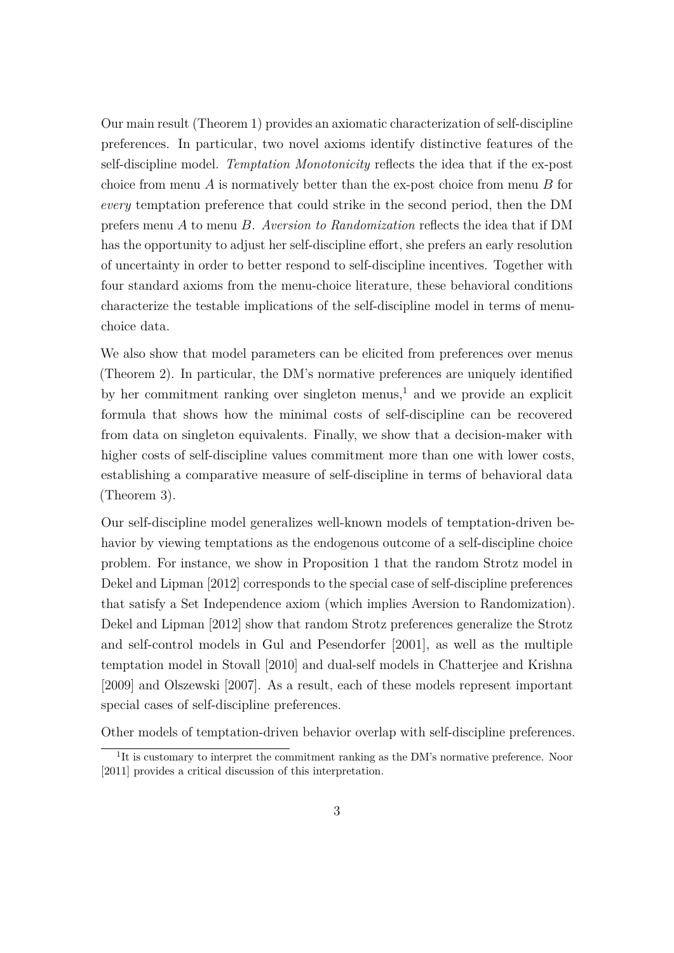Our main result (Theorem [1\)](#page-13-0) provides an axiomatic characterization of self-discipline preferences. In particular, two novel axioms identify distinctive features of the self-discipline model. *Temptation Monotonicity* reflects the idea that if the ex-post choice from menu *A* is normatively better than the ex-post choice from menu *B* for *every* temptation preference that could strike in the second period, then the DM prefers menu *A* to menu *B*. *Aversion to Randomization* reflects the idea that if DM has the opportunity to adjust her self-discipline effort, she prefers an early resolution of uncertainty in order to better respond to self-discipline incentives. Together with four standard axioms from the menu-choice literature, these behavioral conditions characterize the testable implications of the self-discipline model in terms of menuchoice data.

We also show that model parameters can be elicited from preferences over menus (Theorem [2\)](#page-16-0). In particular, the DM's normative preferences are uniquely identified by her commitment ranking over singleton menus, $<sup>1</sup>$  $<sup>1</sup>$  $<sup>1</sup>$  and we provide an explicit</sup> formula that shows how the minimal costs of self-discipline can be recovered from data on singleton equivalents. Finally, we show that a decision-maker with higher costs of self-discipline values commitment more than one with lower costs, establishing a comparative measure of self-discipline in terms of behavioral data (Theorem [3\)](#page-19-0).

Our self-discipline model generalizes well-known models of temptation-driven behavior by viewing temptations as the endogenous outcome of a self-discipline choice problem. For instance, we show in Proposition [1](#page-15-0) that the random Strotz model in [Dekel and Lipman](#page-23-0) [\[2012\]](#page-23-0) corresponds to the special case of self-discipline preferences that satisfy a Set Independence axiom (which implies Aversion to Randomization). [Dekel and Lipman](#page-23-0) [\[2012\]](#page-23-0) show that random Strotz preferences generalize the Strotz and self-control models in [Gul and Pesendorfer](#page-24-0) [\[2001\]](#page-24-0), as well as the multiple temptation model in [Stovall](#page-25-0) [\[2010\]](#page-25-0) and dual-self models in [Chatterjee and Krishna](#page-23-1) [\[2009\]](#page-23-1) and [Olszewski](#page-25-1) [\[2007\]](#page-25-1). As a result, each of these models represent important special cases of self-discipline preferences.

Other models of temptation-driven behavior overlap with self-discipline preferences.

<span id="page-2-0"></span><sup>&</sup>lt;sup>1</sup>It is customary to interpret the commitment ranking as the DM's normative preference. [Noor](#page-24-1) [\[2011\]](#page-24-1) provides a critical discussion of this interpretation.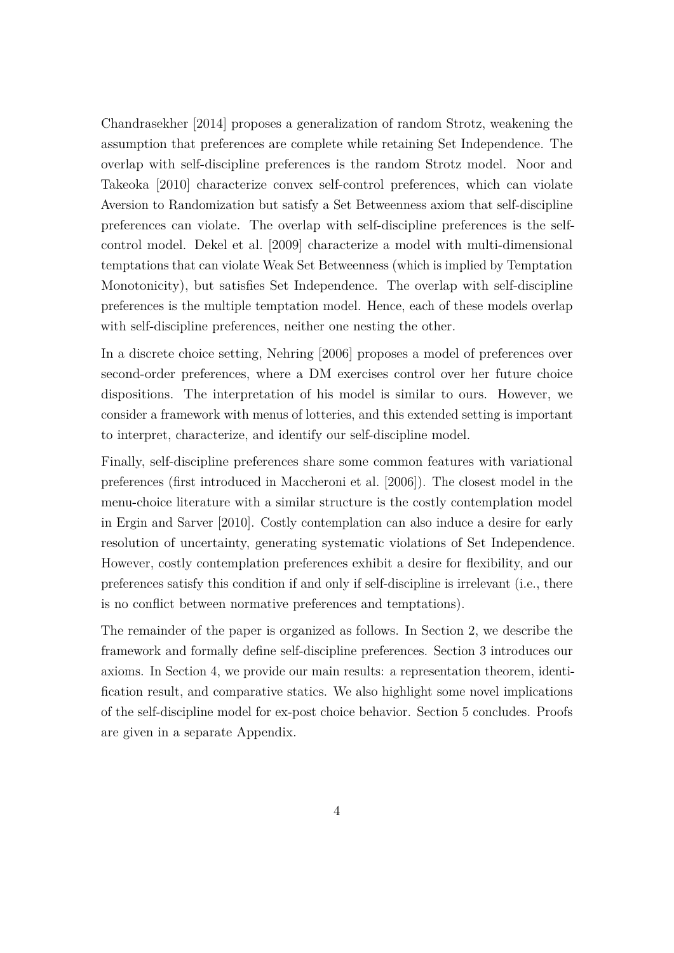[Chandrasekher](#page-23-2) [\[2014\]](#page-23-2) proposes a generalization of random Strotz, weakening the assumption that preferences are complete while retaining Set Independence. The overlap with self-discipline preferences is the random Strotz model. [Noor and](#page-24-2) [Takeoka](#page-24-2) [\[2010\]](#page-24-2) characterize convex self-control preferences, which can violate Aversion to Randomization but satisfy a Set Betweenness axiom that self-discipline preferences can violate. The overlap with self-discipline preferences is the selfcontrol model. [Dekel et al.](#page-23-3) [\[2009\]](#page-23-3) characterize a model with multi-dimensional temptations that can violate Weak Set Betweenness (which is implied by Temptation Monotonicity), but satisfies Set Independence. The overlap with self-discipline preferences is the multiple temptation model. Hence, each of these models overlap with self-discipline preferences, neither one nesting the other.

In a discrete choice setting, [Nehring](#page-24-3) [\[2006\]](#page-24-3) proposes a model of preferences over second-order preferences, where a DM exercises control over her future choice dispositions. The interpretation of his model is similar to ours. However, we consider a framework with menus of lotteries, and this extended setting is important to interpret, characterize, and identify our self-discipline model.

Finally, self-discipline preferences share some common features with variational preferences (first introduced in [Maccheroni et al.](#page-24-4) [\[2006\]](#page-24-4)). The closest model in the menu-choice literature with a similar structure is the costly contemplation model in [Ergin and Sarver](#page-23-4) [\[2010\]](#page-23-4). Costly contemplation can also induce a desire for early resolution of uncertainty, generating systematic violations of Set Independence. However, costly contemplation preferences exhibit a desire for flexibility, and our preferences satisfy this condition if and only if self-discipline is irrelevant (i.e., there is no conflict between normative preferences and temptations).

The remainder of the paper is organized as follows. In Section [2,](#page-4-0) we describe the framework and formally define self-discipline preferences. Section [3](#page-9-0) introduces our axioms. In Section [4,](#page-13-1) we provide our main results: a representation theorem, identification result, and comparative statics. We also highlight some novel implications of the self-discipline model for ex-post choice behavior. Section [5](#page-22-0) concludes. Proofs are given in a separate Appendix.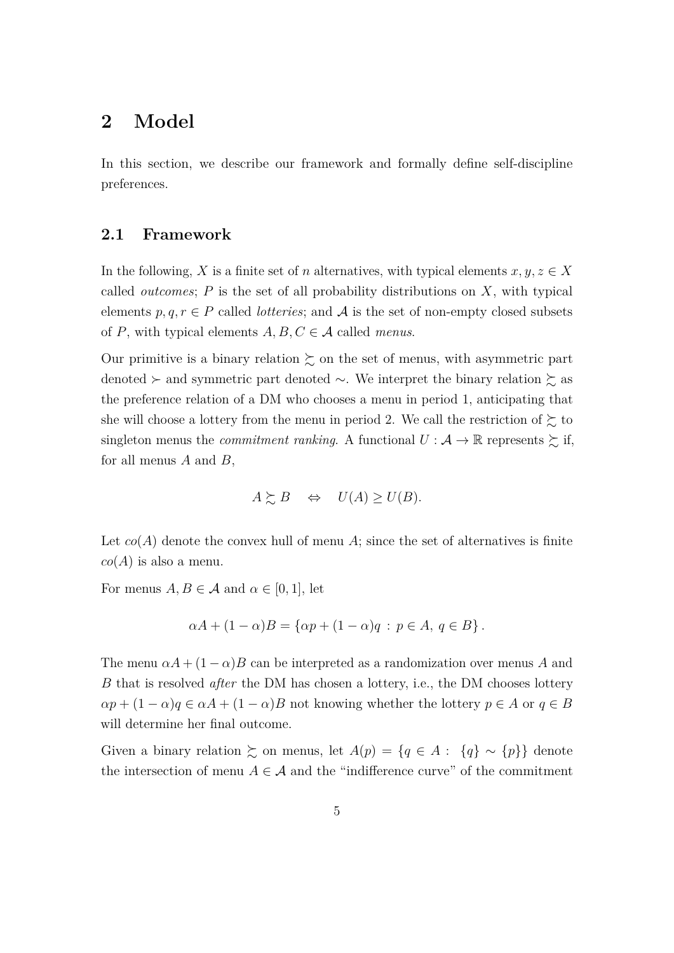## <span id="page-4-0"></span>**2 Model**

In this section, we describe our framework and formally define self-discipline preferences.

### **2.1 Framework**

In the following, *X* is a finite set of *n* alternatives, with typical elements  $x, y, z \in X$ called *outcomes*; *P* is the set of all probability distributions on *X*, with typical elements  $p, q, r \in P$  called *lotteries*; and A is the set of non-empty closed subsets of *P*, with typical elements  $A, B, C \in \mathcal{A}$  called *menus*.

Our primitive is a binary relation  $\succsim$  on the set of menus, with asymmetric part denoted  $\succ$  and symmetric part denoted  $\sim$ . We interpret the binary relation  $\succsim$  as the preference relation of a DM who chooses a menu in period 1, anticipating that she will choose a lottery from the menu in period 2. We call the restriction of  $\succsim$  to singleton menus the *commitment ranking*. A functional  $U : \mathcal{A} \to \mathbb{R}$  represents  $\succsim$  if, for all menus *A* and *B*,

$$
A \succeq B \Leftrightarrow U(A) \ge U(B).
$$

Let  $co(A)$  denote the convex hull of menu A; since the set of alternatives is finite  $co(A)$  is also a menu.

For menus  $A, B \in \mathcal{A}$  and  $\alpha \in [0, 1]$ , let

$$
\alpha A + (1 - \alpha)B = \{ \alpha p + (1 - \alpha)q : p \in A, q \in B \}.
$$

The menu  $\alpha A + (1 - \alpha)B$  can be interpreted as a randomization over menus *A* and *B* that is resolved *after* the DM has chosen a lottery, i.e., the DM chooses lottery  $\alpha p + (1 - \alpha)q \in \alpha A + (1 - \alpha)B$  not knowing whether the lottery  $p \in A$  or  $q \in B$ will determine her final outcome.

Given a binary relation  $\succsim$  on menus, let  $A(p) = \{q \in A : \{q\} \sim \{p\}\}\$  denote the intersection of menu  $A \in \mathcal{A}$  and the "indifference curve" of the commitment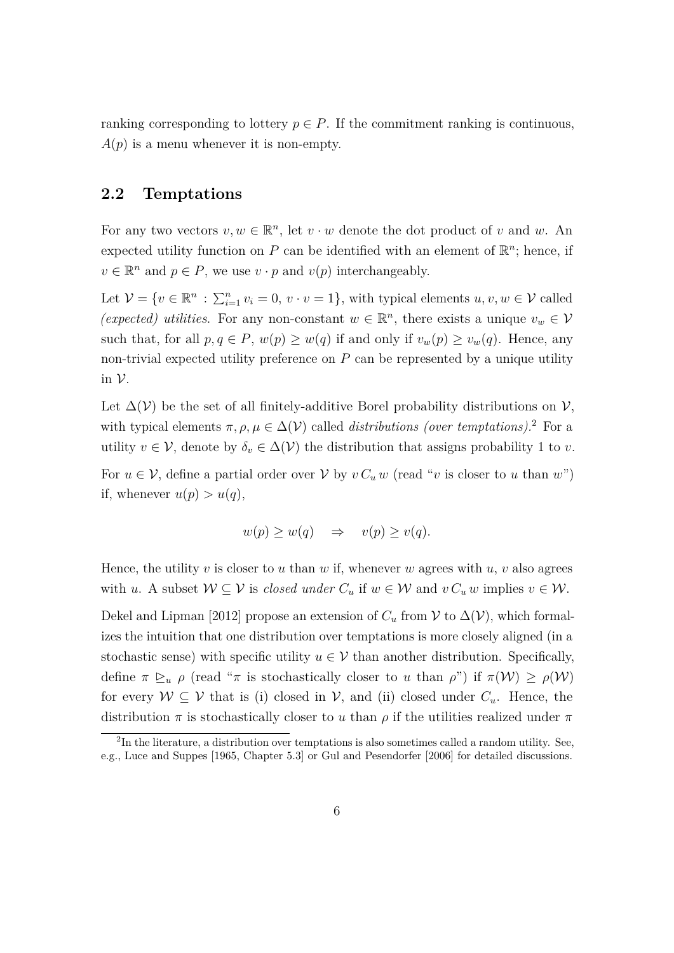ranking corresponding to lottery  $p \in P$ . If the commitment ranking is continuous,  $A(p)$  is a menu whenever it is non-empty.

## **2.2 Temptations**

For any two vectors  $v, w \in \mathbb{R}^n$ , let  $v \cdot w$  denote the dot product of *v* and *w*. An expected utility function on  $P$  can be identified with an element of  $\mathbb{R}^n$ ; hence, if  $v \in \mathbb{R}^n$  and  $p \in P$ , we use  $v \cdot p$  and  $v(p)$  interchangeably.

Let  $V = \{v \in \mathbb{R}^n : \sum_{i=1}^n v_i = 0, v \cdot v = 1\}$ , with typical elements  $u, v, w \in V$  called (expected) utilities. For any non-constant  $w \in \mathbb{R}^n$ , there exists a unique  $v_w \in V$ such that, for all  $p, q \in P$ ,  $w(p) \geq w(q)$  if and only if  $v_w(p) \geq v_w(q)$ . Hence, any non-trivial expected utility preference on *P* can be represented by a unique utility in  $\mathcal V$ .

Let  $\Delta(V)$  be the set of all finitely-additive Borel probability distributions on V, with typical elements  $\pi$ ,  $\rho$ ,  $\mu \in \Delta(V)$  called *distributions (over temptations)*.<sup>[2](#page-5-0)</sup> For a utility  $v \in V$ , denote by  $\delta_v \in \Delta(V)$  the distribution that assigns probability 1 to *v*.

For  $u \in V$ , define a partial order over V by  $v C_u w$  (read "v is closer to u than w") if, whenever  $u(p) > u(q)$ ,

$$
w(p) \ge w(q) \quad \Rightarrow \quad v(p) \ge v(q).
$$

Hence, the utility *v* is closer to *u* than *w* if, whenever *w* agrees with *u*, *v* also agrees with *u*. A subset  $W \subseteq V$  is *closed under*  $C_u$  if  $w \in W$  and  $v C_u w$  implies  $v \in W$ .

[Dekel and Lipman](#page-23-0) [\[2012\]](#page-23-0) propose an extension of  $C_u$  from  $\mathcal V$  to  $\Delta(\mathcal V)$ , which formalizes the intuition that one distribution over temptations is more closely aligned (in a stochastic sense) with specific utility  $u \in V$  than another distribution. Specifically, define  $\pi \geq_u \rho$  (read " $\pi$  is stochastically closer to *u* than  $\rho$ ") if  $\pi(\mathcal{W}) \geq \rho(\mathcal{W})$ for every  $W \subseteq V$  that is (i) closed in  $V$ , and (ii) closed under  $C_u$ . Hence, the distribution  $\pi$  is stochastically closer to *u* than  $\rho$  if the utilities realized under  $\pi$ 

<span id="page-5-0"></span> ${}^{2}$ In the literature, a distribution over temptations is also sometimes called a random utility. See, e.g., [Luce and Suppes](#page-24-5) [\[1965,](#page-24-5) Chapter 5.3] or [Gul and Pesendorfer](#page-24-6) [\[2006\]](#page-24-6) for detailed discussions.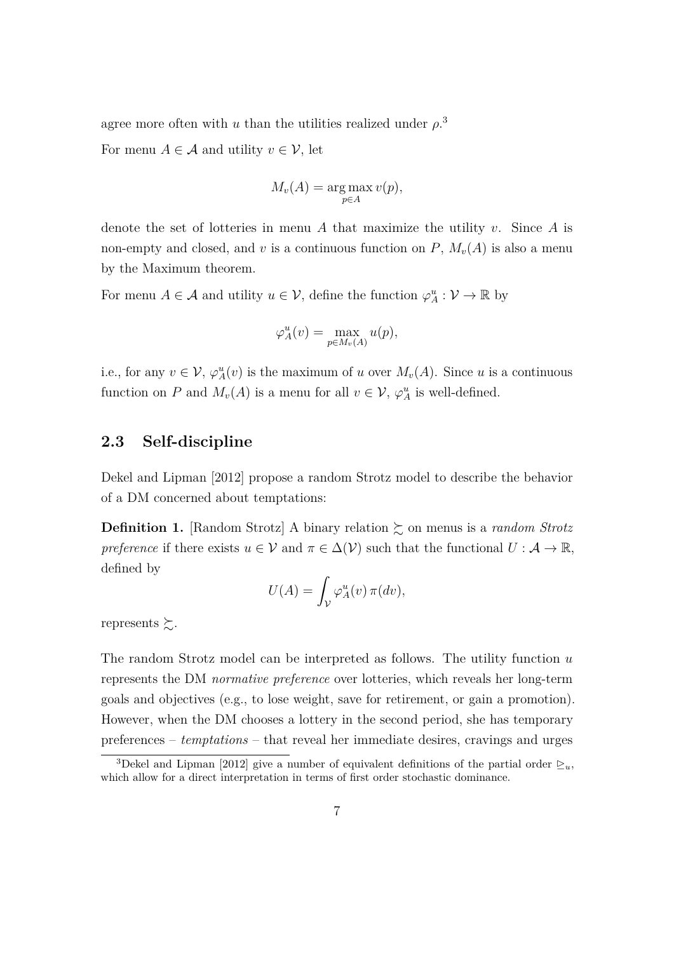agree more often with *u* than the utilities realized under  $\rho$ <sup>[3](#page-6-0)</sup>

For menu  $A \in \mathcal{A}$  and utility  $v \in \mathcal{V}$ , let

$$
M_v(A) = \underset{p \in A}{\text{arg max}} v(p),
$$

denote the set of lotteries in menu *A* that maximize the utility *v*. Since *A* is non-empty and closed, and *v* is a continuous function on  $P$ ,  $M_v(A)$  is also a menu by the Maximum theorem.

For menu  $A \in \mathcal{A}$  and utility  $u \in \mathcal{V}$ , define the function  $\varphi_A^u : \mathcal{V} \to \mathbb{R}$  by

$$
\varphi_A^u(v) = \max_{p \in M_v(A)} u(p),
$$

i.e., for any  $v \in V$ ,  $\varphi_A^u(v)$  is the maximum of *u* over  $M_v(A)$ . Since *u* is a continuous function on *P* and  $M_v(A)$  is a menu for all  $v \in V$ ,  $\varphi_A^u$  is well-defined.

## **2.3 Self-discipline**

[Dekel and Lipman](#page-23-0) [\[2012\]](#page-23-0) propose a random Strotz model to describe the behavior of a DM concerned about temptations:

<span id="page-6-1"></span>**Definition 1.** [Random Strotz] A binary relation  $\gtrsim$  on menus is a *random Strotz preference* if there exists  $u \in V$  and  $\pi \in \Delta(V)$  such that the functional  $U : \mathcal{A} \to \mathbb{R}$ , defined by

$$
U(A) = \int_{\mathcal{V}} \varphi_A^u(v) \,\pi(dv),
$$

represents  $\succsim$ .

The random Strotz model can be interpreted as follows. The utility function *u* represents the DM *normative preference* over lotteries, which reveals her long-term goals and objectives (e.g., to lose weight, save for retirement, or gain a promotion). However, when the DM chooses a lottery in the second period, she has temporary preferences – *temptations* – that reveal her immediate desires, cravings and urges

<span id="page-6-0"></span><sup>&</sup>lt;sup>3</sup>[Dekel and Lipman](#page-23-0) [\[2012\]](#page-23-0) give a number of equivalent definitions of the partial order  $\geq_u$ , which allow for a direct interpretation in terms of first order stochastic dominance.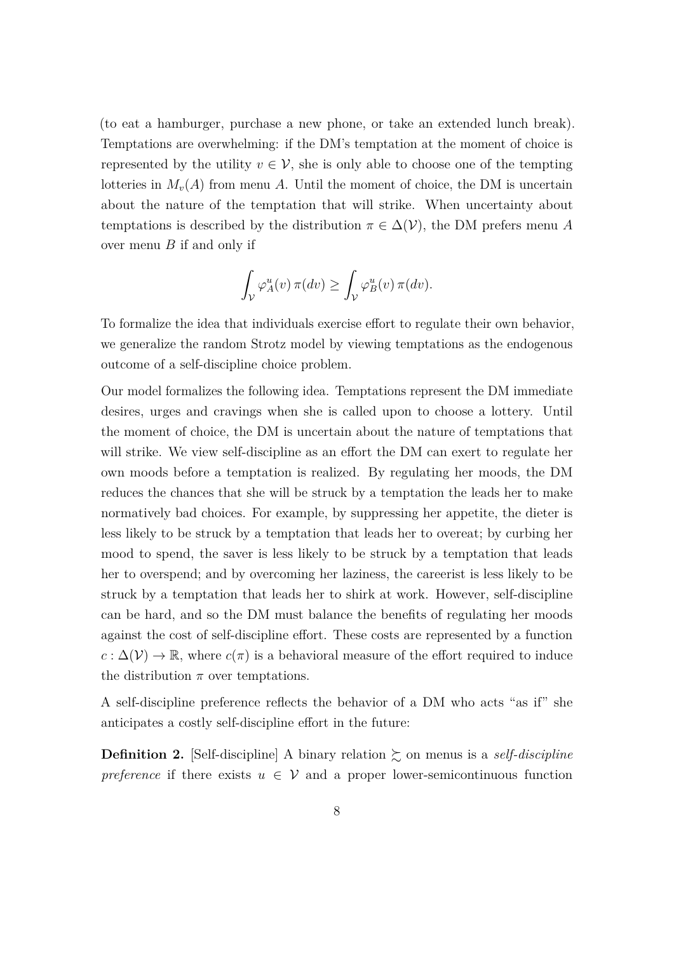(to eat a hamburger, purchase a new phone, or take an extended lunch break). Temptations are overwhelming: if the DM's temptation at the moment of choice is represented by the utility  $v \in V$ , she is only able to choose one of the tempting lotteries in  $M_{\nu}(A)$  from menu A. Until the moment of choice, the DM is uncertain about the nature of the temptation that will strike. When uncertainty about temptations is described by the distribution  $\pi \in \Delta(\mathcal{V})$ , the DM prefers menu A over menu *B* if and only if

$$
\int_{\mathcal{V}} \varphi_A^u(v) \, \pi(dv) \ge \int_{\mathcal{V}} \varphi_B^u(v) \, \pi(dv).
$$

To formalize the idea that individuals exercise effort to regulate their own behavior, we generalize the random Strotz model by viewing temptations as the endogenous outcome of a self-discipline choice problem.

Our model formalizes the following idea. Temptations represent the DM immediate desires, urges and cravings when she is called upon to choose a lottery. Until the moment of choice, the DM is uncertain about the nature of temptations that will strike. We view self-discipline as an effort the DM can exert to regulate her own moods before a temptation is realized. By regulating her moods, the DM reduces the chances that she will be struck by a temptation the leads her to make normatively bad choices. For example, by suppressing her appetite, the dieter is less likely to be struck by a temptation that leads her to overeat; by curbing her mood to spend, the saver is less likely to be struck by a temptation that leads her to overspend; and by overcoming her laziness, the careerist is less likely to be struck by a temptation that leads her to shirk at work. However, self-discipline can be hard, and so the DM must balance the benefits of regulating her moods against the cost of self-discipline effort. These costs are represented by a function  $c : \Delta(\mathcal{V}) \to \mathbb{R}$ , where  $c(\pi)$  is a behavioral measure of the effort required to induce the distribution  $\pi$  over temptations.

A self-discipline preference reflects the behavior of a DM who acts "as if" she anticipates a costly self-discipline effort in the future:

**Definition 2.** [Self-discipline] A binary relation  $\gtrsim$  on menus is a *self-discipline preference* if there exists  $u \in V$  and a proper lower-semicontinuous function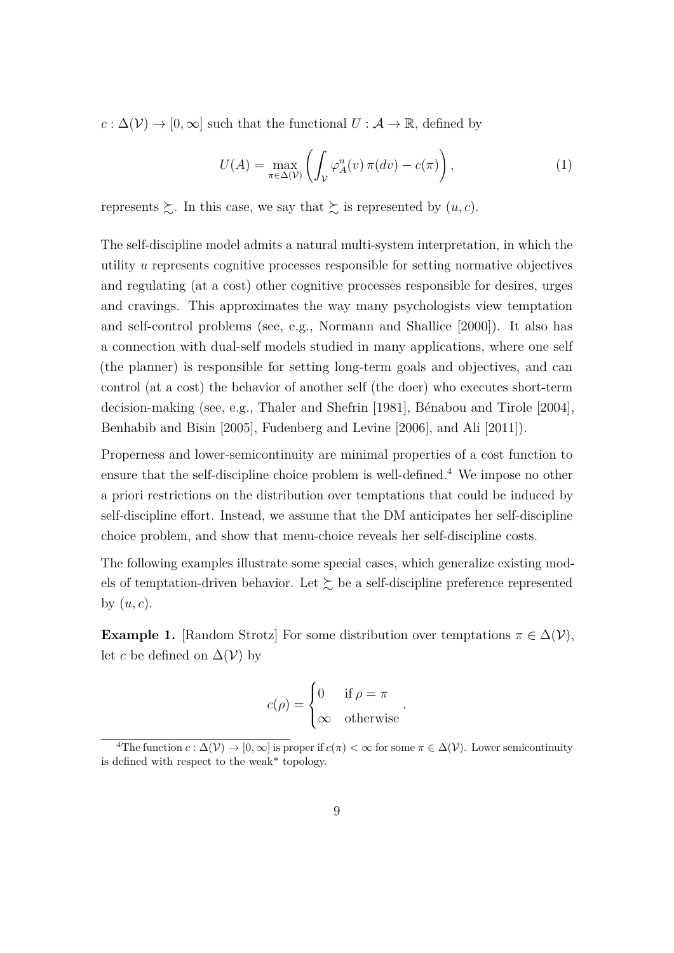$c : \Delta(V) \to [0, \infty]$  such that the functional  $U : \mathcal{A} \to \mathbb{R}$ , defined by

$$
U(A) = \max_{\pi \in \Delta(\mathcal{V})} \left( \int_{\mathcal{V}} \varphi_A^u(v) \, \pi(dv) - c(\pi) \right),\tag{1}
$$

represents  $\succsim$ . In this case, we say that  $\succsim$  is represented by  $(u, c)$ .

The self-discipline model admits a natural multi-system interpretation, in which the utility *u* represents cognitive processes responsible for setting normative objectives and regulating (at a cost) other cognitive processes responsible for desires, urges and cravings. This approximates the way many psychologists view temptation and self-control problems (see, e.g., [Normann and Shallice](#page-24-7) [\[2000\]](#page-24-7)). It also has a connection with dual-self models studied in many applications, where one self (the planner) is responsible for setting long-term goals and objectives, and can control (at a cost) the behavior of another self (the doer) who executes short-term decision-making (see, e.g., [Thaler and Shefrin](#page-25-2) [\[1981\]](#page-25-2), [Bénabou and Tirole](#page-23-5) [\[2004\]](#page-23-5), [Benhabib and Bisin](#page-23-6) [\[2005\]](#page-23-6), [Fudenberg and Levine](#page-23-7) [\[2006\]](#page-23-7), and [Ali](#page-22-1) [\[2011\]](#page-22-1)).

Properness and lower-semicontinuity are minimal properties of a cost function to ensure that the self-discipline choice problem is well-defined.<sup>[4](#page-8-0)</sup> We impose no other a priori restrictions on the distribution over temptations that could be induced by self-discipline effort. Instead, we assume that the DM anticipates her self-discipline choice problem, and show that menu-choice reveals her self-discipline costs.

The following examples illustrate some special cases, which generalize existing models of temptation-driven behavior. Let  $\succsim$  be a self-discipline preference represented by (*u, c*).

**Example 1.** [Random Strotz] For some distribution over temptations  $\pi \in \Delta(\mathcal{V})$ , let *c* be defined on  $\Delta(V)$  by

$$
c(\rho) = \begin{cases} 0 & \text{if } \rho = \pi \\ \infty & \text{otherwise} \end{cases}
$$

*.*

<span id="page-8-0"></span><sup>&</sup>lt;sup>4</sup>The function  $c : \Delta(\mathcal{V}) \to [0, \infty]$  is proper if  $c(\pi) < \infty$  for some  $\pi \in \Delta(\mathcal{V})$ . Lower semicontinuity is defined with respect to the weak\* topology.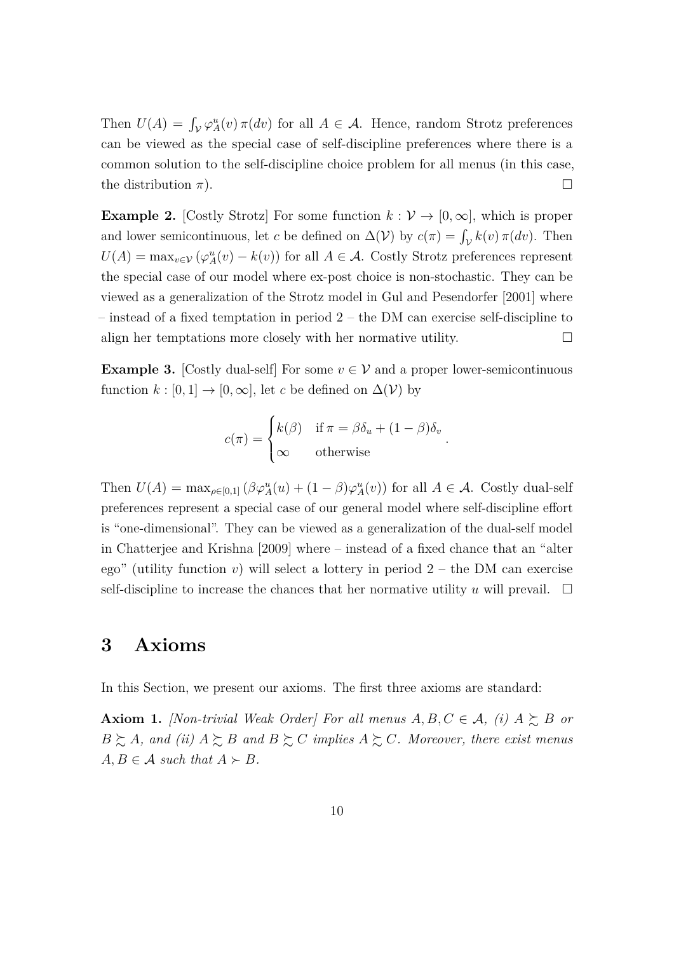Then  $U(A) = \int_{\mathcal{V}} \varphi_A^u(v) \pi(dv)$  for all  $A \in \mathcal{A}$ . Hence, random Strotz preferences can be viewed as the special case of self-discipline preferences where there is a common solution to the self-discipline choice problem for all menus (in this case, the distribution  $\pi$ ).

<span id="page-9-3"></span>**Example 2.** [Costly Strotz] For some function  $k: V \to [0, \infty]$ , which is proper and lower semicontinuous, let *c* be defined on  $\Delta(\mathcal{V})$  by  $c(\pi) = \int_{\mathcal{V}} k(v) \pi(dv)$ . Then  $U(A) = \max_{v \in V} (\varphi_A^u(v) - k(v))$  for all  $A \in \mathcal{A}$ . Costly Strotz preferences represent the special case of our model where ex-post choice is non-stochastic. They can be viewed as a generalization of the Strotz model in [Gul and Pesendorfer](#page-24-0) [\[2001\]](#page-24-0) where – instead of a fixed temptation in period 2 – the DM can exercise self-discipline to align her temptations more closely with her normative utility.  $\Box$ 

<span id="page-9-2"></span>**Example 3.** [Costly dual-self] For some  $v \in V$  and a proper lower-semicontinuous function  $k : [0,1] \to [0,\infty]$ , let *c* be defined on  $\Delta(\mathcal{V})$  by

$$
c(\pi) = \begin{cases} k(\beta) & \text{if } \pi = \beta \delta_u + (1 - \beta)\delta_v \\ \infty & \text{otherwise} \end{cases}
$$

*.*

Then  $U(A) = \max_{\rho \in [0,1]} (\beta \varphi_A^u(u) + (1-\beta) \varphi_A^u(v))$  for all  $A \in \mathcal{A}$ . Costly dual-self preferences represent a special case of our general model where self-discipline effort is "one-dimensional". They can be viewed as a generalization of the dual-self model in [Chatterjee and Krishna](#page-23-1) [\[2009\]](#page-23-1) where – instead of a fixed chance that an "alter ego" (utility function  $v$ ) will select a lottery in period  $2$  – the DM can exercise self-discipline to increase the chances that her normative utility  $u$  will prevail.  $\Box$ 

## <span id="page-9-0"></span>**3 Axioms**

In this Section, we present our axioms. The first three axioms are standard:

<span id="page-9-1"></span>**Axiom 1.** *[Non-trivial Weak Order] For all menus*  $A, B, C \in \mathcal{A}$ *, (i)*  $A \succeq B$  *or*  $B \succeq A$ *, and (ii)*  $A \succeq B$  *and*  $B \succeq C$  *implies*  $A \succeq C$ *. Moreover, there exist menus*  $A, B \in \mathcal{A}$  *such that*  $A \succ B$ *.*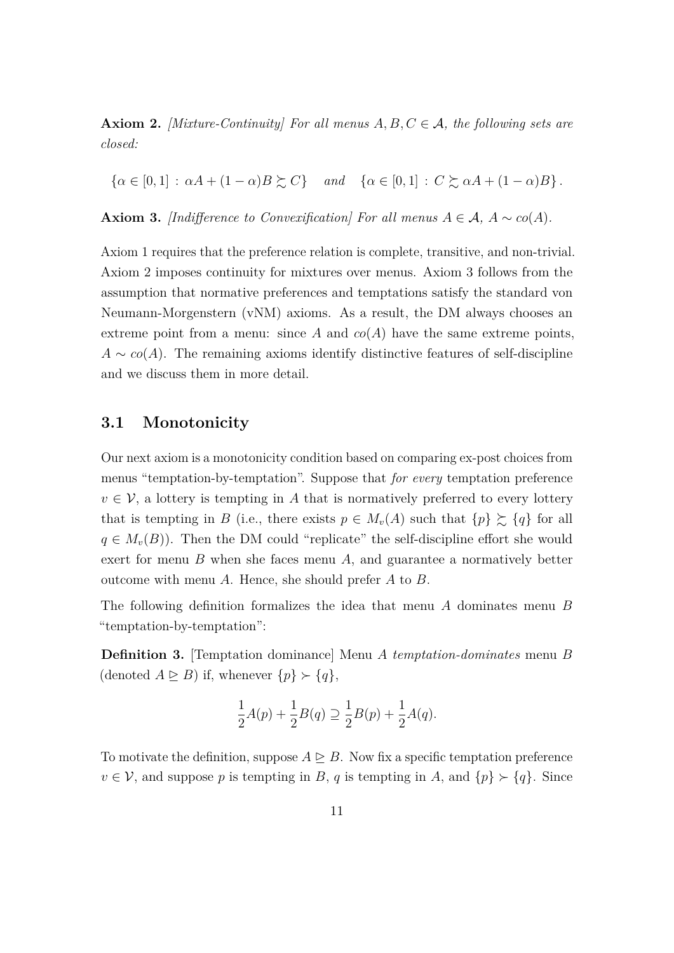<span id="page-10-0"></span>**Axiom 2.** *[Mixture-Continuity] For all menus*  $A, B, C \in \mathcal{A}$ *, the following sets are closed:*

 $\{\alpha \in [0,1]: \alpha A + (1-\alpha)B \succsim C\}$  and  $\{\alpha \in [0,1]: C \succsim \alpha A + (1-\alpha)B\}$ .

<span id="page-10-1"></span>**Axiom 3.** *[Indifference to Convexification] For all menus*  $A \in \mathcal{A}$ ,  $A \sim co(A)$ *.* 

Axiom [1](#page-9-1) requires that the preference relation is complete, transitive, and non-trivial. Axiom [2](#page-10-0) imposes continuity for mixtures over menus. Axiom [3](#page-10-1) follows from the assumption that normative preferences and temptations satisfy the standard von Neumann-Morgenstern (vNM) axioms. As a result, the DM always chooses an extreme point from a menu: since  $A$  and  $co(A)$  have the same extreme points,  $A \sim \text{co}(A)$ . The remaining axioms identify distinctive features of self-discipline and we discuss them in more detail.

## <span id="page-10-3"></span>**3.1 Monotonicity**

Our next axiom is a monotonicity condition based on comparing ex-post choices from menus "temptation-by-temptation". Suppose that *for every* temptation preference  $v \in V$ , a lottery is tempting in *A* that is normatively preferred to every lottery that is tempting in *B* (i.e., there exists  $p \in M_v(A)$  such that  $\{p\} \succeq \{q\}$  for all  $q \in M_v(B)$ ). Then the DM could "replicate" the self-discipline effort she would exert for menu *B* when she faces menu *A*, and guarantee a normatively better outcome with menu *A*. Hence, she should prefer *A* to *B*.

The following definition formalizes the idea that menu *A* dominates menu *B* "temptation-by-temptation":

<span id="page-10-2"></span>**Definition 3.** [Temptation dominance] Menu *A temptation-dominates* menu *B* (denoted  $A \subseteq B$ ) if, whenever  $\{p\} \succ \{q\}$ ,

$$
\frac{1}{2}A(p) + \frac{1}{2}B(q) \supseteq \frac{1}{2}B(p) + \frac{1}{2}A(q).
$$

To motivate the definition, suppose  $A \triangleright B$ . Now fix a specific temptation preference  $v \in V$ , and suppose *p* is tempting in *B*, *q* is tempting in *A*, and  $\{p\} \succ \{q\}$ . Since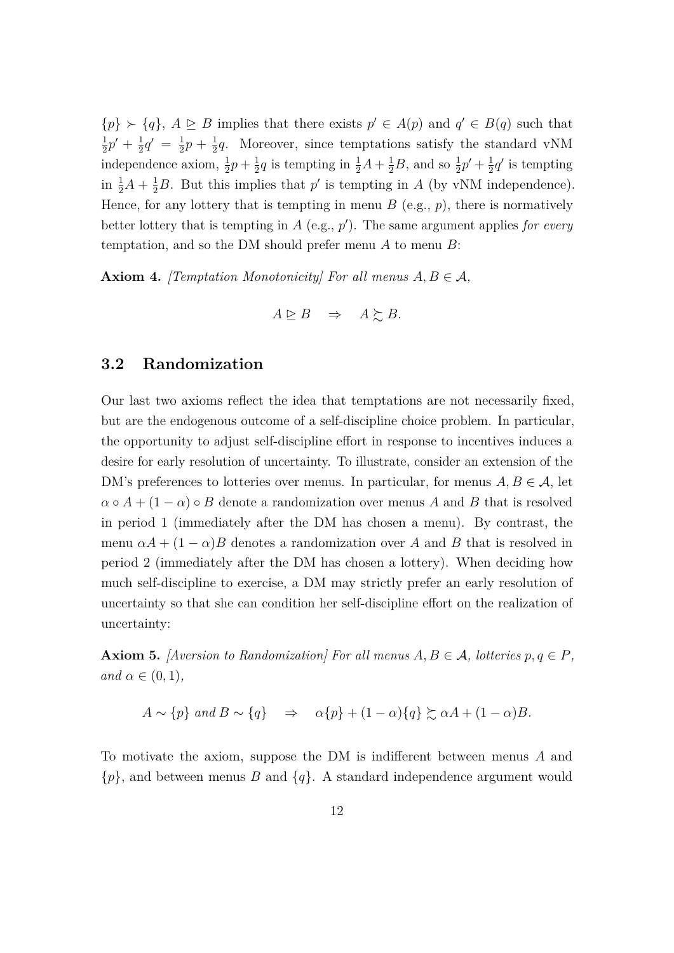$\{p\} \succ \{q\}, A \trianglerighteq B$  implies that there exists  $p' \in A(p)$  and  $q' \in B(q)$  such that 1  $\frac{1}{2}p' + \frac{1}{2}$  $\frac{1}{2}q' = \frac{1}{2}$  $\frac{1}{2}p + \frac{1}{2}$  $\frac{1}{2}q$ . Moreover, since temptations satisfy the standard vNM independence axiom,  $\frac{1}{2}p + \frac{1}{2}$  $\frac{1}{2}q$  is tempting in  $\frac{1}{2}A + \frac{1}{2}B$ , and so  $\frac{1}{2}p' + \frac{1}{2}$  $\frac{1}{2}q'$  is tempting in  $\frac{1}{2}A + \frac{1}{2}B$ . But this implies that *p*' is tempting in *A* (by vNM independence). Hence, for any lottery that is tempting in menu  $B$  (e.g.,  $p$ ), there is normatively better lottery that is tempting in  $A$  (e.g.,  $p'$ ). The same argument applies *for every* temptation, and so the DM should prefer menu *A* to menu *B*:

<span id="page-11-0"></span>**Axiom 4.** *[Temptation Monotonicity] For all menus*  $A, B \in \mathcal{A}$ *,* 

$$
A \trianglerighteq B \quad \Rightarrow \quad A \succsim B.
$$

## **3.2 Randomization**

Our last two axioms reflect the idea that temptations are not necessarily fixed, but are the endogenous outcome of a self-discipline choice problem. In particular, the opportunity to adjust self-discipline effort in response to incentives induces a desire for early resolution of uncertainty. To illustrate, consider an extension of the DM's preferences to lotteries over menus. In particular, for menus  $A, B \in \mathcal{A}$ , let  $\alpha \circ A + (1 - \alpha) \circ B$  denote a randomization over menus *A* and *B* that is resolved in period 1 (immediately after the DM has chosen a menu). By contrast, the menu  $\alpha A + (1 - \alpha)B$  denotes a randomization over A and B that is resolved in period 2 (immediately after the DM has chosen a lottery). When deciding how much self-discipline to exercise, a DM may strictly prefer an early resolution of uncertainty so that she can condition her self-discipline effort on the realization of uncertainty:

<span id="page-11-1"></span>**Axiom 5.** *[Aversion to Randomization] For all menus*  $A, B \in \mathcal{A}$ *, lotteries*  $p, q \in P$ *,*  $and \alpha \in (0,1),$ 

$$
A \sim \{p\} \text{ and } B \sim \{q\} \Rightarrow \alpha \{p\} + (1 - \alpha) \{q\} \succsim \alpha A + (1 - \alpha)B.
$$

To motivate the axiom, suppose the DM is indifferent between menus *A* and {*p*}, and between menus *B* and {*q*}. A standard independence argument would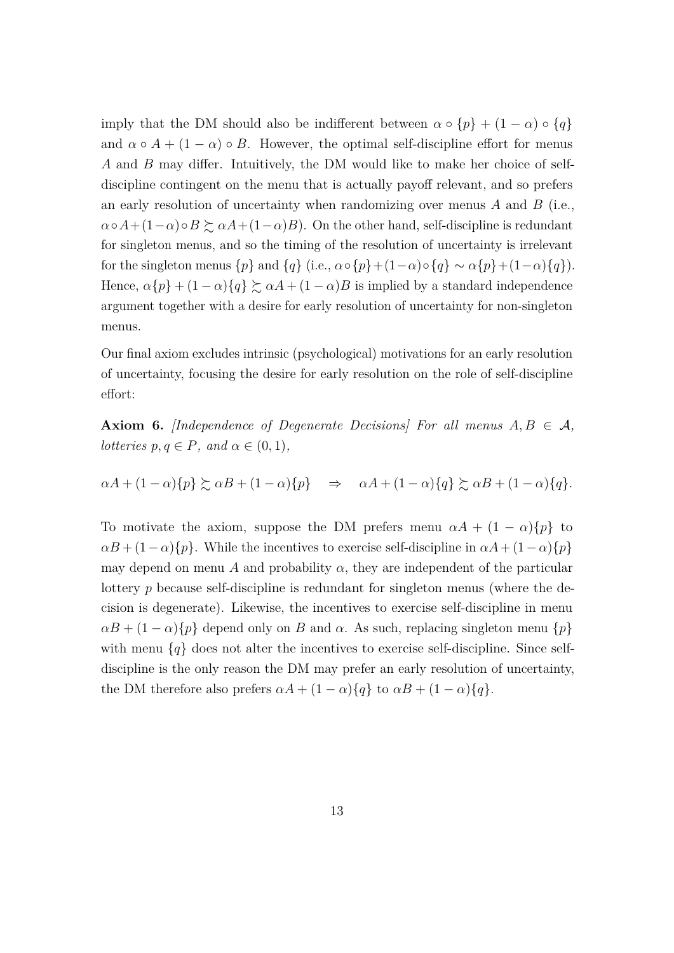imply that the DM should also be indifferent between  $\alpha \circ \{p\} + (1 - \alpha) \circ \{q\}$ and  $\alpha \circ A + (1 - \alpha) \circ B$ . However, the optimal self-discipline effort for menus *A* and *B* may differ. Intuitively, the DM would like to make her choice of selfdiscipline contingent on the menu that is actually payoff relevant, and so prefers an early resolution of uncertainty when randomizing over menus *A* and *B* (i.e.,  $\alpha \circ A + (1-\alpha) \circ B \succeq \alpha A + (1-\alpha)B$ . On the other hand, self-discipline is redundant for singleton menus, and so the timing of the resolution of uncertainty is irrelevant for the singleton menus  $\{p\}$  and  $\{q\}$  (i.e.,  $\alpha \circ \{p\} + (1-\alpha) \circ \{q\} \sim \alpha \{p\} + (1-\alpha) \{q\}$ ). Hence,  $\alpha\{p\} + (1 - \alpha)\{q\} \succsim \alpha A + (1 - \alpha)B$  is implied by a standard independence argument together with a desire for early resolution of uncertainty for non-singleton menus.

Our final axiom excludes intrinsic (psychological) motivations for an early resolution of uncertainty, focusing the desire for early resolution on the role of self-discipline effort:

<span id="page-12-0"></span>**Axiom 6.** *[Independence of Degenerate Decisions] For all menus*  $A, B \in \mathcal{A}$ *, lotteries*  $p, q \in P$ *, and*  $\alpha \in (0, 1)$ *,* 

 $\alpha A + (1 - \alpha) \{p\} \succeq \alpha B + (1 - \alpha) \{p\} \Rightarrow \alpha A + (1 - \alpha) \{q\} \succeq \alpha B + (1 - \alpha) \{q\}.$ 

To motivate the axiom, suppose the DM prefers menu  $\alpha A + (1 - \alpha) \{p\}$  to  $\alpha B + (1 - \alpha)$ {*p*}. While the incentives to exercise self-discipline in  $\alpha A + (1 - \alpha)$ {*p*} may depend on menu *A* and probability  $\alpha$ , they are independent of the particular lottery *p* because self-discipline is redundant for singleton menus (where the decision is degenerate). Likewise, the incentives to exercise self-discipline in menu  $\alpha B + (1 - \alpha)$  {*p*} depend only on *B* and  $\alpha$ . As such, replacing singleton menu {*p*} with menu  $\{q\}$  does not alter the incentives to exercise self-discipline. Since selfdiscipline is the only reason the DM may prefer an early resolution of uncertainty, the DM therefore also prefers  $\alpha A + (1 - \alpha)\{q\}$  to  $\alpha B + (1 - \alpha)\{q\}$ .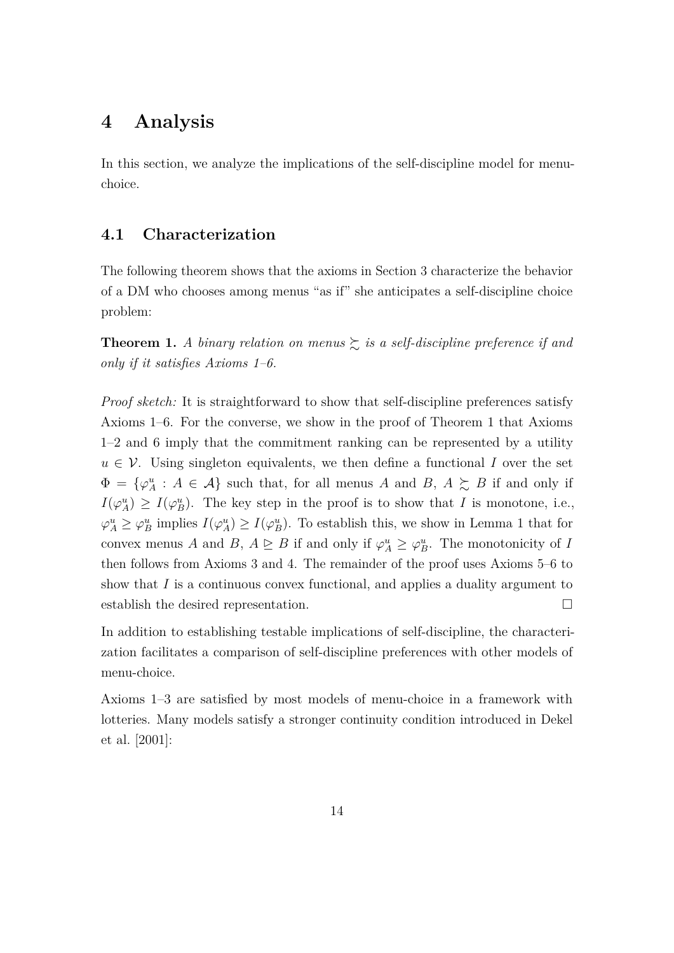## <span id="page-13-1"></span>**4 Analysis**

In this section, we analyze the implications of the self-discipline model for menuchoice.

## **4.1 Characterization**

The following theorem shows that the axioms in Section [3](#page-9-0) characterize the behavior of a DM who chooses among menus "as if" she anticipates a self-discipline choice problem:

<span id="page-13-0"></span>**Theorem 1.** *A binary relation on menus*  $\geq$  *is a self-discipline preference if and only if it satisfies Axioms [1–](#page-9-1)[6.](#page-12-0)*

*Proof sketch:* It is straightforward to show that self-discipline preferences satisfy Axioms [1](#page-9-1)[–6.](#page-12-0) For the converse, we show in the proof of Theorem [1](#page-13-0) that Axioms [1–](#page-9-1)[2](#page-10-0) and [6](#page-12-0) imply that the commitment ranking can be represented by a utility  $u \in V$ . Using singleton equivalents, we then define a functional *I* over the set  $\Phi = {\varphi_A^u : A \in \mathcal{A}}$  such that, for all menus *A* and *B*,  $A \succeq B$  if and only if  $I(\varphi_A^u) \geq I(\varphi_B^u)$ . The key step in the proof is to show that *I* is monotone, i.e.,  $\varphi_A^u \geq \varphi_B^u$  implies  $I(\varphi_A^u) \geq I(\varphi_B^u)$ . To establish this, we show in Lemma [1](#page-27-0) that for convex menus *A* and *B*,  $A \trianglerighteq B$  if and only if  $\varphi_A^u \geq \varphi_B^u$ . The monotonicity of *I* then follows from Axioms [3](#page-10-1) and [4.](#page-11-0) The remainder of the proof uses Axioms [5](#page-11-1)[–6](#page-12-0) to show that *I* is a continuous convex functional, and applies a duality argument to establish the desired representation.

In addition to establishing testable implications of self-discipline, the characterization facilitates a comparison of self-discipline preferences with other models of menu-choice.

Axioms [1](#page-9-1)[–3](#page-10-1) are satisfied by most models of menu-choice in a framework with lotteries. Many models satisfy a stronger continuity condition introduced in [Dekel](#page-23-8) [et al.](#page-23-8) [\[2001\]](#page-23-8):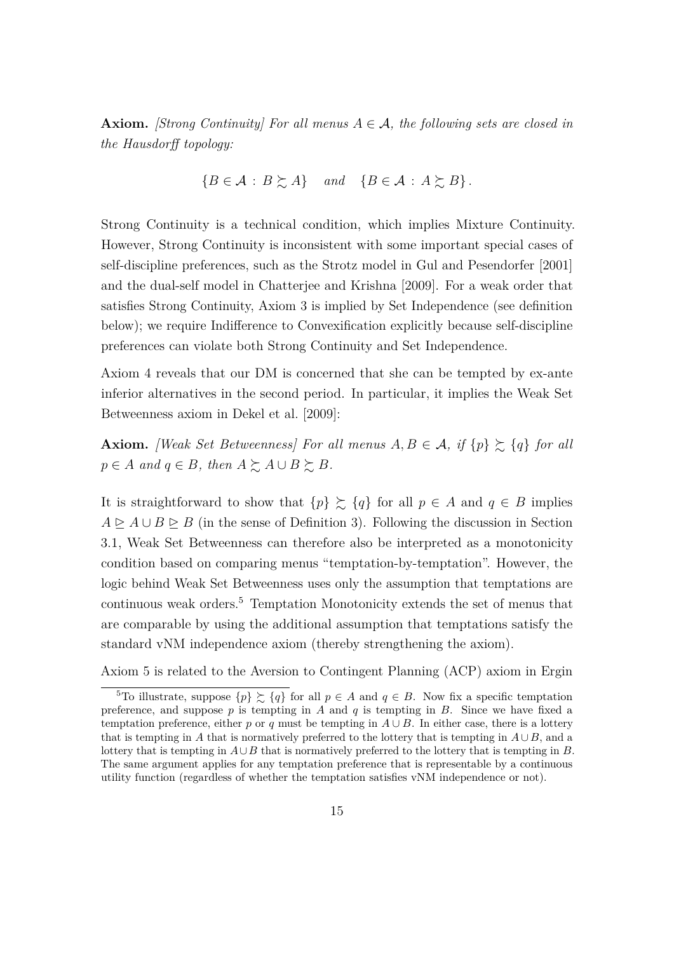**Axiom.** *[Strong Continuity] For all menus*  $A \in \mathcal{A}$ , the following sets are closed in *the Hausdorff topology:*

$$
\{B \in \mathcal{A} : B \succsim A\} \quad and \quad \{B \in \mathcal{A} : A \succsim B\}.
$$

Strong Continuity is a technical condition, which implies Mixture Continuity. However, Strong Continuity is inconsistent with some important special cases of self-discipline preferences, such as the Strotz model in [Gul and Pesendorfer](#page-24-0) [\[2001\]](#page-24-0) and the dual-self model in [Chatterjee and Krishna](#page-23-1) [\[2009\]](#page-23-1). For a weak order that satisfies Strong Continuity, Axiom [3](#page-10-1) is implied by Set Independence (see definition below); we require Indifference to Convexification explicitly because self-discipline preferences can violate both Strong Continuity and Set Independence.

Axiom [4](#page-11-0) reveals that our DM is concerned that she can be tempted by ex-ante inferior alternatives in the second period. In particular, it implies the Weak Set Betweenness axiom in [Dekel et al.](#page-23-3) [\[2009\]](#page-23-3):

**Axiom.** *[Weak Set Betweenness] For all menus*  $A, B \in \mathcal{A}$ , if  $\{p\} \succeq \{q\}$  for all  $p \in A$  *and*  $q \in B$ *, then*  $A \succeq A \cup B \succeq B$ *.* 

It is straightforward to show that  $\{p\} \succeq \{q\}$  for all  $p \in A$  and  $q \in B$  implies  $A \trianglerighteq A \cup B \trianglerighteq B$  (in the sense of Definition [3\)](#page-10-2). Following the discussion in Section [3.1,](#page-10-3) Weak Set Betweenness can therefore also be interpreted as a monotonicity condition based on comparing menus "temptation-by-temptation". However, the logic behind Weak Set Betweenness uses only the assumption that temptations are continuous weak orders.[5](#page-14-0) Temptation Monotonicity extends the set of menus that are comparable by using the additional assumption that temptations satisfy the standard vNM independence axiom (thereby strengthening the axiom).

Axiom [5](#page-11-1) is related to the Aversion to Contingent Planning (ACP) axiom in [Ergin](#page-23-4)

<span id="page-14-0"></span><sup>&</sup>lt;sup>5</sup>To illustrate, suppose  $\{p\} \succsim \{q\}$  for all  $p \in A$  and  $q \in B$ [. Now fix a specific temptation](#page-23-4) preference, and suppose  $p$  is tempting in  $A$  and  $q$  is tempting in  $B$ [. Since we have fixed a](#page-23-4) temptation preference, either *p* or *q* must be tempting in  $A \cup B$ [. In either case, there is a lottery](#page-23-4) that is tempting in *A* [that is normatively preferred to the lottery that is tempting in](#page-23-4)  $A \cup B$ , and a lottery that is tempting in *A*∪*B* [that is normatively preferred to the lottery that is tempting in](#page-23-4) *B*. [The same argument applies for any temptation preference that is representable by a continuous](#page-23-4) [utility function \(regardless of whether the temptation satisfies vNM independence or not\).](#page-23-4)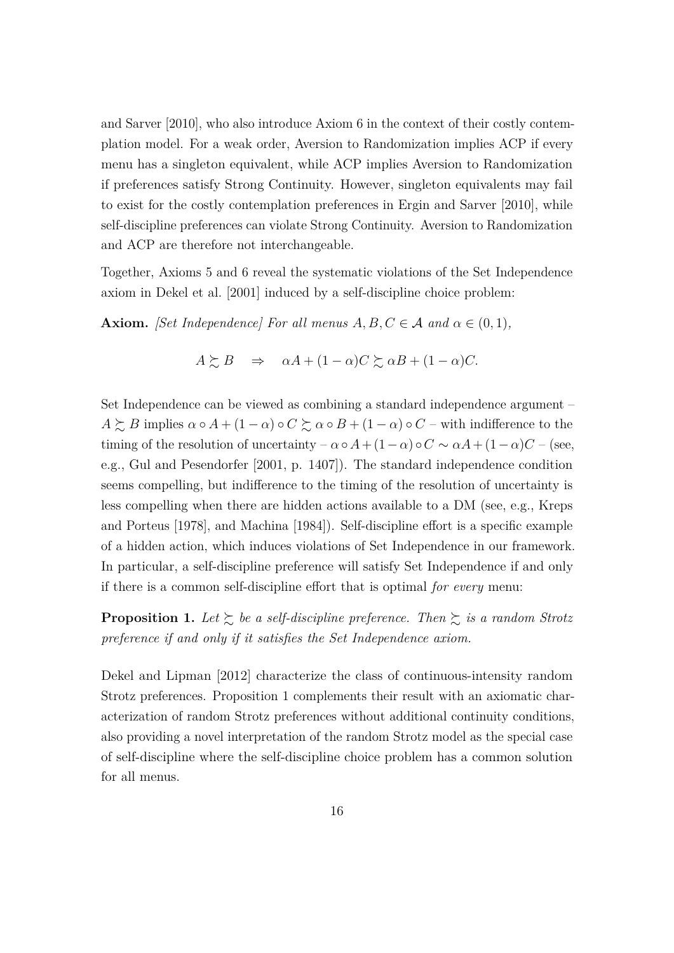[and Sarver](#page-23-4) [\[2010\]](#page-23-4), who also introduce Axiom [6](#page-12-0) in the context of their costly contemplation model. For a weak order, Aversion to Randomization implies ACP if every menu has a singleton equivalent, while ACP implies Aversion to Randomization if preferences satisfy Strong Continuity. However, singleton equivalents may fail to exist for the costly contemplation preferences in [Ergin and Sarver](#page-23-4) [\[2010\]](#page-23-4), while self-discipline preferences can violate Strong Continuity. Aversion to Randomization and ACP are therefore not interchangeable.

Together, Axioms [5](#page-11-1) and [6](#page-12-0) reveal the systematic violations of the Set Independence axiom in [Dekel et al.](#page-23-8) [\[2001\]](#page-23-8) induced by a self-discipline choice problem:

**Axiom.** *[Set Independence] For all menus*  $A, B, C \in \mathcal{A}$  *and*  $\alpha \in (0, 1)$ *,* 

$$
A \succsim B \quad \Rightarrow \quad \alpha A + (1 - \alpha)C \succsim \alpha B + (1 - \alpha)C.
$$

Set Independence can be viewed as combining a standard independence argument –  $A \succeq B$  implies  $\alpha \circ A + (1 - \alpha) \circ C \succeq \alpha \circ B + (1 - \alpha) \circ C$  – with indifference to the timing of the resolution of uncertainty –  $\alpha \circ A + (1 - \alpha) \circ C \sim \alpha A + (1 - \alpha)C$  – (see, e.g., [Gul and Pesendorfer](#page-24-0) [\[2001,](#page-24-0) p. 1407]). The standard independence condition seems compelling, but indifference to the timing of the resolution of uncertainty is less compelling when there are hidden actions available to a DM (see, e.g., [Kreps](#page-24-8) [and Porteus](#page-24-8) [\[1978\]](#page-24-8), and [Machina](#page-24-9) [\[1984\]](#page-24-9)). Self-discipline effort is a specific example of a hidden action, which induces violations of Set Independence in our framework. In particular, a self-discipline preference will satisfy Set Independence if and only if there is a common self-discipline effort that is optimal *for every* menu:

<span id="page-15-0"></span>**Proposition 1.** Let  $\succsim$  be a self-discipline preference. Then  $\succsim$  is a random Strotz *preference if and only if it satisfies the Set Independence axiom.*

[Dekel and Lipman](#page-23-0) [\[2012\]](#page-23-0) characterize the class of continuous-intensity random Strotz preferences. Proposition [1](#page-15-0) complements their result with an axiomatic characterization of random Strotz preferences without additional continuity conditions, also providing a novel interpretation of the random Strotz model as the special case of self-discipline where the self-discipline choice problem has a common solution for all menus.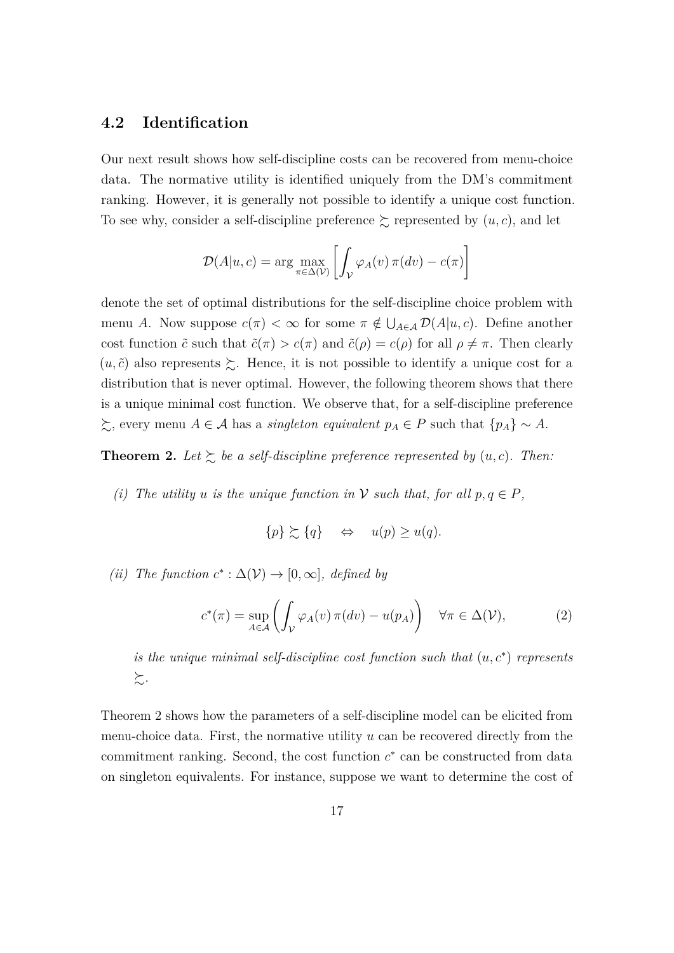### **4.2 Identification**

Our next result shows how self-discipline costs can be recovered from menu-choice data. The normative utility is identified uniquely from the DM's commitment ranking. However, it is generally not possible to identify a unique cost function. To see why, consider a self-discipline preference  $\gtrsim$  represented by  $(u, c)$ , and let

$$
\mathcal{D}(A|u, c) = \arg \max_{\pi \in \Delta(\mathcal{V})} \left[ \int_{\mathcal{V}} \varphi_A(v) \, \pi(dv) - c(\pi) \right]
$$

denote the set of optimal distributions for the self-discipline choice problem with menu *A*. Now suppose  $c(\pi) < \infty$  for some  $\pi \notin \bigcup_{A \in \mathcal{A}} \mathcal{D}(A|u, c)$ . Define another cost function  $\tilde{c}$  such that  $\tilde{c}(\pi) > c(\pi)$  and  $\tilde{c}(\rho) = c(\rho)$  for all  $\rho \neq \pi$ . Then clearly  $(u, \tilde{c})$  also represents  $\succeq$ . Hence, it is not possible to identify a unique cost for a distribution that is never optimal. However, the following theorem shows that there is a unique minimal cost function. We observe that, for a self-discipline preference  $\succsim$ , every menu *A* ∈ *A* has a *singleton equivalent*  $p_A \in P$  such that  $\{p_A\} \sim A$ .

<span id="page-16-0"></span>**Theorem 2.** Let  $\succsim$  be a self-discipline preference represented by  $(u, c)$ . Then:

*(i) The utility u is the unique function in*  $V$  *such that, for all*  $p, q \in P$ *,* 

$$
\{p\} \succsim \{q\} \quad \Leftrightarrow \quad u(p) \ge u(q).
$$

 $(ii)$  *The function*  $c^*$  : ∆( $V$ ) → [0, ∞]*, defined by* 

<span id="page-16-1"></span>
$$
c^*(\pi) = \sup_{A \in \mathcal{A}} \left( \int_{\mathcal{V}} \varphi_A(v) \, \pi(dv) - u(p_A) \right) \quad \forall \pi \in \Delta(\mathcal{V}), \tag{2}
$$

*is the unique minimal self-discipline cost function such that*  $(u, c^*)$  *represents* %*.*

Theorem [2](#page-16-0) shows how the parameters of a self-discipline model can be elicited from menu-choice data. First, the normative utility *u* can be recovered directly from the commitment ranking. Second, the cost function  $c^*$  can be constructed from data on singleton equivalents. For instance, suppose we want to determine the cost of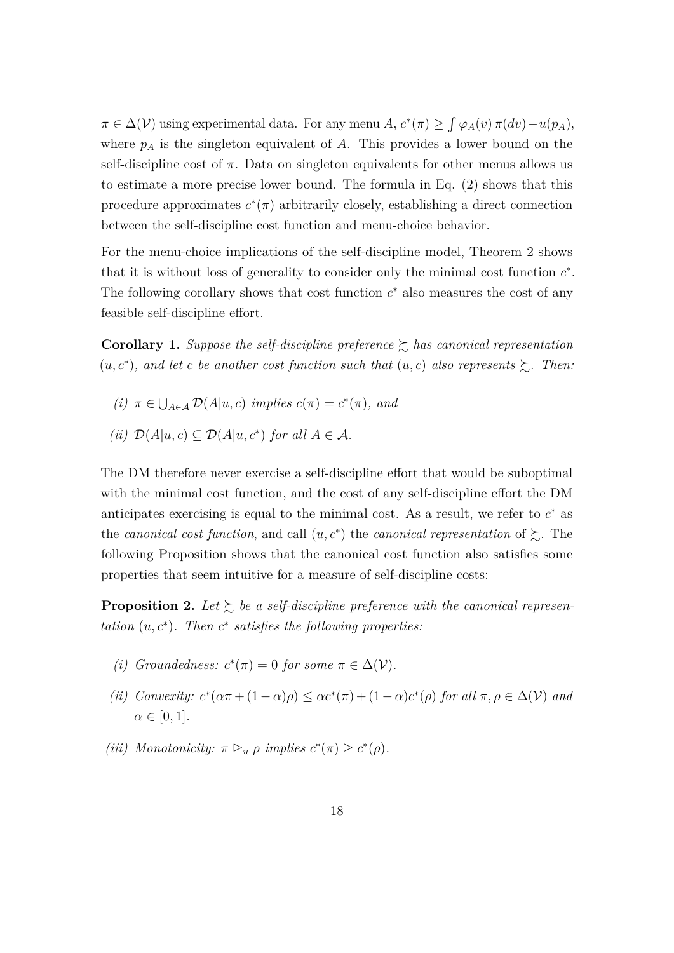$\pi \in \Delta(\mathcal{V})$  using experimental data. For any menu *A*,  $c^*(\pi) \geq \int \varphi_A(v) \, \pi(dv) - u(p_A)$ , where  $p_A$  is the singleton equivalent of  $A$ . This provides a lower bound on the self-discipline cost of  $\pi$ . Data on singleton equivalents for other menus allows us to estimate a more precise lower bound. The formula in Eq. [\(2\)](#page-16-1) shows that this procedure approximates  $c^*(\pi)$  arbitrarily closely, establishing a direct connection between the self-discipline cost function and menu-choice behavior.

For the menu-choice implications of the self-discipline model, Theorem [2](#page-16-0) shows that it is without loss of generality to consider only the minimal cost function  $c^*$ . The following corollary shows that cost function  $c^*$  also measures the cost of any feasible self-discipline effort.

<span id="page-17-1"></span>**Corollary 1.** *Suppose the self-discipline preference*  $\geq$  *has canonical representation*  $(u, c^*)$ , and let *c* be another cost function such that  $(u, c)$  also represents  $\succeq$ . Then:

- $(i)$   $\pi \in \bigcup_{A \in \mathcal{A}} \mathcal{D}(A|u, c)$  *implies*  $c(\pi) = c^*(\pi)$ *, and*
- *(ii)*  $\mathcal{D}(A|u, c) \subseteq \mathcal{D}(A|u, c^*)$  *for all A* ∈ *A.*

The DM therefore never exercise a self-discipline effort that would be suboptimal with the minimal cost function, and the cost of any self-discipline effort the DM anticipates exercising is equal to the minimal cost. As a result, we refer to  $c^*$  as the *canonical cost function*, and call  $(u, c^*)$  the *canonical representation* of  $\succeq$ . The following Proposition shows that the canonical cost function also satisfies some properties that seem intuitive for a measure of self-discipline costs:

<span id="page-17-0"></span>**Proposition 2.** Let  $\succeq$  be a self-discipline preference with the canonical represen*tation*  $(u, c^*)$ *. Then*  $c^*$  *satisfies the following properties:* 

- *(i) Groundedness:*  $c^*(\pi) = 0$  *for some*  $\pi \in \Delta(\mathcal{V})$ *.*
- (*ii*) *Convexity:*  $c^*(\alpha \pi + (1 \alpha)\rho) \leq \alpha c^*(\pi) + (1 \alpha)c^*(\rho)$  *for all*  $\pi, \rho \in \Delta(\mathcal{V})$  *and*  $\alpha \in [0, 1]$ *.*
- *(iii) Monotonicity:*  $\pi \geq u \rho$  *implies*  $c^*(\pi) \geq c^*(\rho)$ *.*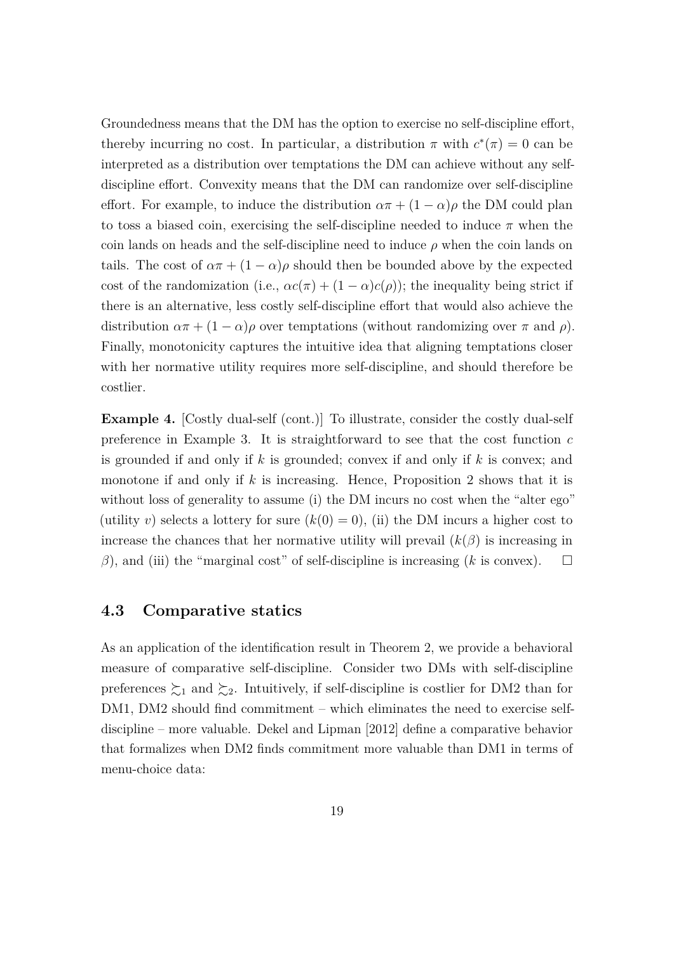Groundedness means that the DM has the option to exercise no self-discipline effort, thereby incurring no cost. In particular, a distribution  $\pi$  with  $c^*(\pi) = 0$  can be interpreted as a distribution over temptations the DM can achieve without any selfdiscipline effort. Convexity means that the DM can randomize over self-discipline effort. For example, to induce the distribution  $\alpha \pi + (1 - \alpha) \rho$  the DM could plan to toss a biased coin, exercising the self-discipline needed to induce  $\pi$  when the coin lands on heads and the self-discipline need to induce  $\rho$  when the coin lands on tails. The cost of  $\alpha \pi + (1 - \alpha)\rho$  should then be bounded above by the expected cost of the randomization (i.e.,  $\alpha c(\pi) + (1 - \alpha)c(\rho)$ ); the inequality being strict if there is an alternative, less costly self-discipline effort that would also achieve the distribution  $\alpha \pi + (1 - \alpha)\rho$  over temptations (without randomizing over  $\pi$  and  $\rho$ ). Finally, monotonicity captures the intuitive idea that aligning temptations closer with her normative utility requires more self-discipline, and should therefore be costlier.

**Example 4.** [Costly dual-self (cont.)] To illustrate, consider the costly dual-self preference in Example [3.](#page-9-2) It is straightforward to see that the cost function *c* is grounded if and only if *k* is grounded; convex if and only if *k* is convex; and monotone if and only if *k* is increasing. Hence, Proposition [2](#page-17-0) shows that it is without loss of generality to assume (i) the DM incurs no cost when the "alter ego" (utility *v*) selects a lottery for sure  $(k(0) = 0)$ , (ii) the DM incurs a higher cost to increase the chances that her normative utility will prevail  $(k(\beta))$  is increasing in  $β$ ), and (iii) the "marginal cost" of self-discipline is increasing (*k* is convex).  $\square$ 

### **4.3 Comparative statics**

As an application of the identification result in Theorem [2,](#page-16-0) we provide a behavioral measure of comparative self-discipline. Consider two DMs with self-discipline preferences  $\succsim_1$  and  $\succsim_2$ . Intuitively, if self-discipline is costlier for DM2 than for DM1, DM2 should find commitment – which eliminates the need to exercise selfdiscipline – more valuable. [Dekel and Lipman](#page-23-0) [\[2012\]](#page-23-0) define a comparative behavior that formalizes when DM2 finds commitment more valuable than DM1 in terms of menu-choice data: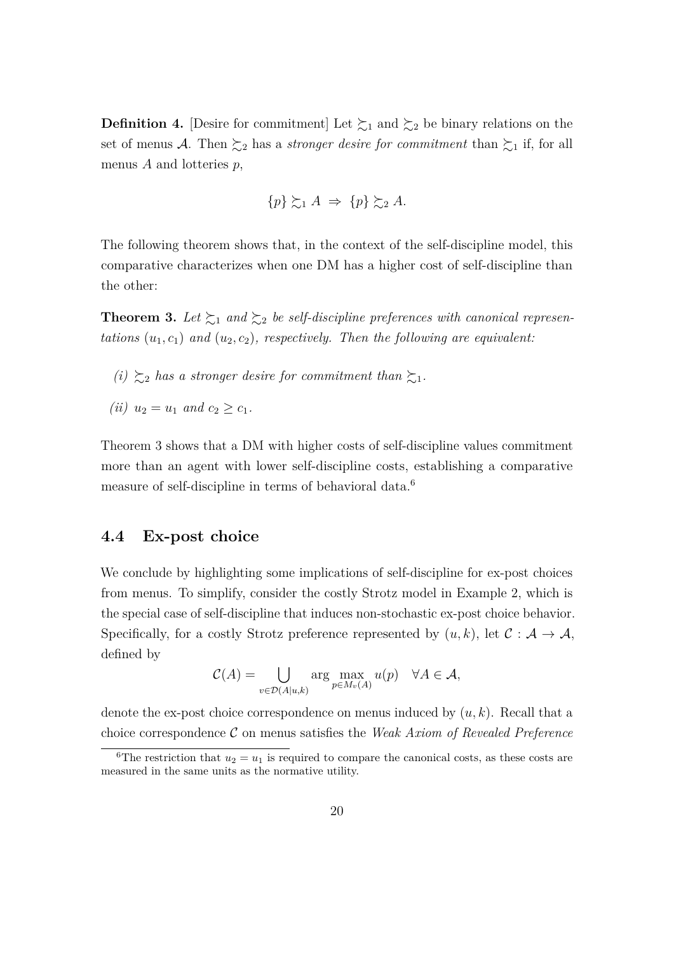**Definition 4.** [Desire for commitment] Let  $\succsim_1$  and  $\succsim_2$  be binary relations on the set of menus A. Then  $\succsim_2$  has a *stronger desire for commitment* than  $\succsim_1$  if, for all menus *A* and lotteries *p*,

$$
\{p\} \succsim_1 A \Rightarrow \{p\} \succsim_2 A.
$$

The following theorem shows that, in the context of the self-discipline model, this comparative characterizes when one DM has a higher cost of self-discipline than the other:

<span id="page-19-0"></span>**Theorem 3.** Let  $\succsim_1$  and  $\succsim_2$  be self-discipline preferences with canonical represen*tations*  $(u_1, c_1)$  *and*  $(u_2, c_2)$ *, respectively. Then the following are equivalent:* 

- *(i)*  $\geq_2$  *has a stronger desire for commitment than*  $\geq_1$ *.*
- *(ii)*  $u_2 = u_1$  *and*  $c_2 > c_1$ *.*

Theorem [3](#page-19-0) shows that a DM with higher costs of self-discipline values commitment more than an agent with lower self-discipline costs, establishing a comparative measure of self-discipline in terms of behavioral data.<sup>[6](#page-19-1)</sup>

### **4.4 Ex-post choice**

We conclude by highlighting some implications of self-discipline for ex-post choices from menus. To simplify, consider the costly Strotz model in Example [2,](#page-9-3) which is the special case of self-discipline that induces non-stochastic ex-post choice behavior. Specifically, for a costly Strotz preference represented by  $(u, k)$ , let  $\mathcal{C}: \mathcal{A} \to \mathcal{A}$ , defined by

$$
\mathcal{C}(A) = \bigcup_{v \in \mathcal{D}(A|u,k)} \arg \max_{p \in M_v(A)} u(p) \quad \forall A \in \mathcal{A},
$$

denote the ex-post choice correspondence on menus induced by (*u, k*). Recall that a choice correspondence C on menus satisfies the *Weak Axiom of Revealed Preference*

<span id="page-19-1"></span><sup>&</sup>lt;sup>6</sup>The restriction that  $u_2 = u_1$  is required to compare the canonical costs, as these costs are measured in the same units as the normative utility.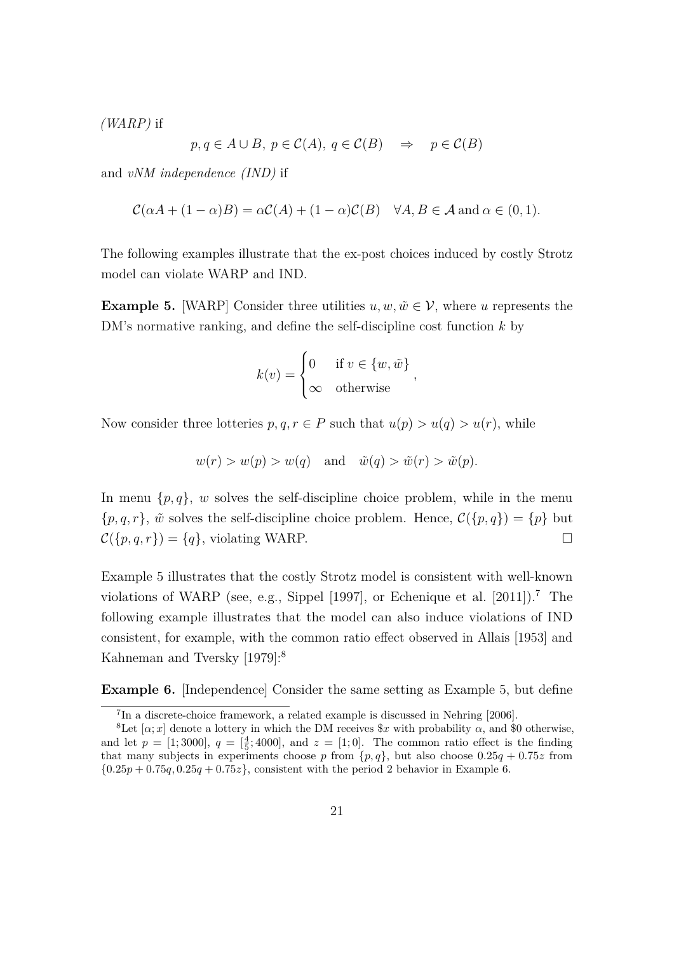*(WARP)* if

$$
p, q \in A \cup B, p \in C(A), q \in C(B) \Rightarrow p \in C(B)
$$

and *vNM independence (IND)* if

$$
\mathcal{C}(\alpha A + (1 - \alpha)B) = \alpha \mathcal{C}(A) + (1 - \alpha)\mathcal{C}(B) \quad \forall A, B \in \mathcal{A} \text{ and } \alpha \in (0, 1).
$$

The following examples illustrate that the ex-post choices induced by costly Strotz model can violate WARP and IND.

<span id="page-20-0"></span>**Example 5.** [WARP] Consider three utilities  $u, w, \tilde{w} \in \mathcal{V}$ , where *u* represents the DM's normative ranking, and define the self-discipline cost function *k* by

$$
k(v) = \begin{cases} 0 & \text{if } v \in \{w, \tilde{w}\} \\ \infty & \text{otherwise} \end{cases}
$$

*,*

Now consider three lotteries  $p, q, r \in P$  such that  $u(p) > u(q) > u(r)$ , while

$$
w(r) > w(p) > w(q)
$$
 and  $\tilde{w}(q) > \tilde{w}(r) > \tilde{w}(p)$ .

In menu  $\{p, q\}$ , *w* solves the self-discipline choice problem, while in the menu  $\{p,q,r\}$ ,  $\tilde{w}$  solves the self-discipline choice problem. Hence,  $\mathcal{C}(\{p,q\}) = \{p\}$  but  $\mathcal{C}(\lbrace p, q, r \rbrace) = \lbrace q \rbrace$ , violating WARP.

Example [5](#page-20-0) illustrates that the costly Strotz model is consistent with well-known violations of WARP (see, e.g., [Sippel](#page-25-3) [\[1997\]](#page-25-3), or [Echenique et al.](#page-23-9) [\[2011\]](#page-23-9)).[7](#page-20-1) The following example illustrates that the model can also induce violations of IND consistent, for example, with the common ratio effect observed in [Allais](#page-22-2) [\[1953\]](#page-22-2) and [Kahneman and Tversky](#page-24-10) [\[1979\]](#page-24-10):[8](#page-20-2)

<span id="page-20-3"></span>**Example 6.** [Independence] Consider the same setting as Example [5,](#page-20-0) but define

<span id="page-20-2"></span><span id="page-20-1"></span><sup>7</sup> In a discrete-choice framework, a related example is discussed in [Nehring](#page-24-3) [\[2006\]](#page-24-3).

<sup>&</sup>lt;sup>8</sup>Let  $[\alpha; x]$  denote a lottery in which the DM receives  $x$  with probability  $\alpha$ , and \$0 otherwise, and let  $p = [1; 3000], q = [\frac{4}{5}; 4000],$  and  $z = [1; 0].$  The common ratio effect is the finding that many subjects in experiments choose p from  $\{p,q\}$ , but also choose  $0.25q + 0.75z$  from  ${0.25p+0.75q, 0.25q+0.75z}$ , consistent with the period 2 behavior in Example [6.](#page-20-3)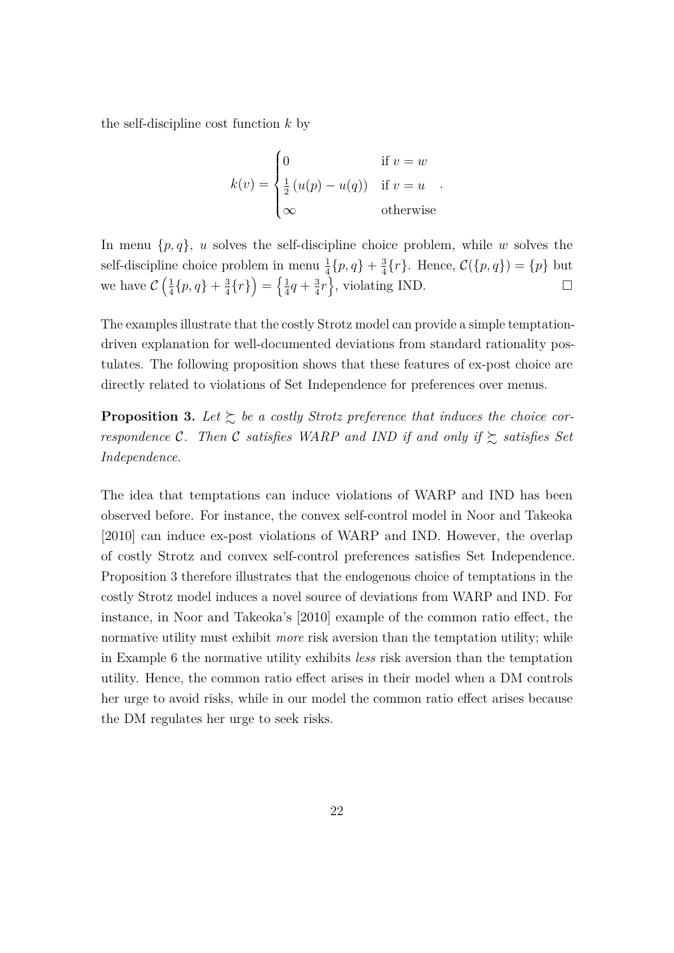the self-discipline cost function *k* by

$$
k(v) = \begin{cases} 0 & \text{if } v = w \\ \frac{1}{2} (u(p) - u(q)) & \text{if } v = u \\ \infty & \text{otherwise} \end{cases}
$$

In menu  $\{p, q\}$ , *u* solves the self-discipline choice problem, while *w* solves the self-discipline choice problem in menu  $\frac{1}{4} \{p, q\} + \frac{3}{4}$  $\frac{3}{4}$ {*r*}. Hence,  $C({p, q}) = {p}$  but we have  $\mathcal{C}\left(\frac{1}{4}\right)$  $\frac{1}{4}$ { $p, q$ } +  $\frac{3}{4}$  $\frac{3}{4} \{r\}\Big) = \Big\{ \frac{1}{4}$  $\frac{1}{4}q + \frac{3}{4}$  $\frac{3}{4}r$ , violating IND.

The examples illustrate that the costly Strotz model can provide a simple temptationdriven explanation for well-documented deviations from standard rationality postulates. The following proposition shows that these features of ex-post choice are directly related to violations of Set Independence for preferences over menus.

<span id="page-21-0"></span>**Proposition 3.** Let  $\sum$  be a costly Strotz preference that induces the choice cor*respondence* C. Then C *satisfies WARP* and *IND* if and only if  $\gtrsim$  *satisfies Set Independence.*

The idea that temptations can induce violations of WARP and IND has been observed before. For instance, the convex self-control model in [Noor and Takeoka](#page-24-2) [\[2010\]](#page-24-2) can induce ex-post violations of WARP and IND. However, the overlap of costly Strotz and convex self-control preferences satisfies Set Independence. Proposition [3](#page-21-0) therefore illustrates that the endogenous choice of temptations in the costly Strotz model induces a novel source of deviations from WARP and IND. For instance, in Noor and Takeoka's [2010] example of the common ratio effect, the normative utility must exhibit *more* risk aversion than the temptation utility; while in Example [6](#page-20-3) the normative utility exhibits *less* risk aversion than the temptation utility. Hence, the common ratio effect arises in their model when a DM controls her urge to avoid risks, while in our model the common ratio effect arises because the DM regulates her urge to seek risks.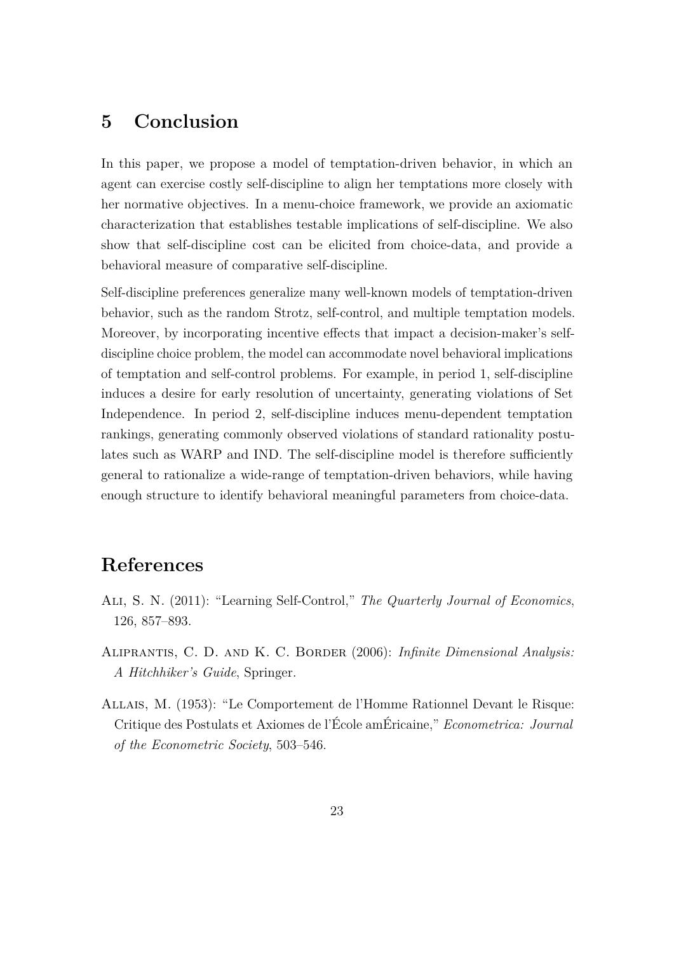## <span id="page-22-0"></span>**5 Conclusion**

In this paper, we propose a model of temptation-driven behavior, in which an agent can exercise costly self-discipline to align her temptations more closely with her normative objectives. In a menu-choice framework, we provide an axiomatic characterization that establishes testable implications of self-discipline. We also show that self-discipline cost can be elicited from choice-data, and provide a behavioral measure of comparative self-discipline.

Self-discipline preferences generalize many well-known models of temptation-driven behavior, such as the random Strotz, self-control, and multiple temptation models. Moreover, by incorporating incentive effects that impact a decision-maker's selfdiscipline choice problem, the model can accommodate novel behavioral implications of temptation and self-control problems. For example, in period 1, self-discipline induces a desire for early resolution of uncertainty, generating violations of Set Independence. In period 2, self-discipline induces menu-dependent temptation rankings, generating commonly observed violations of standard rationality postulates such as WARP and IND. The self-discipline model is therefore sufficiently general to rationalize a wide-range of temptation-driven behaviors, while having enough structure to identify behavioral meaningful parameters from choice-data.

## **References**

- <span id="page-22-1"></span>Ali, S. N. (2011): "Learning Self-Control," *The Quarterly Journal of Economics*, 126, 857–893.
- <span id="page-22-3"></span>Aliprantis, C. D. and K. C. Border (2006): *Infinite Dimensional Analysis: A Hitchhiker's Guide*, Springer.
- <span id="page-22-2"></span>Allais, M. (1953): "Le Comportement de l'Homme Rationnel Devant le Risque: Critique des Postulats et Axiomes de l'École amÉricaine," *Econometrica: Journal of the Econometric Society*, 503–546.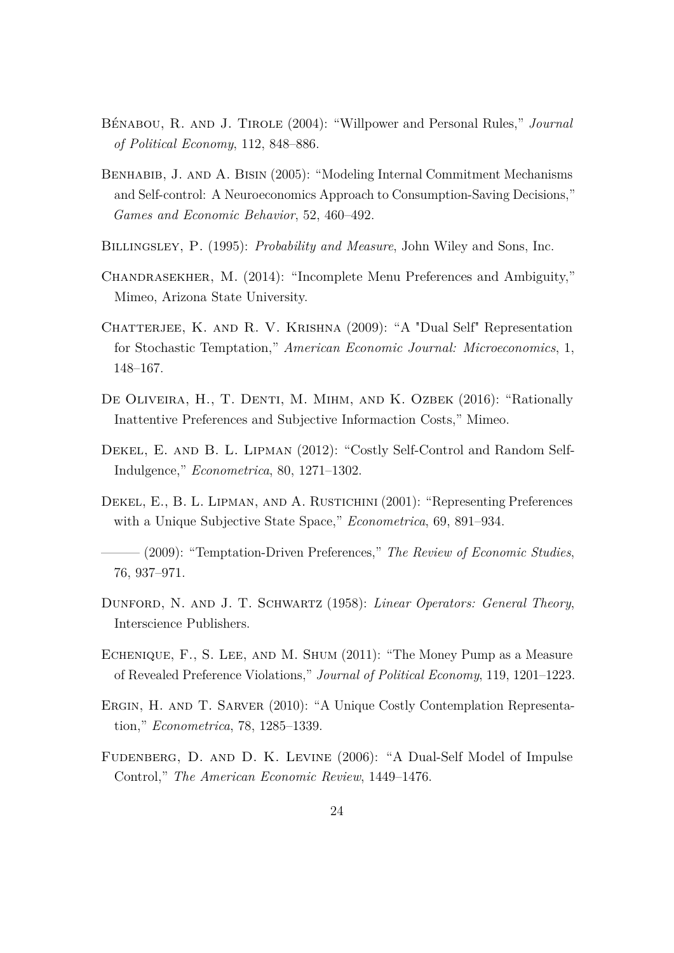- <span id="page-23-5"></span>Bénabou, R. and J. Tirole (2004): "Willpower and Personal Rules," *Journal of Political Economy*, 112, 848–886.
- <span id="page-23-6"></span>Benhabib, J. and A. Bisin (2005): "Modeling Internal Commitment Mechanisms and Self-control: A Neuroeconomics Approach to Consumption-Saving Decisions," *Games and Economic Behavior*, 52, 460–492.
- <span id="page-23-11"></span>Billingsley, P. (1995): *Probability and Measure*, John Wiley and Sons, Inc.
- <span id="page-23-2"></span>Chandrasekher, M. (2014): "Incomplete Menu Preferences and Ambiguity," Mimeo, Arizona State University.
- <span id="page-23-1"></span>CHATTERJEE, K. AND R. V. KRISHNA (2009): "A "Dual Self" Representation for Stochastic Temptation," *American Economic Journal: Microeconomics*, 1, 148–167.
- <span id="page-23-12"></span>DE OLIVEIRA, H., T. DENTI, M. MIHM, AND K. OZBEK (2016): "Rationally Inattentive Preferences and Subjective Informaction Costs," Mimeo.
- <span id="page-23-0"></span>Dekel, E. and B. L. Lipman (2012): "Costly Self-Control and Random Self-Indulgence," *Econometrica*, 80, 1271–1302.
- <span id="page-23-8"></span>Dekel, E., B. L. Lipman, and A. Rustichini (2001): "Representing Preferences with a Unique Subjective State Space," *Econometrica*, 69, 891–934.
- <span id="page-23-3"></span>——— (2009): "Temptation-Driven Preferences," *The Review of Economic Studies*, 76, 937–971.
- <span id="page-23-10"></span>Dunford, N. and J. T. Schwartz (1958): *Linear Operators: General Theory*, Interscience Publishers.
- <span id="page-23-9"></span>Echenique, F., S. Lee, and M. Shum (2011): "The Money Pump as a Measure of Revealed Preference Violations," *Journal of Political Economy*, 119, 1201–1223.
- <span id="page-23-4"></span>Ergin, H. and T. Sarver (2010): "A Unique Costly Contemplation Representation," *Econometrica*, 78, 1285–1339.
- <span id="page-23-7"></span>Fudenberg, D. and D. K. Levine (2006): "A Dual-Self Model of Impulse Control," *The American Economic Review*, 1449–1476.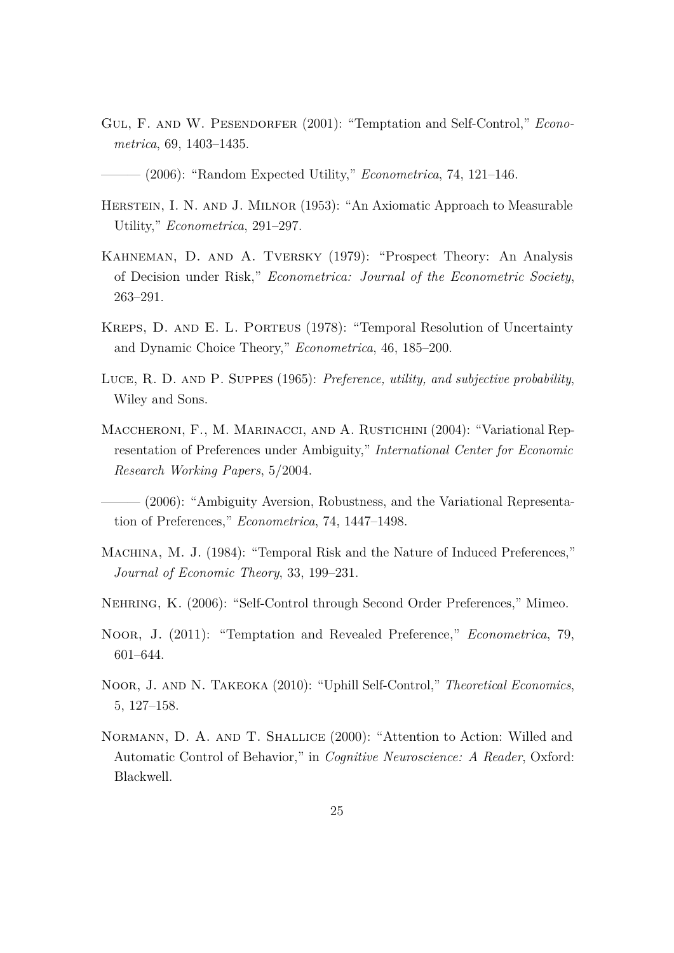- <span id="page-24-0"></span>GUL, F. AND W. PESENDORFER (2001): "Temptation and Self-Control," *Econometrica*, 69, 1403–1435.
- <span id="page-24-6"></span>——— (2006): "Random Expected Utility," *Econometrica*, 74, 121–146.
- <span id="page-24-11"></span>HERSTEIN, I. N. AND J. MILNOR (1953): "An Axiomatic Approach to Measurable Utility," *Econometrica*, 291–297.
- <span id="page-24-10"></span>Kahneman, D. and A. Tversky (1979): "Prospect Theory: An Analysis of Decision under Risk," *Econometrica: Journal of the Econometric Society*, 263–291.
- <span id="page-24-8"></span>Kreps, D. and E. L. Porteus (1978): "Temporal Resolution of Uncertainty and Dynamic Choice Theory," *Econometrica*, 46, 185–200.
- <span id="page-24-5"></span>Luce, R. D. and P. Suppes (1965): *Preference, utility, and subjective probability*, Wiley and Sons.
- <span id="page-24-12"></span>MACCHERONI, F., M. MARINACCI, AND A. RUSTICHINI (2004): "Variational Representation of Preferences under Ambiguity," *International Center for Economic Research Working Papers*, 5/2004.

<span id="page-24-4"></span>– (2006): "Ambiguity Aversion, Robustness, and the Variational Representation of Preferences," *Econometrica*, 74, 1447–1498.

- <span id="page-24-9"></span>Machina, M. J. (1984): "Temporal Risk and the Nature of Induced Preferences," *Journal of Economic Theory*, 33, 199–231.
- <span id="page-24-3"></span>Nehring, K. (2006): "Self-Control through Second Order Preferences," Mimeo.
- <span id="page-24-1"></span>Noor, J. (2011): "Temptation and Revealed Preference," *Econometrica*, 79, 601–644.
- <span id="page-24-2"></span>Noor, J. and N. Takeoka (2010): "Uphill Self-Control," *Theoretical Economics*, 5, 127–158.
- <span id="page-24-7"></span>Normann, D. A. and T. Shallice (2000): "Attention to Action: Willed and Automatic Control of Behavior," in *Cognitive Neuroscience: A Reader*, Oxford: Blackwell.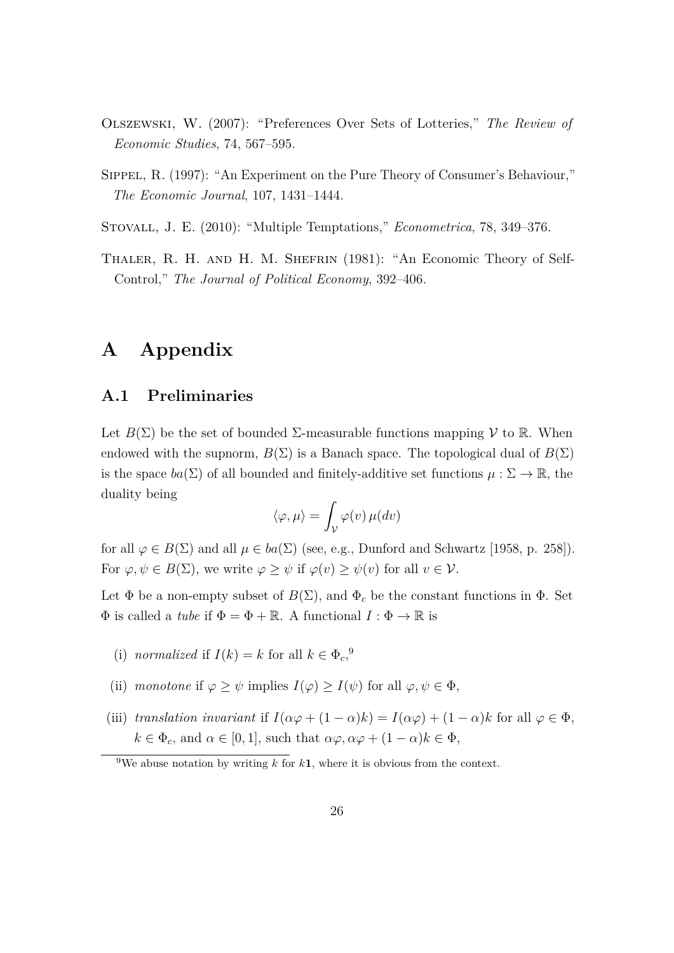- <span id="page-25-1"></span>Olszewski, W. (2007): "Preferences Over Sets of Lotteries," *The Review of Economic Studies*, 74, 567–595.
- <span id="page-25-3"></span>Sippel, R. (1997): "An Experiment on the Pure Theory of Consumer's Behaviour," *The Economic Journal*, 107, 1431–1444.
- <span id="page-25-0"></span>Stovall, J. E. (2010): "Multiple Temptations," *Econometrica*, 78, 349–376.
- <span id="page-25-2"></span>Thaler, R. H. and H. M. Shefrin (1981): "An Economic Theory of Self-Control," *The Journal of Political Economy*, 392–406.

## **A Appendix**

### **A.1 Preliminaries**

Let  $B(\Sigma)$  be the set of bounded  $\Sigma$ -measurable functions mapping  $\mathcal V$  to R. When endowed with the supnorm,  $B(\Sigma)$  is a Banach space. The topological dual of  $B(\Sigma)$ is the space  $ba(\Sigma)$  of all bounded and finitely-additive set functions  $\mu : \Sigma \to \mathbb{R}$ , the duality being

$$
\langle \varphi, \mu \rangle = \int_{\mathcal{V}} \varphi(v) \, \mu(dv)
$$

for all  $\varphi \in B(\Sigma)$  and all  $\mu \in ba(\Sigma)$  (see, e.g., [Dunford and Schwartz](#page-23-10) [\[1958,](#page-23-10) p. 258]). For  $\varphi, \psi \in B(\Sigma)$ , we write  $\varphi \geq \psi$  if  $\varphi(v) \geq \psi(v)$  for all  $v \in \mathcal{V}$ .

Let  $\Phi$  be a non-empty subset of  $B(\Sigma)$ , and  $\Phi_c$  be the constant functions in  $\Phi$ . Set  $\Phi$  is called a *tube* if  $\Phi = \Phi + \mathbb{R}$ . A functional  $I : \Phi \to \mathbb{R}$  is

- (i) *normalized* if  $I(k) = k$  for all  $k \in \Phi_c$ <sup>[9](#page-25-4)</sup>,
- (ii) *monotone* if  $\varphi \geq \psi$  implies  $I(\varphi) \geq I(\psi)$  for all  $\varphi, \psi \in \Phi$ ,
- (iii) *translation invariant* if  $I(\alpha\varphi + (1 \alpha)k) = I(\alpha\varphi) + (1 \alpha)k$  for all  $\varphi \in \Phi$ ,  $k \in \Phi_c$ , and  $\alpha \in [0, 1]$ , such that  $\alpha \varphi, \alpha \varphi + (1 - \alpha)k \in \Phi$ ,

<span id="page-25-4"></span><sup>&</sup>lt;sup>9</sup>We abuse notation by writing *k* for  $k$ **1**, where it is obvious from the context.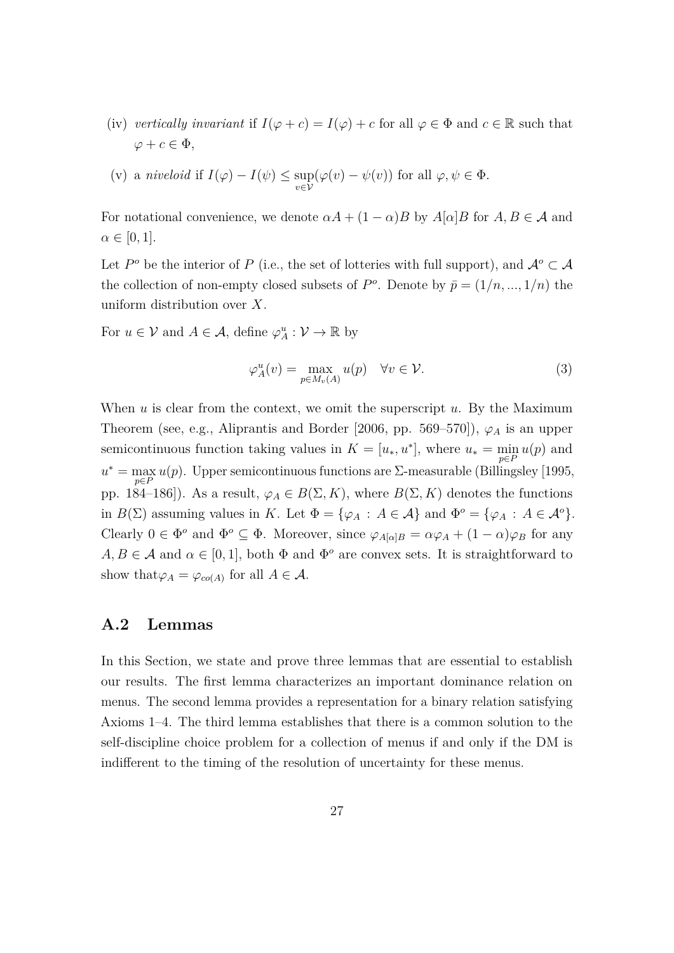(iv) *vertically invariant* if  $I(\varphi + c) = I(\varphi) + c$  for all  $\varphi \in \Phi$  and  $c \in \mathbb{R}$  such that  $\varphi + c \in \Phi$ ,

(v) a *niveloid* if 
$$
I(\varphi) - I(\psi) \le \sup_{v \in \mathcal{V}} (\varphi(v) - \psi(v))
$$
 for all  $\varphi, \psi \in \Phi$ .

For notational convenience, we denote  $\alpha A + (1 - \alpha)B$  by  $A[\alpha]B$  for  $A, B \in \mathcal{A}$  and  $\alpha \in [0,1].$ 

Let  $P^o$  be the interior of *P* (i.e., the set of lotteries with full support), and  $A^o \subset A$ the collection of non-empty closed subsets of  $P^o$ . Denote by  $\bar{p} = (1/n, ..., 1/n)$  the uniform distribution over *X*.

For  $u \in \mathcal{V}$  and  $A \in \mathcal{A}$ , define  $\varphi_A^u : \mathcal{V} \to \mathbb{R}$  by

$$
\varphi_A^u(v) = \max_{p \in M_v(A)} u(p) \quad \forall v \in \mathcal{V}.\tag{3}
$$

When *u* is clear from the context, we omit the superscript *u*. By the Maximum Theorem (see, e.g., [Aliprantis and Border](#page-22-3) [\[2006,](#page-22-3) pp. 569–570]),  $\varphi_A$  is an upper semicontinuous function taking values in  $K = [u_*, u^*]$ , where  $u_* = \min_{p \in P} u(p)$  and  $u^* = \max_{p \in P} u(p)$ . Upper semicontinuous functions are Σ-measurable [\(Billingsley](#page-23-11) [\[1995,](#page-23-11) pp. 184–186]). As a result,  $\varphi_A \in B(\Sigma, K)$ , where  $B(\Sigma, K)$  denotes the functions in  $B(\Sigma)$  assuming values in *K*. Let  $\Phi = {\varphi_A : A \in \mathcal{A}}$  and  $\Phi^o = {\varphi_A : A \in \mathcal{A}^o}$ . Clearly  $0 \in \Phi^o$  and  $\Phi^o \subseteq \Phi$ . Moreover, since  $\varphi_{A[\alpha]B} = \alpha \varphi_A + (1 - \alpha) \varphi_B$  for any  $A, B \in \mathcal{A}$  and  $\alpha \in [0, 1]$ , both  $\Phi$  and  $\Phi^o$  are convex sets. It is straightforward to show that  $\varphi_A = \varphi_{co(A)}$  for all  $A \in \mathcal{A}$ .

### **A.2 Lemmas**

In this Section, we state and prove three lemmas that are essential to establish our results. The first lemma characterizes an important dominance relation on menus. The second lemma provides a representation for a binary relation satisfying Axioms [1](#page-9-1)[–4.](#page-11-0) The third lemma establishes that there is a common solution to the self-discipline choice problem for a collection of menus if and only if the DM is indifferent to the timing of the resolution of uncertainty for these menus.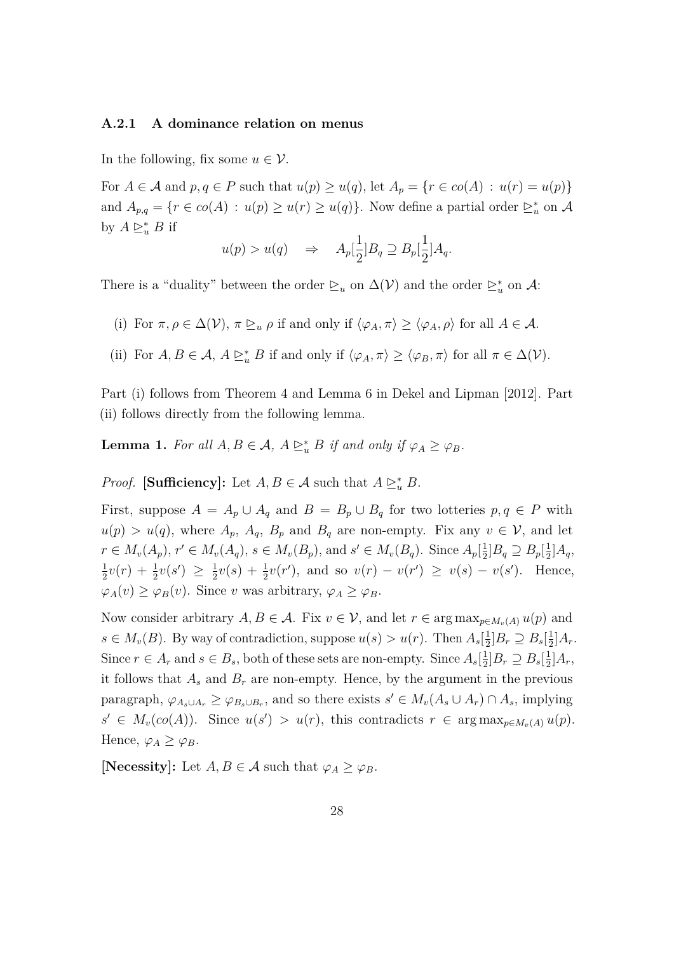#### **A.2.1 A dominance relation on menus**

In the following, fix some  $u \in \mathcal{V}$ .

For  $A \in \mathcal{A}$  and  $p, q \in P$  such that  $u(p) \geq u(q)$ , let  $A_p = \{r \in co(A) : u(r) = u(p)\}$ and  $A_{p,q} = \{r \in co(A) : u(p) \ge u(r) \ge u(q)\}.$  Now define a partial order  $\ge_u^*$  on A by  $A \trianglerighteq_u^* B$  if

$$
u(p) > u(q) \quad \Rightarrow \quad A_p[\frac{1}{2}]B_q \supseteq B_p[\frac{1}{2}]A_q.
$$

There is a "duality" between the order  $\trianglerighteq_u$  on  $\Delta(\mathcal{V})$  and the order  $\trianglerighteq_u^*$  on  $\mathcal{A}$ :

- (i) For  $\pi, \rho \in \Delta(\mathcal{V})$ ,  $\pi \geq_u \rho$  if and only if  $\langle \varphi_A, \pi \rangle \geq \langle \varphi_A, \rho \rangle$  for all  $A \in \mathcal{A}$ .
- (ii) For  $A, B \in \mathcal{A}, A \succeq_u^* B$  if and only if  $\langle \varphi_A, \pi \rangle \ge \langle \varphi_B, \pi \rangle$  for all  $\pi \in \Delta(\mathcal{V})$ .

Part (i) follows from Theorem 4 and Lemma 6 in [Dekel and Lipman](#page-23-0) [\[2012\]](#page-23-0). Part (ii) follows directly from the following lemma.

<span id="page-27-0"></span>**Lemma 1.** For all  $A, B \in \mathcal{A}$ ,  $A \succeq_u^* B$  if and only if  $\varphi_A \geq \varphi_B$ .

*Proof.* **[Sufficiency]:** Let  $A, B \in \mathcal{A}$  such that  $A \succeq_u^* B$ .

First, suppose  $A = A_p \cup A_q$  and  $B = B_p \cup B_q$  for two lotteries  $p, q \in P$  with  $u(p) > u(q)$ , where  $A_p$ ,  $A_q$ ,  $B_p$  and  $B_q$  are non-empty. Fix any  $v \in V$ , and let  $r \in M_v(A_p)$ ,  $r' \in M_v(A_q)$ ,  $s \in M_v(B_p)$ , and  $s' \in M_v(B_q)$ . Since  $A_p[\frac{1}{2}]$  $\frac{1}{2}$ ] $B_q \supseteq B_p[\frac{1}{2}]$  $\frac{1}{2}$ ] $A_q$ , 1  $\frac{1}{2}v(r) + \frac{1}{2}v(s') \geq \frac{1}{2}$  $\frac{1}{2}v(s) + \frac{1}{2}v(r')$ , and so  $v(r) - v(r') \ge v(s) - v(s')$ . Hence,  $\varphi_A(v) \geq \varphi_B(v)$ . Since *v* was arbitrary,  $\varphi_A \geq \varphi_B$ .

Now consider arbitrary  $A, B \in \mathcal{A}$ . Fix  $v \in \mathcal{V}$ , and let  $r \in \arg \max_{p \in M_v(A)} u(p)$  and  $s \in M_v(B)$ . By way of contradiction, suppose  $u(s) > u(r)$ . Then  $A_s[\frac{1}{2}]$  $\frac{1}{2}$ ] $B_r \supseteq B_s$ [ $\frac{1}{2}$  $\frac{1}{2}$ ] $A_r$ . Since  $r \in A_r$  and  $s \in B_s$ , both of these sets are non-empty. Since  $A_s[\frac{1}{2}]$  $\frac{1}{2}$ ] $B_r \supseteq B_s$ [ $\frac{1}{2}$  $\frac{1}{2}$ ] $A_r$ , it follows that  $A_s$  and  $B_r$  are non-empty. Hence, by the argument in the previous paragraph,  $\varphi_{A_s \cup A_r} \geq \varphi_{B_s \cup B_r}$ , and so there exists  $s' \in M_v(A_s \cup A_r) \cap A_s$ , implying  $s' \in M_v(\text{co}(A))$ . Since  $u(s') > u(r)$ , this contradicts  $r \in \arg \max_{p \in M_v(A)} u(p)$ . Hence,  $\varphi_A \geq \varphi_B$ .

**[Necessity]:** Let  $A, B \in \mathcal{A}$  such that  $\varphi_A \geq \varphi_B$ .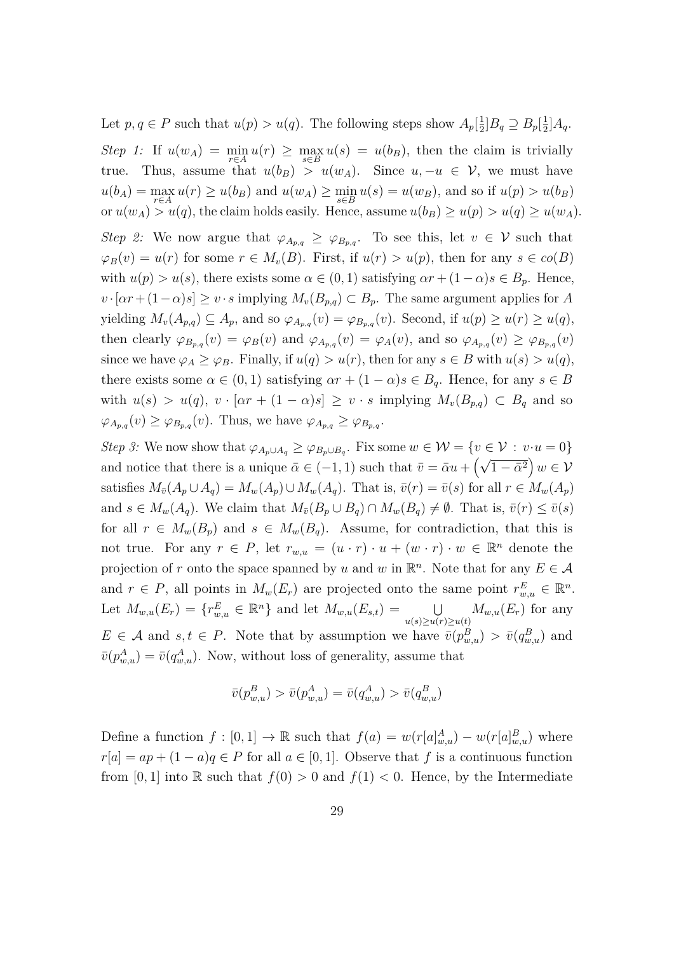Let  $p, q \in P$  such that  $u(p) > u(q)$ . The following steps show  $A_p[\frac{1}{2}]$  $\frac{1}{2}$ ] $B_q \supseteq B_p[\frac{1}{2}]$  $\frac{1}{2}$ ] $A_q$ . *Step 1:* If  $u(w_A) = \min_{a \in A} u(r) \ge \max_{a \in B} u(s) = u(b_B)$ , then the claim is trivially true. Thus, assume that  $u(b_B) > u(w_A)$ . Since  $u, -u \in V$ , we must have  $u(b_A) = \max_{r \in A} u(r) \ge u(b_B)$  and  $u(w_A) \ge \min_{s \in B} u(s) = u(w_B)$ , and so if  $u(p) > u(b_B)$ or  $u(w_A) > u(q)$ , the claim holds easily. Hence, assume  $u(b_B) \ge u(p) > u(q) \ge u(w_A)$ . *Step 2:* We now argue that  $\varphi_{A_{p,q}} \geq \varphi_{B_{p,q}}$ . To see this, let  $v \in V$  such that  $\varphi_B(v) = u(r)$  for some  $r \in M_v(B)$ . First, if  $u(r) > u(p)$ , then for any  $s \in co(B)$ with  $u(p) > u(s)$ , there exists some  $\alpha \in (0,1)$  satisfying  $\alpha r + (1-\alpha)s \in B_p$ . Hence,  $v \cdot [\alpha r + (1-\alpha)s] \geq v \cdot s$  implying  $M_v(B_{p,q}) \subset B_p$ . The same argument applies for *A* yielding  $M_v(A_{p,q}) \subseteq A_p$ , and so  $\varphi_{A_{p,q}}(v) = \varphi_{B_{p,q}}(v)$ . Second, if  $u(p) \ge u(r) \ge u(q)$ , then clearly  $\varphi_{B_{p,q}}(v) = \varphi_B(v)$  and  $\varphi_{A_{p,q}}(v) = \varphi_A(v)$ , and so  $\varphi_{A_{p,q}}(v) \geq \varphi_{B_{p,q}}(v)$ since we have  $\varphi_A \geq \varphi_B$ . Finally, if  $u(q) > u(r)$ , then for any  $s \in B$  with  $u(s) > u(q)$ , there exists some  $\alpha \in (0,1)$  satisfying  $\alpha r + (1-\alpha)s \in B_q$ . Hence, for any  $s \in B$ with  $u(s) > u(q)$ ,  $v \cdot [\alpha r + (1 - \alpha)s] \ge v \cdot s$  implying  $M_v(B_{p,q}) \subset B_q$  and so  $\varphi_{A_{p,q}}(v) \geq \varphi_{B_{p,q}}(v)$ . Thus, we have  $\varphi_{A_{p,q}} \geq \varphi_{B_{p,q}}$ .

*Step 3:* We now show that  $\varphi_{A_p \cup A_q} \geq \varphi_{B_p \cup B_q}$ . Fix some  $w \in \mathcal{W} = \{v \in \mathcal{V} : v \cdot u = 0\}$ and notice that there is a unique  $\bar{\alpha} \in (-1, 1)$  such that  $\bar{v} = \bar{\alpha}u + (\sqrt{1 - \bar{\alpha}^2})w \in \mathcal{V}$ satisfies  $M_{\bar{v}}(A_p \cup A_q) = M_w(A_p) \cup M_w(A_q)$ . That is,  $\bar{v}(r) = \bar{v}(s)$  for all  $r \in M_w(A_p)$ and  $s \in M_w(A_q)$ . We claim that  $M_{\bar{v}}(B_p \cup B_q) \cap M_w(B_q) \neq \emptyset$ . That is,  $\bar{v}(r) \leq \bar{v}(s)$ for all  $r \in M_w(B_p)$  and  $s \in M_w(B_q)$ . Assume, for contradiction, that this is not true. For any  $r \in P$ , let  $r_{w,u} = (u \cdot r) \cdot u + (w \cdot r) \cdot w \in \mathbb{R}^n$  denote the projection of *r* onto the space spanned by *u* and *w* in  $\mathbb{R}^n$ . Note that for any  $E \in \mathcal{A}$ and  $r \in P$ , all points in  $M_w(E_r)$  are projected onto the same point  $r_{w,u}^E \in \mathbb{R}^n$ . Let  $M_{w,u}(E_r) = \{r_{w,u}^E \in \mathbb{R}^n\}$  and let  $M_{w,u}(E_{s,t}) = \bigcup_{u(s) \ge u(r) \ge u(t)} M_{w,u}(E_r)$  for any  $E \in \mathcal{A}$  and  $s, t \in P$ . Note that by assumption we have  $\bar{v}(p_{w,u}^B) > \bar{v}(q_{w,u}^B)$  and  $\bar{v}(p_{w,u}^A) = \bar{v}(q_{w,u}^A)$ . Now, without loss of generality, assume that

$$
\bar{v}(p^B_{w,u})>\bar{v}(p^A_{w,u})=\bar{v}(q^A_{w,u})>\bar{v}(q^B_{w,u})
$$

Define a function  $f : [0, 1] \to \mathbb{R}$  such that  $f(a) = w(r[a]_{w,u}^A) - w(r[a]_{w,u}^B)$  where  $r[a] = ap + (1 - a)q \in P$  for all  $a \in [0, 1]$ . Observe that *f* is a continuous function from [0, 1] into R such that  $f(0) > 0$  and  $f(1) < 0$ . Hence, by the Intermediate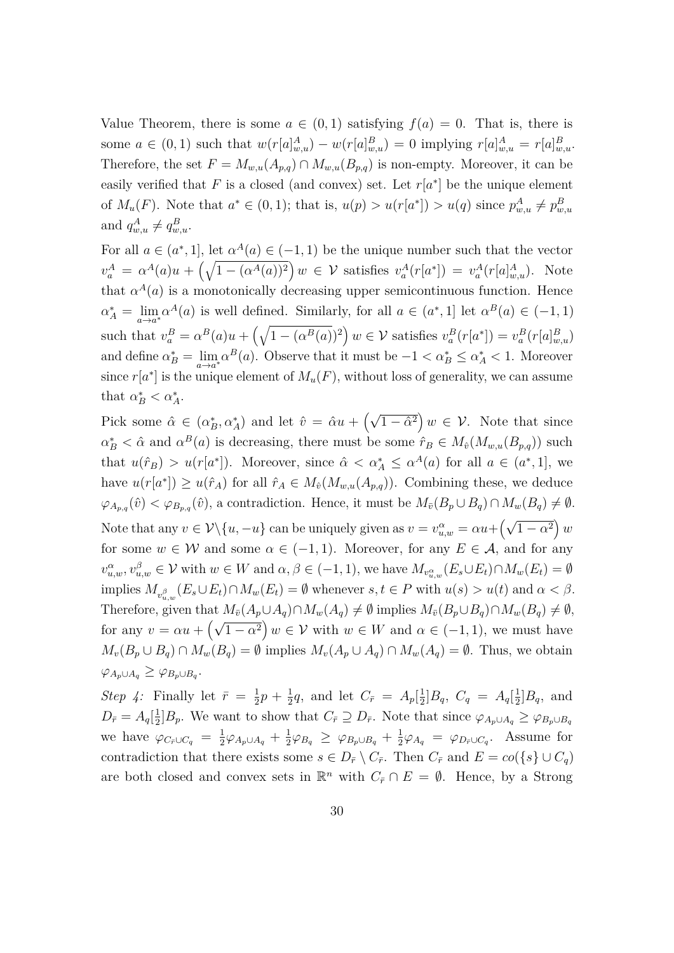Value Theorem, there is some  $a \in (0,1)$  satisfying  $f(a) = 0$ . That is, there is some  $a \in (0,1)$  such that  $w(r[a]_{w,u}^A) - w(r[a]_{w,u}^B) = 0$  implying  $r[a]_{w,u}^A = r[a]_{w,u}^B$ . Therefore, the set  $F = M_{w,u}(A_{p,q}) \cap M_{w,u}(B_{p,q})$  is non-empty. Moreover, it can be easily verified that  $F$  is a closed (and convex) set. Let  $r[a^*]$  be the unique element of  $M_u(F)$ . Note that  $a^* \in (0,1)$ ; that is,  $u(p) > u(r[a^*]) > u(q)$  since  $p_{w,u}^A \neq p_{w,u}^B$ and  $q_{w,u}^A \neq q_{w,u}^B$ .

For all  $a \in (a^*, 1]$ , let  $\alpha^A(a) \in (-1, 1)$  be the unique number such that the vector  $v_a^A = \alpha^A(a)u + \left(\sqrt{1 - (\alpha^A(a))^2}\right)w \in \mathcal{V}$  satisfies  $v_a^A(r[a^*]) = v_a^A(r[a]_{w,u}^A)$ . Note that  $\alpha^{A}(a)$  is a monotonically decreasing upper semicontinuous function. Hence  $\alpha_A^* = \lim_{a \to a^*} \alpha^A(a)$  is well defined. Similarly, for all  $a \in (a^*, 1]$  let  $\alpha^B(a) \in (-1, 1)$ such that  $v_a^B = \alpha^B(a)u + \left(\sqrt{1 - (\alpha^B(a))}^2\right)w \in \mathcal{V}$  satisfies  $v_a^B(r[a^*]) = v_a^B(r[a]_{w,u}^B)$ and define  $\alpha_B^* = \lim_{a \to a^*} \alpha^B(a)$ . Observe that it must be  $-1 < \alpha_B^* \le \alpha_A^* < 1$ . Moreover since  $r[a^*]$  is the unique element of  $M_u(F)$ , without loss of generality, we can assume that  $\alpha_B^* < \alpha_A^*$ .

Pick some  $\hat{\alpha} \in (\alpha_B^*, \alpha_A^*)$  and let  $\hat{v} = \hat{\alpha}u + (\sqrt{1 - \hat{\alpha}^2})w \in \mathcal{V}$ . Note that since  $\alpha_B^* < \hat{\alpha}$  and  $\alpha^B(a)$  is decreasing, there must be some  $\hat{r}_B \in M_{\hat{v}}(M_{w,u}(B_{p,q}))$  such that  $u(\hat{r}_B) > u(r[a^*])$ . Moreover, since  $\hat{\alpha} < \alpha^*_{A} \leq \alpha^A(a)$  for all  $a \in (a^*, 1]$ , we have  $u(r[a^*]) \geq u(\hat{r}_A)$  for all  $\hat{r}_A \in M_{\hat{v}}(M_{w,u}(A_{p,q}))$ . Combining these, we deduce  $\varphi_{A_{p,q}}(\hat{v}) < \varphi_{B_{p,q}}(\hat{v})$ , a contradiction. Hence, it must be  $M_{\bar{v}}(B_p \cup B_q) \cap M_w(B_q) \neq \emptyset$ . Note that any  $v \in \mathcal{V} \setminus \{u, -u\}$  can be uniquely given as  $v = v_{u,w}^{\alpha} = \alpha u + \left(\sqrt{1 - \alpha^2}\right) w$ for some  $w \in W$  and some  $\alpha \in (-1,1)$ . Moreover, for any  $E \in \mathcal{A}$ , and for any  $v_{u,w}^{\alpha}, v_{u,w}^{\beta} \in \mathcal{V}$  with  $w \in W$  and  $\alpha, \beta \in (-1,1)$ , we have  $M_{v_{u,w}^{\alpha}}(E_s \cup E_t) \cap M_w(E_t) = \emptyset$  $\lim_{u \to \infty} M_{v_{u,w}^{\beta}}(E_s \cup E_t) \cap M_w(E_t) = \emptyset$  whenever  $s, t \in P$  with  $u(s) > u(t)$  and  $\alpha < \beta$ . Therefore, given that  $M_{\bar{v}}(A_p \cup A_q) \cap M_w(A_q) \neq \emptyset$  implies  $M_{\bar{v}}(B_p \cup B_q) \cap M_w(B_q) \neq \emptyset$ , for any  $v = \alpha u + (\sqrt{1 - \alpha^2}) w \in V$  with  $w \in W$  and  $\alpha \in (-1, 1)$ , we must have  $M_v(B_p \cup B_q) \cap M_w(B_q) = \emptyset$  implies  $M_v(A_p \cup A_q) \cap M_w(A_q) = \emptyset$ . Thus, we obtain  $\varphi_{A_p \cup A_q} \geq \varphi_{B_p \cup B_q}$ 

*Step 4:* Finally let  $\bar{r} = \frac{1}{2}$  $\frac{1}{2}p + \frac{1}{2}$  $\frac{1}{2}q$ , and let  $C_{\bar{r}} = A_p[\frac{1}{2}]$  $\frac{1}{2}$ ] $B_q$ ,  $C_q = A_q[\frac{1}{2}]$  $\frac{1}{2}$ ] $B_q$ , and  $D_{\bar{r}} = A_q[\frac{1}{2}]$  $\frac{1}{2}$ ] $B_p$ . We want to show that  $C_{\bar{r}} \supseteq D_{\bar{r}}$ . Note that since  $\varphi_{A_p \cup A_q} \geq \varphi_{B_p \cup B_q}$ we have  $\varphi_{C_{\bar{r}} \cup C_q} = \frac{1}{2}$  $\frac{1}{2}\varphi_{A_p\cup A_q}+\frac{1}{2}$  $\frac{1}{2}\varphi_{B_q} \geq \varphi_{B_p \cup B_q} + \frac{1}{2}$  $\frac{1}{2}\varphi_{A_q} = \varphi_{D_{\bar{r}} \cup C_q}$ . Assume for contradiction that there exists some  $s \in D_{\bar{r}} \setminus C_{\bar{r}}$ . Then  $C_{\bar{r}}$  and  $E = co({s} \cup C_q)$ are both closed and convex sets in  $\mathbb{R}^n$  with  $C_{\bar{r}} \cap E = \emptyset$ . Hence, by a Strong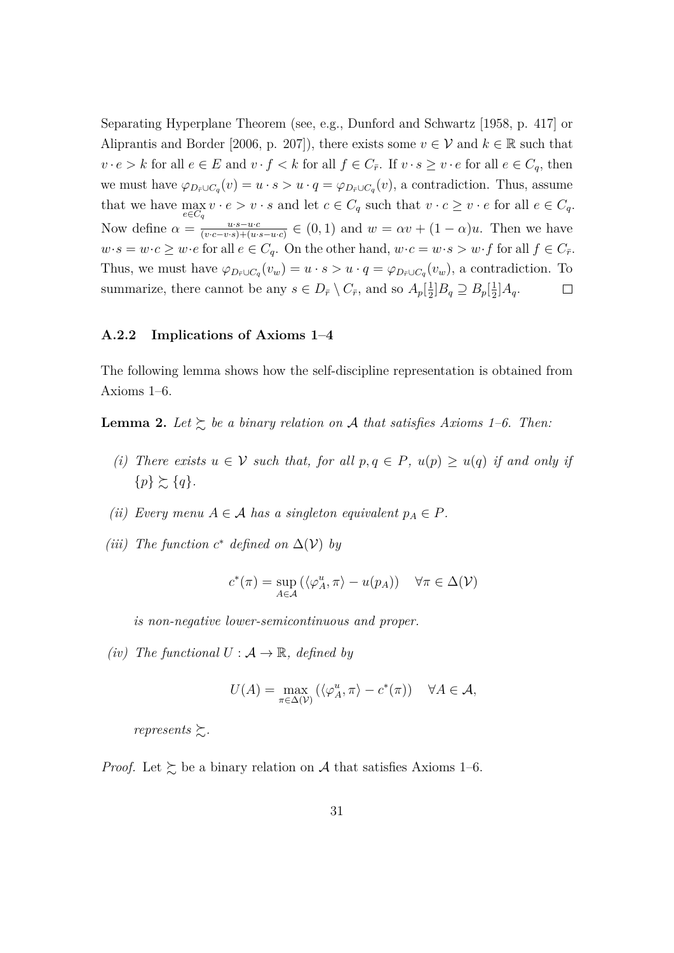Separating Hyperplane Theorem (see, e.g., [Dunford and Schwartz](#page-23-10) [\[1958,](#page-23-10) p. 417] or [Aliprantis and Border](#page-22-3) [\[2006,](#page-22-3) p. 207]), there exists some  $v \in V$  and  $k \in \mathbb{R}$  such that  $v \cdot e > k$  for all  $e \in E$  and  $v \cdot f < k$  for all  $f \in C_{\bar{r}}$ . If  $v \cdot s \ge v \cdot e$  for all  $e \in C_q$ , then we must have  $\varphi_{D_{\bar{r}} \cup C_q}(v) = u \cdot s > u \cdot q = \varphi_{D_{\bar{r}} \cup C_q}(v)$ , a contradiction. Thus, assume that we have  $\max_{a \in \mathbb{R}^d} v \cdot e > v \cdot s$  and let  $c \in C_q$  such that  $v \cdot c \geq v \cdot e$  for all  $e \in C_q$ . *e*∈*C<sup>q</sup>* Now define  $\alpha = \frac{u \cdot s - u \cdot c}{(v \cdot c - v \cdot s) + (u \cdot c)}$  $\frac{u \cdot s - u \cdot c}{(v \cdot c - v \cdot s) + (u \cdot s - u \cdot c)} \in (0, 1)$  and  $w = \alpha v + (1 - \alpha)u$ . Then we have  $w \cdot s = w \cdot c \geq w \cdot e$  for all  $e \in C_q$ . On the other hand,  $w \cdot c = w \cdot s > w \cdot f$  for all  $f \in C_{\bar{r}}$ . Thus, we must have  $\varphi_{D_{\bar{r}} \cup C_q}(v_w) = u \cdot s > u \cdot q = \varphi_{D_{\bar{r}} \cup C_q}(v_w)$ , a contradiction. To summarize, there cannot be any  $s \in D_{\bar{r}} \setminus C_{\bar{r}}$ , and so  $A_p[\frac{1}{2}]$  $\frac{1}{2}$ ] $B_q \supseteq B_p[\frac{1}{2}]$  $\frac{1}{2}$ ] $A_q$ .  $\Box$ 

#### **A.2.2 Implications of Axioms [1–](#page-9-1)[4](#page-11-0)**

The following lemma shows how the self-discipline representation is obtained from Axioms [1–](#page-9-1)[6.](#page-12-0)

<span id="page-30-0"></span>**Lemma 2.** Let  $\succsim$  be a binary relation on A that satisfies Axioms [1](#page-9-1)[–6.](#page-12-0) Then:

- *(i) There exists*  $u \in V$  *such that, for all*  $p, q \in P$ *,*  $u(p) \geq u(q)$  *if and only if*  $\{p\} \succeq \{q\}.$
- *(ii) Every menu*  $A \in \mathcal{A}$  *has a singleton equivalent*  $p_A \in P$ *.*
- *(iii) The function*  $c^*$  *defined on*  $\Delta$ ( $V$ ) *by*

$$
c^*(\pi) = \sup_{A \in \mathcal{A}} (\langle \varphi_A^u, \pi \rangle - u(p_A)) \quad \forall \pi \in \Delta(\mathcal{V})
$$

*is non-negative lower-semicontinuous and proper.*

*(iv) The functional*  $U : \mathcal{A} \to \mathbb{R}$ *, defined by* 

$$
U(A) = \max_{\pi \in \Delta(\mathcal{V})} (\langle \varphi_A^u, \pi \rangle - c^*(\pi)) \quad \forall A \in \mathcal{A},
$$

*represents*  $\succeq$ *.* 

*Proof.* Let  $\geq$  be a binary relation on A that satisfies Axioms [1–](#page-9-1)[6.](#page-12-0)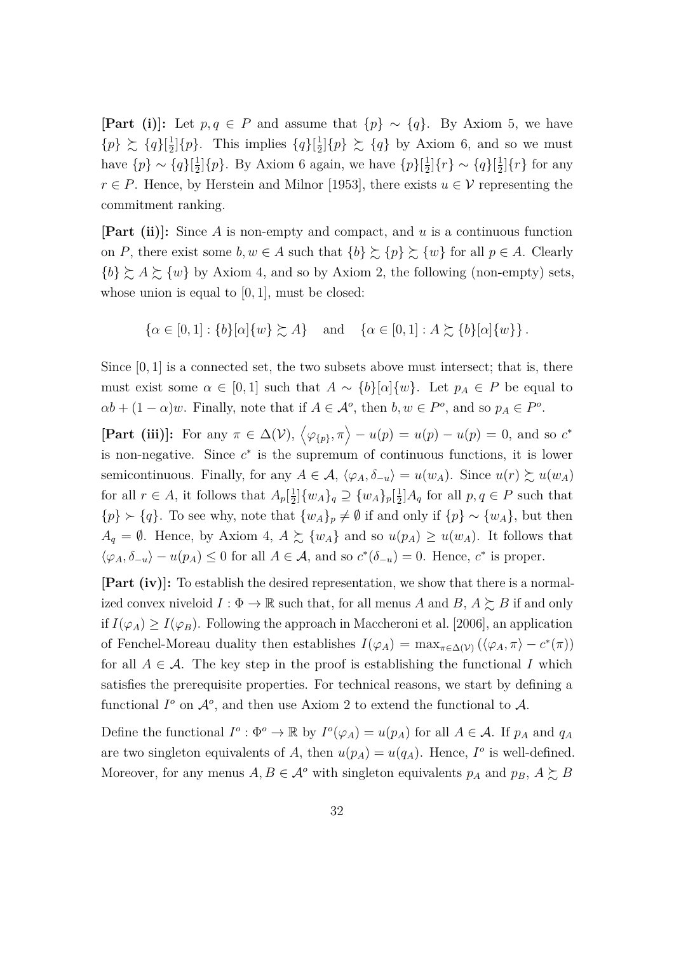**[Part (i)]:** Let  $p, q \in P$  and assume that  $\{p\} \sim \{q\}$ . By Axiom [5,](#page-11-1) we have  ${p} \gtrsim {q}$ [ $\frac{1}{2}$  $\frac{1}{2}$ | $\{p\}$ . This implies  $\{q\}$ | $\frac{1}{2}$  $\frac{1}{2}$  $\{p\} \succeq \{q\}$  by Axiom [6,](#page-12-0) and so we must have  $\{p\} \sim \{q\}$ [ $\frac{1}{2}$ ]  $\frac{1}{2}$ [ $\{p\}$ ]. By Axiom [6](#page-12-0) again, we have  $\{p\}$ [ $\frac{1}{2}$  $\frac{1}{2}$ ]{*r*} ~ {*q*}[ $\frac{1}{2}$  $\frac{1}{2}$ |{*r*} for any *r* ∈ *P*. Hence, by [Herstein and Milnor](#page-24-11) [\[1953\]](#page-24-11), there exists  $u \in V$  representing the commitment ranking.

**[Part (ii)]:** Since *A* is non-empty and compact, and *u* is a continuous function on *P*, there exist some  $b, w \in A$  such that  $\{b\} \succsim \{p\} \succsim \{w\}$  for all  $p \in A$ . Clearly  ${b} \gtrsim A \gtrsim {w}$  by Axiom [4,](#page-11-0) and so by Axiom [2,](#page-10-0) the following (non-empty) sets, whose union is equal to [0*,* 1], must be closed:

$$
\{\alpha \in [0,1] : \{b\}[\alpha]\{w\} \succsim A\} \quad \text{and} \quad \{\alpha \in [0,1] : A \succsim \{b\}[\alpha]\{w\}\}.
$$

Since  $[0, 1]$  is a connected set, the two subsets above must intersect; that is, there must exist some  $\alpha \in [0,1]$  such that  $A \sim \{b\}[\alpha]\{w\}$ . Let  $p_A \in P$  be equal to  $\alpha b + (1 - \alpha)w$ . Finally, note that if  $A \in \mathcal{A}^o$ , then  $b, w \in P^o$ , and so  $p_A \in P^o$ .

**[Part (iii)**]: For any  $\pi \in \Delta(\mathcal{V})$ ,  $\langle \varphi_{\{p\}}, \pi \rangle - u(p) = u(p) - u(p) = 0$ , and so  $c^*$ is non-negative. Since  $c^*$  is the supremum of continuous functions, it is lower semicontinuous. Finally, for any  $A \in \mathcal{A}$ ,  $\langle \varphi_A, \delta_{-u} \rangle = u(w_A)$ . Since  $u(r) \succsim u(w_A)$ for all  $r \in A$ , it follows that  $A_p\left[\frac{1}{2}\right]$  $\frac{1}{2}$ ] $\{w_A\}_q \supseteq \{w_A\}_p[\frac{1}{2}]$  $\frac{1}{2}$ ] $A_q$  for all  $p, q \in P$  such that  ${p} \succ {q}$ . To see why, note that  ${w_A}_p \neq \emptyset$  if and only if  ${p} \sim {w_A}$ , but then  $A_q = \emptyset$ . Hence, by Axiom [4,](#page-11-0)  $A \succeq \{w_A\}$  and so  $u(p_A) \geq u(w_A)$ . It follows that  $\langle \varphi_A, \delta_{-u} \rangle - u(p_A) \leq 0$  for all  $A \in \mathcal{A}$ , and so  $c^*(\delta_{-u}) = 0$ . Hence,  $c^*$  is proper.

**[Part (iv)]:** To establish the desired representation, we show that there is a normalized convex niveloid  $I: \Phi \to \mathbb{R}$  such that, for all menus *A* and *B*,  $A \succeq B$  if and only if  $I(\varphi_A) \geq I(\varphi_B)$ . Following the approach in [Maccheroni et al.](#page-24-4) [\[2006\]](#page-24-4), an application of Fenchel-Moreau duality then establishes  $I(\varphi_A) = \max_{\pi \in \Delta(V)} (\langle \varphi_A, \pi \rangle - c^*(\pi))$ for all  $A \in \mathcal{A}$ . The key step in the proof is establishing the functional *I* which satisfies the prerequisite properties. For technical reasons, we start by defining a functional  $I^o$  on  $\mathcal{A}^o$ , and then use Axiom [2](#page-10-0) to extend the functional to  $\mathcal{A}$ .

Define the functional  $I^o: \Phi^o \to \mathbb{R}$  by  $I^o(\varphi_A) = u(p_A)$  for all  $A \in \mathcal{A}$ . If  $p_A$  and  $q_A$ are two singleton equivalents of *A*, then  $u(p_A) = u(q_A)$ . Hence,  $I^o$  is well-defined. Moreover, for any menus  $A, B \in \mathcal{A}^o$  with singleton equivalents  $p_A$  and  $p_B, A \succeq B$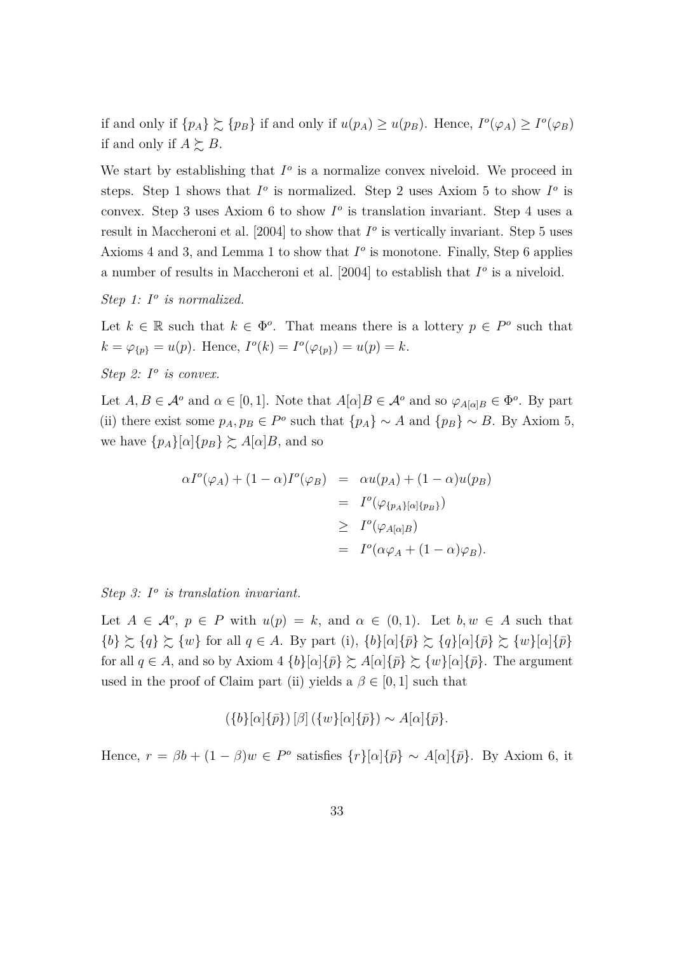if and only if  $\{p_A\} \succsim \{p_B\}$  if and only if  $u(p_A) \geq u(p_B)$ . Hence,  $I^o(\varphi_A) \geq I^o(\varphi_B)$ if and only if  $A \succeq B$ .

We start by establishing that  $I^o$  is a normalize convex niveloid. We proceed in steps. Step 1 shows that  $I^o$  is normalized. Step 2 uses Axiom [5](#page-11-1) to show  $I^o$  is convex. Step 3 uses Axiom [6](#page-12-0) to show  $I^{\circ}$  is translation invariant. Step 4 uses a result in [Maccheroni et al.](#page-24-12)  $[2004]$  to show that  $I^o$  is vertically invariant. Step 5 uses Axioms [4](#page-11-0) and [3,](#page-10-1) and Lemma [1](#page-27-0) to show that  $I^o$  is monotone. Finally, Step 6 applies a number of results in [Maccheroni et al.](#page-24-12) [\[2004\]](#page-24-12) to establish that  $I^o$  is a niveloid.

*Step 1: I o is normalized.*

Let  $k \in \mathbb{R}$  such that  $k \in \Phi^o$ . That means there is a lottery  $p \in P^o$  such that  $k = \varphi_{\{p\}} = u(p)$ . Hence,  $I^o(k) = I^o(\varphi_{\{p\}}) = u(p) = k$ .

*Step 2: I o is convex.*

Let  $A, B \in \mathcal{A}^o$  and  $\alpha \in [0, 1]$ . Note that  $A[\alpha]B \in \mathcal{A}^o$  and so  $\varphi_{A[\alpha]B} \in \Phi^o$ . By part (ii) there exist some  $p_A, p_B \in P^o$  such that  $\{p_A\} \sim A$  and  $\{p_B\} \sim B$ . By Axiom [5,](#page-11-1) we have  $\{p_A\}[\alpha]\{p_B\} \succeq A[\alpha]B$ , and so

$$
\alpha I^o(\varphi_A) + (1 - \alpha)I^o(\varphi_B) = \alpha u(p_A) + (1 - \alpha)u(p_B)
$$
  
=  $I^o(\varphi_{\{p_A\}[\alpha]\{p_B\}})$   

$$
\geq I^o(\varphi_{A[\alpha]B})
$$
  
=  $I^o(\alpha\varphi_A + (1 - \alpha)\varphi_B).$ 

*Step 3: I o is translation invariant.*

Let  $A \in \mathcal{A}^o$ ,  $p \in P$  with  $u(p) = k$ , and  $\alpha \in (0,1)$ . Let  $b, w \in A$  such that  ${b} \gtrsim {q} \gtrsim {w}$  for all  $q \in A$ . By part (i),  ${b}[\alpha]{\pi} \gtrsim {q}[\alpha]{\pi} \gtrsim {w}[\alpha]{\pi}$ for all  $q \in A$ , and so by Axiom [4](#page-11-0)  $\{b\}[\alpha]\{\bar{p}\}\gtrsim A[\alpha]\{\bar{p}\}\gtrsim \{w\}[\alpha]\{\bar{p}\}.$  The argument used in the proof of Claim part (ii) yields a  $\beta \in [0, 1]$  such that

$$
(\{b\}[\alpha]\{\bar{p}\})[\beta]\left(\{w\}[\alpha]\{\bar{p}\}\right) \sim A[\alpha]\{\bar{p}\}.
$$

Hence,  $r = \beta b + (1 - \beta)w \in P^{\circ}$  satisfies  $\{r\}[\alpha]\{\bar{p}\} \sim A[\alpha]\{\bar{p}\}$ . By Axiom [6,](#page-12-0) it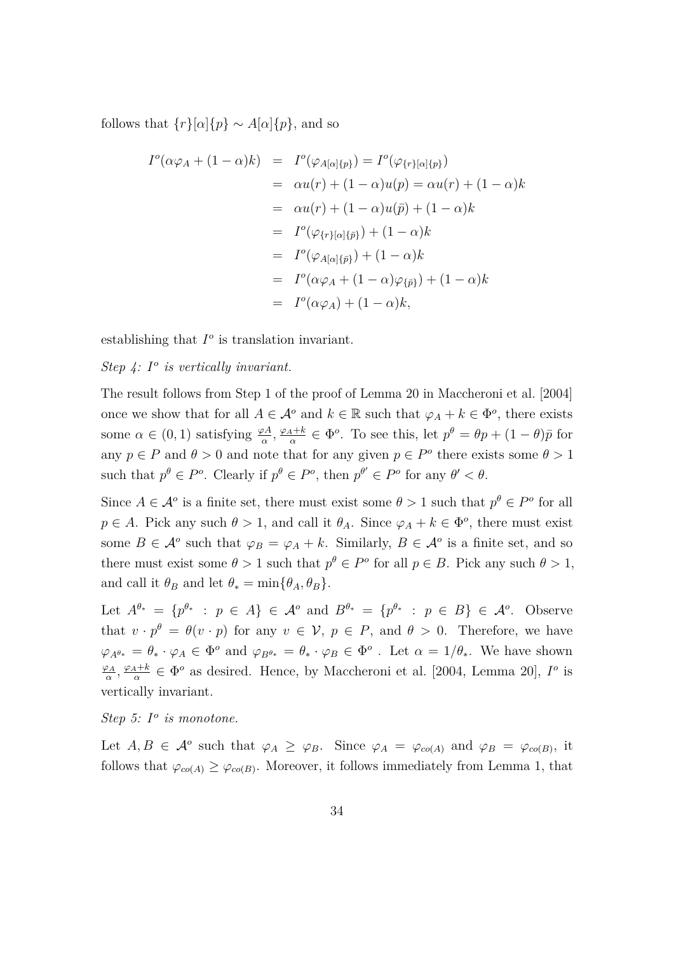follows that  $\{r\}[\alpha]\{p\} \sim A[\alpha]\{p\}$ , and so

$$
I^{o}(\alpha \varphi_{A} + (1 - \alpha)k) = I^{o}(\varphi_{A[\alpha]\{p\}}) = I^{o}(\varphi_{\{r\}[\alpha]\{p\}})
$$
  
=  $\alpha u(r) + (1 - \alpha)u(p) = \alpha u(r) + (1 - \alpha)k$   
=  $\alpha u(r) + (1 - \alpha)u(\bar{p}) + (1 - \alpha)k$   
=  $I^{o}(\varphi_{\{r\}[\alpha]\{\bar{p}\}}) + (1 - \alpha)k$   
=  $I^{o}(\varphi_{A[\alpha]\{\bar{p}\}}) + (1 - \alpha)k$   
=  $I^{o}(\alpha \varphi_{A} + (1 - \alpha)\varphi_{\{\bar{p}\}}) + (1 - \alpha)k$   
=  $I^{o}(\alpha \varphi_{A}) + (1 - \alpha)k$ ,

establishing that  $I^o$  is translation invariant.

*Step 4: I o is vertically invariant.*

The result follows from Step 1 of the proof of Lemma 20 in [Maccheroni et al.](#page-24-12) [\[2004\]](#page-24-12) once we show that for all  $A \in \mathcal{A}^o$  and  $k \in \mathbb{R}$  such that  $\varphi_A + k \in \Phi^o$ , there exists some  $\alpha \in (0, 1)$  satisfying  $\frac{\varphi A}{\alpha}, \frac{\varphi_A + k}{\alpha}$  $a^{\frac{1+k}{\alpha}} \in \Phi^o$ . To see this, let  $p^{\theta} = \theta p + (1 - \theta)\bar{p}$  for any  $p \in P$  and  $\theta > 0$  and note that for any given  $p \in P^o$  there exists some  $\theta > 1$ such that  $p^{\theta} \in P^o$ . Clearly if  $p^{\theta} \in P^o$ , then  $p^{\theta'} \in P^o$  for any  $\theta' < \theta$ .

Since  $A \in \mathcal{A}^o$  is a finite set, there must exist some  $\theta > 1$  such that  $p^{\theta} \in P^o$  for all  $p \in A$ . Pick any such  $\theta > 1$ , and call it  $\theta_A$ . Since  $\varphi_A + k \in \Phi^o$ , there must exist some  $B \in \mathcal{A}^o$  such that  $\varphi_B = \varphi_A + k$ . Similarly,  $B \in \mathcal{A}^o$  is a finite set, and so there must exist some  $\theta > 1$  such that  $p^{\theta} \in P^{\circ}$  for all  $p \in B$ . Pick any such  $\theta > 1$ , and call it  $\theta_B$  and let  $\theta_* = \min{\{\theta_A, \theta_B\}}$ .

Let  $A^{\theta_*} = \{p^{\theta_*} : p \in A\} \in \mathcal{A}^o$  and  $B^{\theta_*} = \{p^{\theta_*} : p \in B\} \in \mathcal{A}^o$ . Observe that  $v \cdot p^{\theta} = \theta(v \cdot p)$  for any  $v \in V$ ,  $p \in P$ , and  $\theta > 0$ . Therefore, we have  $\varphi_{A^{\theta_*}} = \theta_* \cdot \varphi_A \in \Phi^o$  and  $\varphi_{B^{\theta_*}} = \theta_* \cdot \varphi_B \in \Phi^o$ . Let  $\alpha = 1/\theta_*$ . We have shown *ϕ<sup>A</sup>*  $\frac{\partial A}{\partial \alpha}$ <sup>*,*</sup>  $\frac{\varphi_A+k}{\alpha}$  $\frac{q+k}{\alpha} \in \Phi^o$  as desired. Hence, by [Maccheroni et al.](#page-24-12) [\[2004,](#page-24-12) Lemma 20],  $I^o$  is vertically invariant.

*Step 5: I o is monotone.*

Let  $A, B \in \mathcal{A}^o$  such that  $\varphi_A \geq \varphi_B$ . Since  $\varphi_A = \varphi_{co(A)}$  and  $\varphi_B = \varphi_{co(B)}$ , it follows that  $\varphi_{co(A)} \geq \varphi_{co(B)}$ . Moreover, it follows immediately from Lemma [1,](#page-27-0) that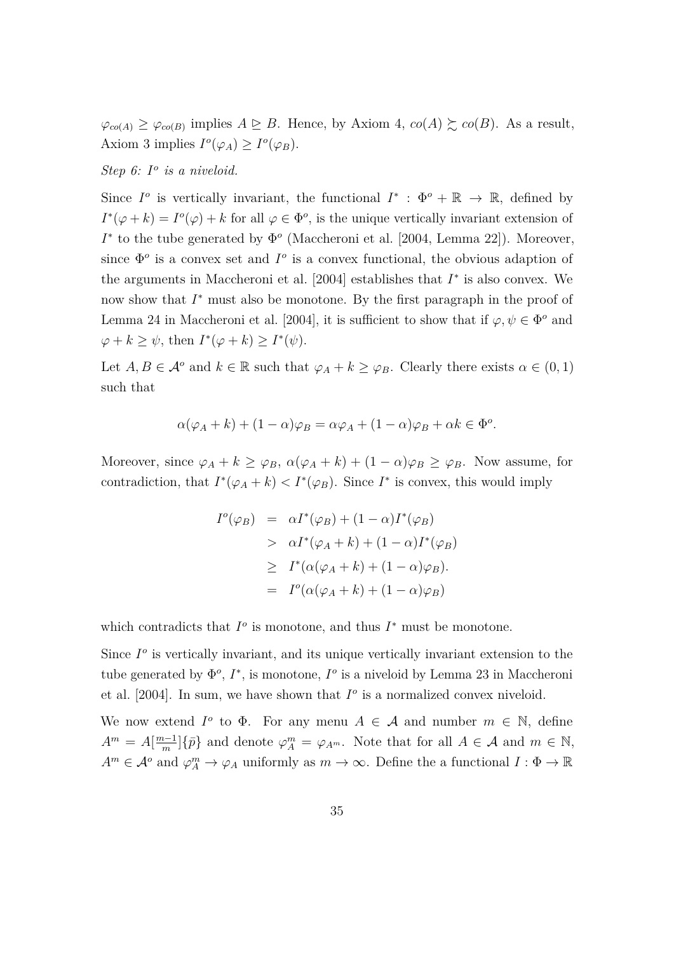$\varphi_{co(A)} \geq \varphi_{co(B)}$  implies  $A \trianglerighteq B$ . Hence, by Axiom [4,](#page-11-0)  $co(A) \succsim co(B)$ . As a result, Axiom [3](#page-10-1) implies  $I^o(\varphi_A) \geq I^o(\varphi_B)$ .

*Step 6: I o is a niveloid.*

Since  $I^o$  is vertically invariant, the functional  $I^*$ :  $\Phi^o + \mathbb{R} \to \mathbb{R}$ , defined by  $I^*(\varphi + k) = I^o(\varphi) + k$  for all  $\varphi \in \Phi^o$ , is the unique vertically invariant extension of  $I^*$  to the tube generated by  $\Phi^o$  [\(Maccheroni et al.](#page-24-12) [\[2004,](#page-24-12) Lemma 22]). Moreover, since  $\Phi^o$  is a convex set and  $I^o$  is a convex functional, the obvious adaption of the arguments in [Maccheroni et al.](#page-24-12)  $[2004]$  establishes that  $I^*$  is also convex. We now show that *I*<sup>∗</sup> must also be monotone. By the first paragraph in the proof of Lemma 24 in [Maccheroni et al.](#page-24-12) [\[2004\]](#page-24-12), it is sufficient to show that if  $\varphi, \psi \in \Phi^{\circ}$  and  $\varphi + k \geq \psi$ , then  $I^*(\varphi + k) \geq I^*(\psi)$ .

Let  $A, B \in \mathcal{A}^o$  and  $k \in \mathbb{R}$  such that  $\varphi_A + k \geq \varphi_B$ . Clearly there exists  $\alpha \in (0, 1)$ such that

$$
\alpha(\varphi_A + k) + (1 - \alpha)\varphi_B = \alpha\varphi_A + (1 - \alpha)\varphi_B + \alpha k \in \Phi^o.
$$

Moreover, since  $\varphi_A + k \geq \varphi_B$ ,  $\alpha(\varphi_A + k) + (1 - \alpha)\varphi_B \geq \varphi_B$ . Now assume, for contradiction, that  $I^*(\varphi_A + k) < I^*(\varphi_B)$ . Since  $I^*$  is convex, this would imply

$$
I^o(\varphi_B) = \alpha I^*(\varphi_B) + (1 - \alpha)I^*(\varphi_B)
$$
  
>  $\alpha I^*(\varphi_A + k) + (1 - \alpha)I^*(\varphi_B)$   
 $\geq I^*(\alpha(\varphi_A + k) + (1 - \alpha)\varphi_B).$   
=  $I^o(\alpha(\varphi_A + k) + (1 - \alpha)\varphi_B)$ 

which contradicts that  $I^o$  is monotone, and thus  $I^*$  must be monotone.

Since  $I^o$  is vertically invariant, and its unique vertically invariant extension to the tube generated by  $\Phi^o$ ,  $I^*$ , is monotone,  $I^o$  is a niveloid by Lemma 23 in [Maccheroni](#page-24-12) [et al.](#page-24-12)  $[2004]$ . In sum, we have shown that  $I^o$  is a normalized convex niveloid.

We now extend  $I^o$  to  $\Phi$ . For any menu  $A \in \mathcal{A}$  and number  $m \in \mathbb{N}$ , define  $A^m = A[\frac{m-1}{m}]$  $\left[\frac{n-1}{m}\right]\{\bar{p}\}\$ and denote  $\varphi_A^m = \varphi_{A^m}$ . Note that for all  $A \in \mathcal{A}$  and  $m \in \mathbb{N}$ ,  $A^m \in \mathcal{A}^o$  and  $\varphi_A^m \to \varphi_A$  uniformly as  $m \to \infty$ . Define the a functional  $I: \Phi \to \mathbb{R}$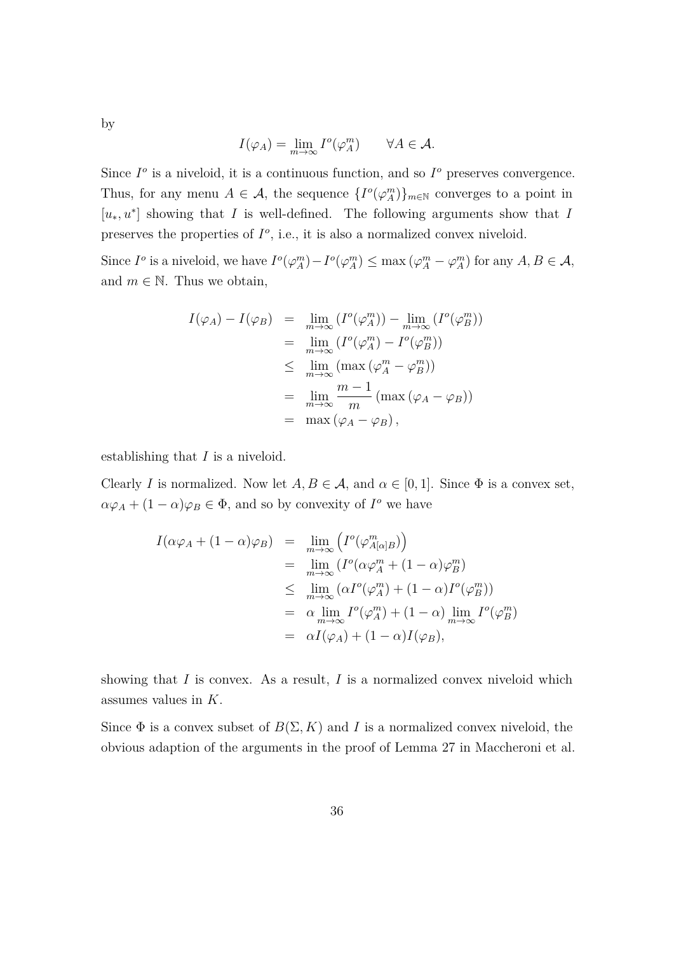by

$$
I(\varphi_A) = \lim_{m \to \infty} I^o(\varphi_A^m) \qquad \forall A \in \mathcal{A}.
$$

Since  $I^o$  is a niveloid, it is a continuous function, and so  $I^o$  preserves convergence. Thus, for any menu  $A \in \mathcal{A}$ , the sequence  $\{I^o(\varphi_A^m)\}_{m\in\mathbb{N}}$  converges to a point in [*u*∗*, u*<sup>∗</sup> ] showing that *I* is well-defined. The following arguments show that *I* preserves the properties of  $I^o$ , i.e., it is also a normalized convex niveloid.

Since  $I^o$  is a niveloid, we have  $I^o(\varphi_A^m) - I^o(\varphi_A^m) \le \max(\varphi_A^m - \varphi_A^m)$  for any  $A, B \in \mathcal{A}$ , and  $m \in \mathbb{N}$ . Thus we obtain,

$$
I(\varphi_A) - I(\varphi_B) = \lim_{m \to \infty} (I^o(\varphi_A^m)) - \lim_{m \to \infty} (I^o(\varphi_B^m))
$$
  
= 
$$
\lim_{m \to \infty} (I^o(\varphi_A^m) - I^o(\varphi_B^m))
$$
  

$$
\leq \lim_{m \to \infty} (\max(\varphi_A^m - \varphi_B^m))
$$
  
= 
$$
\lim_{m \to \infty} \frac{m-1}{m} (\max(\varphi_A - \varphi_B))
$$
  
= 
$$
\max(\varphi_A - \varphi_B),
$$

establishing that *I* is a niveloid.

Clearly *I* is normalized. Now let  $A, B \in \mathcal{A}$ , and  $\alpha \in [0, 1]$ . Since  $\Phi$  is a convex set,  $\alpha\varphi_A + (1-\alpha)\varphi_B \in \Phi$ , and so by convexity of *I*<sup>o</sup> we have

$$
I(\alpha \varphi_A + (1 - \alpha)\varphi_B) = \lim_{m \to \infty} \left( I^o(\varphi_{A[\alpha]B}^m) \right)
$$
  
\n
$$
= \lim_{m \to \infty} \left( I^o(\alpha \varphi_A^m + (1 - \alpha)\varphi_B^m) \right)
$$
  
\n
$$
\leq \lim_{m \to \infty} \left( \alpha I^o(\varphi_A^m) + (1 - \alpha)I^o(\varphi_B^m) \right)
$$
  
\n
$$
= \alpha \lim_{m \to \infty} I^o(\varphi_A^m) + (1 - \alpha) \lim_{m \to \infty} I^o(\varphi_B^m)
$$
  
\n
$$
= \alpha I(\varphi_A) + (1 - \alpha)I(\varphi_B),
$$

showing that  $I$  is convex. As a result,  $I$  is a normalized convex niveloid which assumes values in *K*.

Since  $\Phi$  is a convex subset of  $B(\Sigma, K)$  and *I* is a normalized convex niveloid, the obvious adaption of the arguments in the proof of Lemma 27 in [Maccheroni et al.](#page-24-12)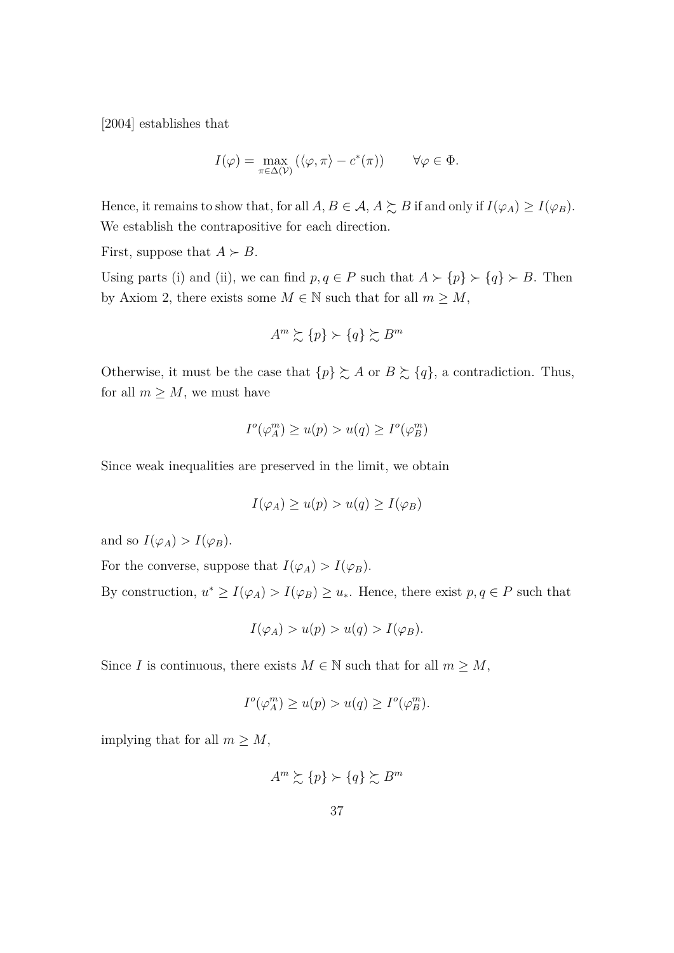[\[2004\]](#page-24-12) establishes that

$$
I(\varphi) = \max_{\pi \in \Delta(\mathcal{V})} (\langle \varphi, \pi \rangle - c^*(\pi)) \qquad \forall \varphi \in \Phi.
$$

Hence, it remains to show that, for all  $A, B \in \mathcal{A}, A \succsim B$  if and only if  $I(\varphi_A) \geq I(\varphi_B)$ . We establish the contrapositive for each direction.

First, suppose that  $A \succ B$ .

Using parts (i) and (ii), we can find  $p, q \in P$  such that  $A \succ \{p\} \succ \{q\} \succ B$ . Then by Axiom [2,](#page-10-0) there exists some  $M \in \mathbb{N}$  such that for all  $m \geq M$ ,

$$
A^m \succsim \{p\} \succ \{q\} \succsim B^m
$$

Otherwise, it must be the case that  $\{p\} \succsim A$  or  $B \succsim \{q\}$ , a contradiction. Thus, for all  $m \geq M$ , we must have

$$
I^o(\varphi_A^m) \ge u(p) > u(q) \ge I^o(\varphi_B^m)
$$

Since weak inequalities are preserved in the limit, we obtain

$$
I(\varphi_A) \ge u(p) > u(q) \ge I(\varphi_B)
$$

and so  $I(\varphi_A) > I(\varphi_B)$ .

For the converse, suppose that  $I(\varphi_A) > I(\varphi_B)$ .

By construction,  $u^* \geq I(\varphi_A) > I(\varphi_B) \geq u_*$ . Hence, there exist  $p, q \in P$  such that

$$
I(\varphi_A) > u(p) > u(q) > I(\varphi_B).
$$

Since *I* is continuous, there exists  $M \in \mathbb{N}$  such that for all  $m \geq M$ ,

$$
I^{o}(\varphi_A^m) \ge u(p) > u(q) \ge I^{o}(\varphi_B^m).
$$

implying that for all  $m \geq M$ ,

$$
A^m \succsim \{p\} \succ \{q\} \succsim B^m
$$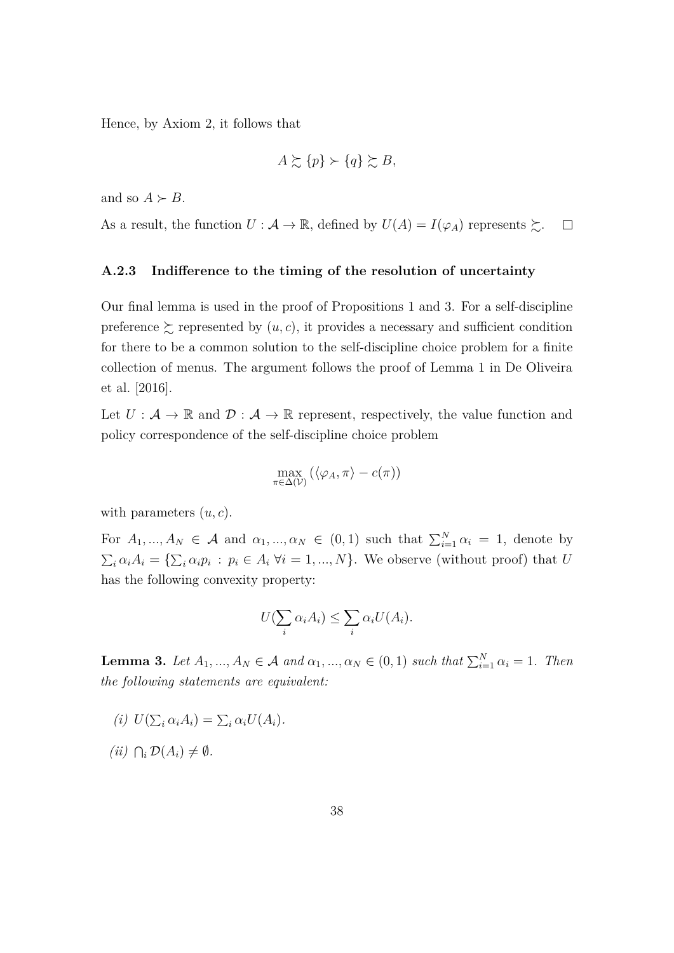Hence, by Axiom [2,](#page-10-0) it follows that

$$
A \succsim \{p\} \succ \{q\} \succsim B,
$$

and so  $A \succ B$ .

As a result, the function  $U : \mathcal{A} \to \mathbb{R}$ , defined by  $U(A) = I(\varphi_A)$  represents  $\succsim$ .  $\Box$ 

#### **A.2.3 Indifference to the timing of the resolution of uncertainty**

Our final lemma is used in the proof of Propositions [1](#page-15-0) and [3.](#page-21-0) For a self-discipline preference  $\succeq$  represented by  $(u, c)$ , it provides a necessary and sufficient condition for there to be a common solution to the self-discipline choice problem for a finite collection of menus. The argument follows the proof of Lemma 1 in [De Oliveira](#page-23-12) [et al.](#page-23-12) [\[2016\]](#page-23-12).

Let  $U: \mathcal{A} \to \mathbb{R}$  and  $\mathcal{D}: \mathcal{A} \to \mathbb{R}$  represent, respectively, the value function and policy correspondence of the self-discipline choice problem

$$
\max_{\pi \in \Delta(\mathcal{V})} (\langle \varphi_A, \pi \rangle - c(\pi))
$$

with parameters (*u, c*).

For  $A_1, ..., A_N \in \mathcal{A}$  and  $\alpha_1, ..., \alpha_N \in (0,1)$  such that  $\sum_{i=1}^N \alpha_i = 1$ , denote by  $\sum_i \alpha_i A_i = \{\sum_i \alpha_i p_i : p_i \in A_i \; \forall i = 1, ..., N\}$ . We observe (without proof) that *U* has the following convexity property:

$$
U(\sum_{i} \alpha_i A_i) \leq \sum_{i} \alpha_i U(A_i).
$$

<span id="page-37-0"></span>**Lemma 3.** *Let*  $A_1, ..., A_N \in \mathcal{A}$  *and*  $\alpha_1, ..., \alpha_N \in (0, 1)$  *such that*  $\sum_{i=1}^N \alpha_i = 1$ *. Then the following statements are equivalent:*

- $(i)$   $U(\sum_i \alpha_i A_i) = \sum_i \alpha_i U(A_i).$
- $(iii)$   $\bigcap_i \mathcal{D}(A_i) \neq \emptyset$ .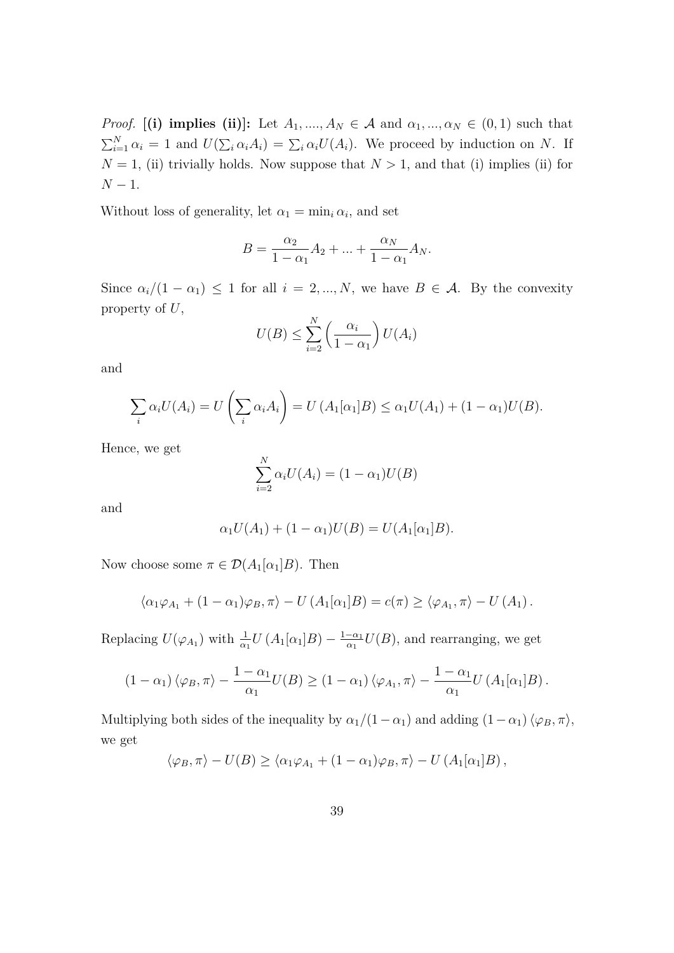*Proof.* [(i) implies (ii)]: Let  $A_1, ..., A_N \in \mathcal{A}$  and  $\alpha_1, ..., \alpha_N \in (0, 1)$  such that  $\sum_{i=1}^{N} \alpha_i = 1$  and  $U(\sum_i \alpha_i A_i) = \sum_i \alpha_i U(A_i)$ . We proceed by induction on *N*. If  $N = 1$ , (ii) trivially holds. Now suppose that  $N > 1$ , and that (i) implies (ii) for *N* − 1.

Without loss of generality, let  $\alpha_1 = \min_i \alpha_i$ , and set

$$
B = \frac{\alpha_2}{1 - \alpha_1} A_2 + \dots + \frac{\alpha_N}{1 - \alpha_1} A_N.
$$

Since  $\alpha_i/(1 - \alpha_1) \leq 1$  for all  $i = 2, ..., N$ , we have  $B \in \mathcal{A}$ . By the convexity property of *U*,

$$
U(B) \le \sum_{i=2}^{N} \left(\frac{\alpha_i}{1-\alpha_1}\right) U(A_i)
$$

and

$$
\sum_i \alpha_i U(A_i) = U\left(\sum_i \alpha_i A_i\right) = U\left(A_1[\alpha_1]B\right) \leq \alpha_1 U(A_1) + (1 - \alpha_1)U(B).
$$

Hence, we get

$$
\sum_{i=2}^{N} \alpha_i U(A_i) = (1 - \alpha_1)U(B)
$$

and

$$
\alpha_1 U(A_1) + (1 - \alpha_1)U(B) = U(A_1[\alpha_1]B).
$$

Now choose some  $\pi \in \mathcal{D}(A_1[\alpha_1]B)$ . Then

$$
\langle \alpha_1 \varphi_{A_1} + (1 - \alpha_1) \varphi_B, \pi \rangle - U(A_1[\alpha_1]B) = c(\pi) \ge \langle \varphi_{A_1}, \pi \rangle - U(A_1).
$$

Replacing  $U(\varphi_{A_1})$  with  $\frac{1}{\alpha_1}U(A_1[\alpha_1]B) - \frac{1-\alpha_1}{\alpha_1}$  $\frac{-\alpha_1}{\alpha_1}U(B)$ , and rearranging, we get

$$
(1 - \alpha_1) \langle \varphi_B, \pi \rangle - \frac{1 - \alpha_1}{\alpha_1} U(B) \ge (1 - \alpha_1) \langle \varphi_{A_1}, \pi \rangle - \frac{1 - \alpha_1}{\alpha_1} U(A_1[\alpha_1]B).
$$

Multiplying both sides of the inequality by  $\alpha_1/(1-\alpha_1)$  and adding  $(1-\alpha_1)\langle\varphi_B, \pi\rangle$ , we get

$$
\langle \varphi_B, \pi \rangle - U(B) \ge \langle \alpha_1 \varphi_{A_1} + (1 - \alpha_1) \varphi_B, \pi \rangle - U(A_1[\alpha_1]B),
$$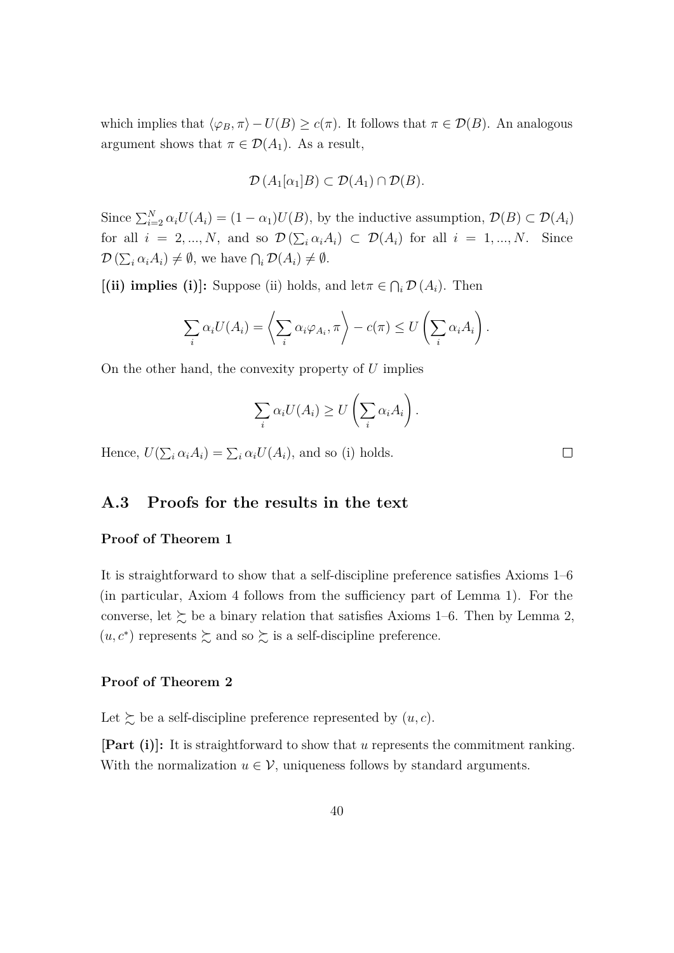which implies that  $\langle \varphi_B, \pi \rangle - U(B) \ge c(\pi)$ . It follows that  $\pi \in \mathcal{D}(B)$ . An analogous argument shows that  $\pi \in \mathcal{D}(A_1)$ . As a result,

$$
\mathcal{D}(A_1[\alpha_1]B) \subset \mathcal{D}(A_1) \cap \mathcal{D}(B).
$$

Since  $\sum_{i=2}^{N} \alpha_i U(A_i) = (1 - \alpha_1)U(B)$ , by the inductive assumption,  $\mathcal{D}(B) \subset \mathcal{D}(A_i)$ for all  $i = 2, ..., N$ , and so  $\mathcal{D}(\sum_i \alpha_i A_i) \subset \mathcal{D}(A_i)$  for all  $i = 1, ..., N$ . Since  $\mathcal{D}\left(\sum_i \alpha_i A_i\right) \neq \emptyset$ , we have  $\bigcap_i \mathcal{D}(A_i) \neq \emptyset$ .

 $[(ii)$  implies (i): Suppose (ii) holds, and let $\pi \in \bigcap_i \mathcal{D}(A_i)$ . Then

$$
\sum_i \alpha_i U(A_i) = \left\langle \sum_i \alpha_i \varphi_{A_i}, \pi \right\rangle - c(\pi) \leq U \left( \sum_i \alpha_i A_i \right).
$$

On the other hand, the convexity property of *U* implies

$$
\sum_i \alpha_i U(A_i) \geq U\left(\sum_i \alpha_i A_i\right).
$$

 $\Box$ 

Hence,  $U(\sum_i \alpha_i A_i) = \sum_i \alpha_i U(A_i)$ , and so (i) holds.

## **A.3 Proofs for the results in the text**

#### **Proof of Theorem [1](#page-13-0)**

It is straightforward to show that a self-discipline preference satisfies Axioms [1–](#page-9-1)[6](#page-12-0) (in particular, Axiom [4](#page-11-0) follows from the sufficiency part of Lemma [1\)](#page-27-0). For the converse, let  $\succsim$  be a binary relation that satisfies Axioms [1–](#page-9-1)[6.](#page-12-0) Then by Lemma [2,](#page-30-0)  $(u, c^*)$  represents  $\succsim$  and so  $\succsim$  is a self-discipline preference.

#### **Proof of Theorem [2](#page-16-0)**

Let  $\succsim$  be a self-discipline preference represented by  $(u, c)$ .

**[Part (i)]:** It is straightforward to show that *u* represents the commitment ranking. With the normalization  $u \in V$ , uniqueness follows by standard arguments.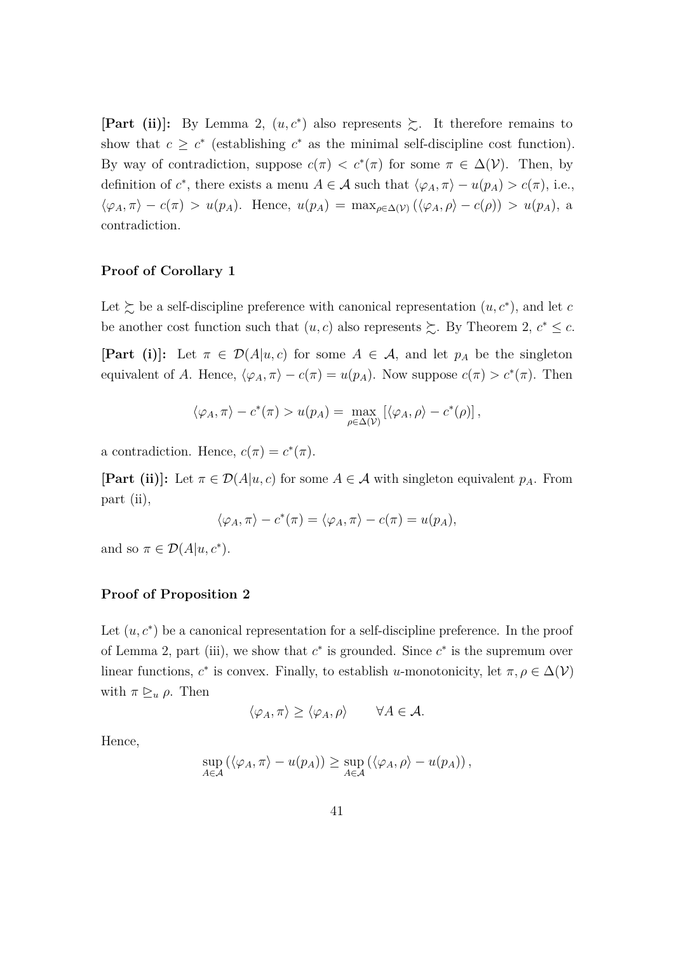**[Part (ii)**]: By Lemma [2,](#page-30-0)  $(u, c^*)$  also represents  $\geq$ . It therefore remains to show that  $c \geq c^*$  (establishing  $c^*$  as the minimal self-discipline cost function). By way of contradiction, suppose  $c(\pi) < c^*(\pi)$  for some  $\pi \in \Delta(\mathcal{V})$ . Then, by definition of  $c^*$ , there exists a menu  $A \in \mathcal{A}$  such that  $\langle \varphi_A, \pi \rangle - u(p_A) > c(\pi)$ , i.e.,  $\langle \varphi_A, \pi \rangle - c(\pi) > u(p_A)$ . Hence,  $u(p_A) = \max_{\rho \in \Delta(\mathcal{V})} (\langle \varphi_A, \rho \rangle - c(\rho)) > u(p_A)$ , a contradiction.

### **Proof of Corollary [1](#page-17-1)**

Let  $\succeq$  be a self-discipline preference with canonical representation  $(u, c^*)$ , and let *c* be another cost function such that  $(u, c)$  also represents  $\succeq$ . By Theorem [2,](#page-16-0)  $c^* \leq c$ .

**[Part (i)]:** Let  $\pi \in \mathcal{D}(A|u, c)$  for some  $A \in \mathcal{A}$ , and let  $p_A$  be the singleton equivalent of *A*. Hence,  $\langle \varphi_A, \pi \rangle - c(\pi) = u(p_A)$ . Now suppose  $c(\pi) > c^*(\pi)$ . Then

$$
\langle \varphi_A, \pi \rangle - c^*(\pi) > u(p_A) = \max_{\rho \in \Delta(\mathcal{V})} \left[ \langle \varphi_A, \rho \rangle - c^*(\rho) \right],
$$

a contradiction. Hence,  $c(\pi) = c^*(\pi)$ .

**[Part (ii)]:** Let  $\pi \in \mathcal{D}(A|u, c)$  for some  $A \in \mathcal{A}$  with singleton equivalent  $p_A$ . From part (ii),

$$
\langle \varphi_A, \pi \rangle - c^*(\pi) = \langle \varphi_A, \pi \rangle - c(\pi) = u(p_A),
$$

and so  $\pi \in \mathcal{D}(A|u, c^*)$ .

### **Proof of Proposition [2](#page-17-0)**

Let  $(u, c^*)$  be a canonical representation for a self-discipline preference. In the proof of Lemma [2,](#page-30-0) part (iii), we show that  $c^*$  is grounded. Since  $c^*$  is the supremum over linear functions,  $c^*$  is convex. Finally, to establish *u*-monotonicity, let  $\pi, \rho \in \Delta(\mathcal{V})$ with  $\pi \geq u \rho$ . Then

$$
\langle \varphi_A, \pi \rangle \ge \langle \varphi_A, \rho \rangle \qquad \forall A \in \mathcal{A}.
$$

Hence,

$$
\sup_{A\in\mathcal{A}} (\langle \varphi_A, \pi \rangle - u(p_A)) \geq \sup_{A\in\mathcal{A}} (\langle \varphi_A, \rho \rangle - u(p_A)),
$$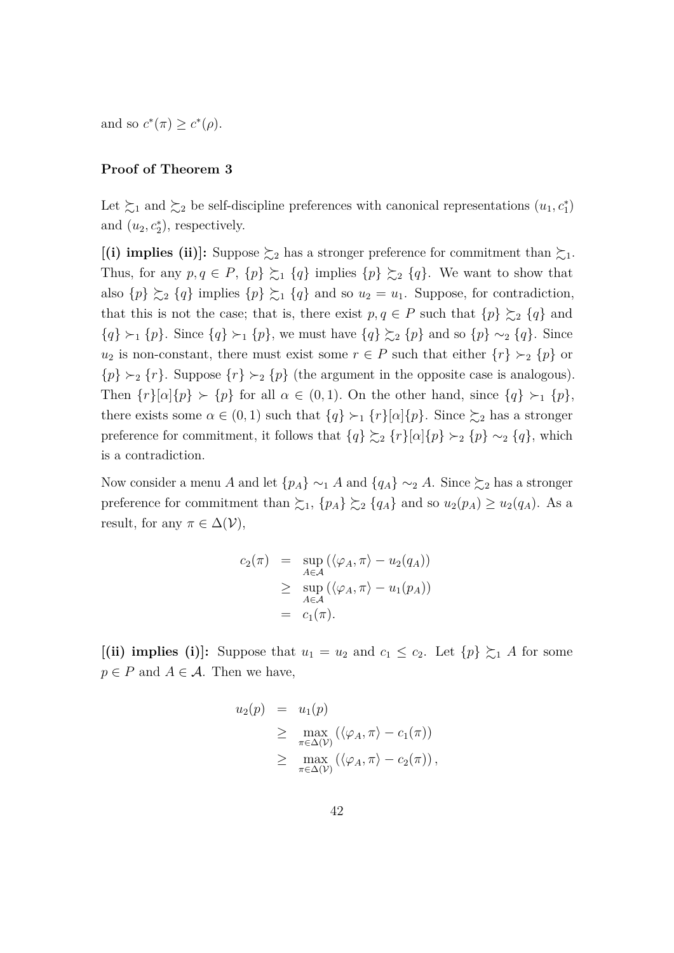and so  $c^*(\pi) \geq c^*(\rho)$ .

#### **Proof of Theorem [3](#page-19-0)**

Let  $\succsim_1$  and  $\succsim_2$  be self-discipline preferences with canonical representations  $(u_1, c_1^*)$ and  $(u_2, c_2^*)$ , respectively.

**[(i) implies (ii)]:** Suppose  $\succsim_2$  has a stronger preference for commitment than  $\succsim_1$ . Thus, for any  $p, q \in P$ ,  $\{p\} \succsim_1 \{q\}$  implies  $\{p\} \succsim_2 \{q\}$ . We want to show that also  $\{p\} \succeq_2 \{q\}$  implies  $\{p\} \succeq_1 \{q\}$  and so  $u_2 = u_1$ . Suppose, for contradiction, that this is not the case; that is, there exist  $p, q \in P$  such that  $\{p\} \succeq_2 \{q\}$  and  ${q} \succ_1 {p}$ . Since  ${q} \succ_1 {p}$ , we must have  ${q} \succ_2 {p}$  and so  ${p} \sim_2 {q}$ . Since *u*<sub>2</sub> is non-constant, there must exist some  $r \in P$  such that either  $\{r\} \succ_2 \{p\}$  or  $\{p\} \succ_2 \{r\}$ . Suppose  $\{r\} \succ_2 \{p\}$  (the argument in the opposite case is analogous). Then  $\{r\}[\alpha]\{p\} \succ \{p\}$  for all  $\alpha \in (0,1)$ *.* On the other hand, since  $\{q\} \succ_1 \{p\}$ , there exists some  $\alpha \in (0,1)$  such that  $\{q\} \succ_1 \{r\}[\alpha]\{p\}$ . Since  $\succsim_2$  has a stronger preference for commitment, it follows that  $\{q\} \succsim_2 \{r\}[\alpha]\{p\} \succ_2 \{p\} \sim_2 \{q\}$ , which is a contradiction.

Now consider a menu *A* and let  $\{p_A\} \sim_1 A$  and  $\{q_A\} \sim_2 A$ . Since  $\succsim_2$  has a stronger preference for commitment than  $\sum_1$ ,  $\{p_A\} \sum_2 \{q_A\}$  and so  $u_2(p_A) \ge u_2(q_A)$ . As a result, for any  $\pi \in \Delta(\mathcal{V}),$ 

$$
c_2(\pi) = \sup_{A \in \mathcal{A}} (\langle \varphi_A, \pi \rangle - u_2(q_A))
$$
  
\n
$$
\geq \sup_{A \in \mathcal{A}} (\langle \varphi_A, \pi \rangle - u_1(p_A))
$$
  
\n
$$
= c_1(\pi).
$$

 $[(ii)$  implies (i): Suppose that  $u_1 = u_2$  and  $c_1 \leq c_2$ . Let  $\{p\} \succeq_1 A$  for some  $p \in P$  and  $A \in \mathcal{A}$ . Then we have,

$$
u_2(p) = u_1(p)
$$
  
\n
$$
\geq \max_{\pi \in \Delta(\mathcal{V})} (\langle \varphi_A, \pi \rangle - c_1(\pi))
$$
  
\n
$$
\geq \max_{\pi \in \Delta(\mathcal{V})} (\langle \varphi_A, \pi \rangle - c_2(\pi)),
$$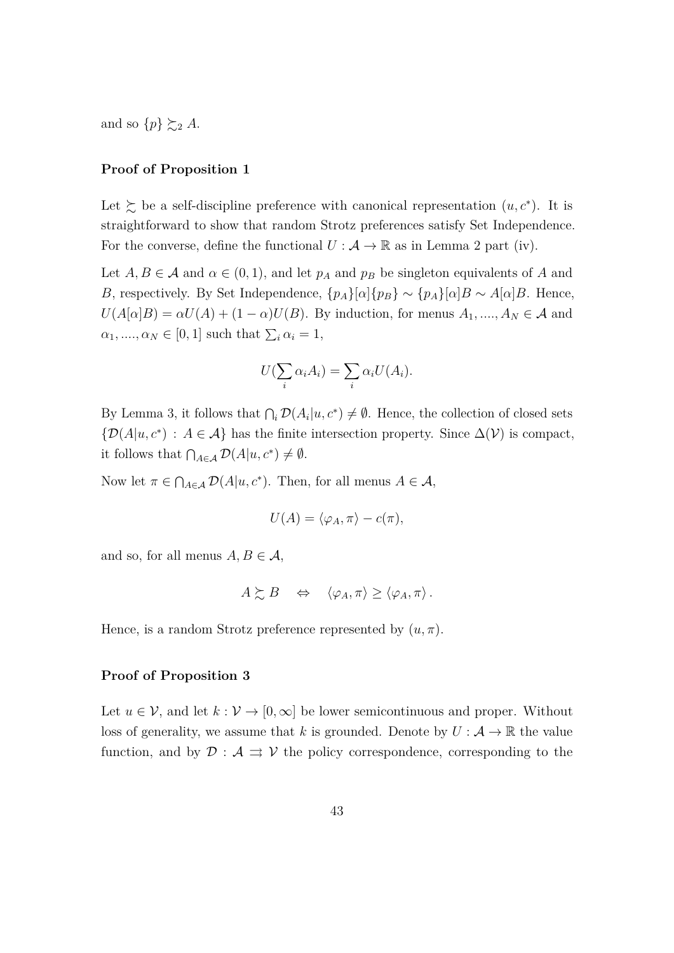and so  $\{p\} \succsim_2 A$ .

#### **Proof of Proposition [1](#page-15-0)**

Let  $\succeq$  be a self-discipline preference with canonical representation  $(u, c^*)$ . It is straightforward to show that random Strotz preferences satisfy Set Independence. For the converse, define the functional  $U : A \to \mathbb{R}$  as in Lemma [2](#page-30-0) part (iv).

Let  $A, B \in \mathcal{A}$  and  $\alpha \in (0, 1)$ , and let  $p_A$  and  $p_B$  be singleton equivalents of A and *B*, respectively. By Set Independence,  $\{p_A\}[\alpha]\{p_B\} \sim \{p_A\}[\alpha]B \sim A[\alpha]B$ . Hence,  $U(A[\alpha]B) = \alpha U(A) + (1 - \alpha)U(B)$ . By induction, for menus  $A_1, \ldots, A_N \in \mathcal{A}$  and  $\alpha_1, \ldots, \alpha_N \in [0, 1]$  such that  $\sum_i \alpha_i = 1$ ,

$$
U(\sum_i \alpha_i A_i) = \sum_i \alpha_i U(A_i).
$$

By Lemma [3,](#page-37-0) it follows that  $\bigcap_i \mathcal{D}(A_i|u, c^*) \neq \emptyset$ . Hence, the collection of closed sets  ${\mathcal{D}}(A|u, c^*)$ :  $A \in \mathcal{A}$  has the finite intersection property. Since  $\Delta(\mathcal{V})$  is compact, it follows that  $\bigcap_{A \in \mathcal{A}} \mathcal{D}(A|u, c^*) \neq \emptyset$ .

Now let  $\pi \in \bigcap_{A \in \mathcal{A}} \mathcal{D}(A|u, c^*)$ . Then, for all menus  $A \in \mathcal{A}$ ,

$$
U(A) = \langle \varphi_A, \pi \rangle - c(\pi),
$$

and so, for all menus  $A, B \in \mathcal{A}$ ,

$$
A \succsim B \quad \Leftrightarrow \quad \langle \varphi_A, \pi \rangle \ge \langle \varphi_A, \pi \rangle \, .
$$

Hence, is a random Strotz preference represented by  $(u, \pi)$ .

#### **Proof of Proposition [3](#page-21-0)**

Let  $u \in V$ , and let  $k : V \to [0, \infty]$  be lower semicontinuous and proper. Without loss of generality, we assume that *k* is grounded. Denote by  $U : \mathcal{A} \to \mathbb{R}$  the value function, and by  $\mathcal{D}: \mathcal{A} \implies \mathcal{V}$  the policy correspondence, corresponding to the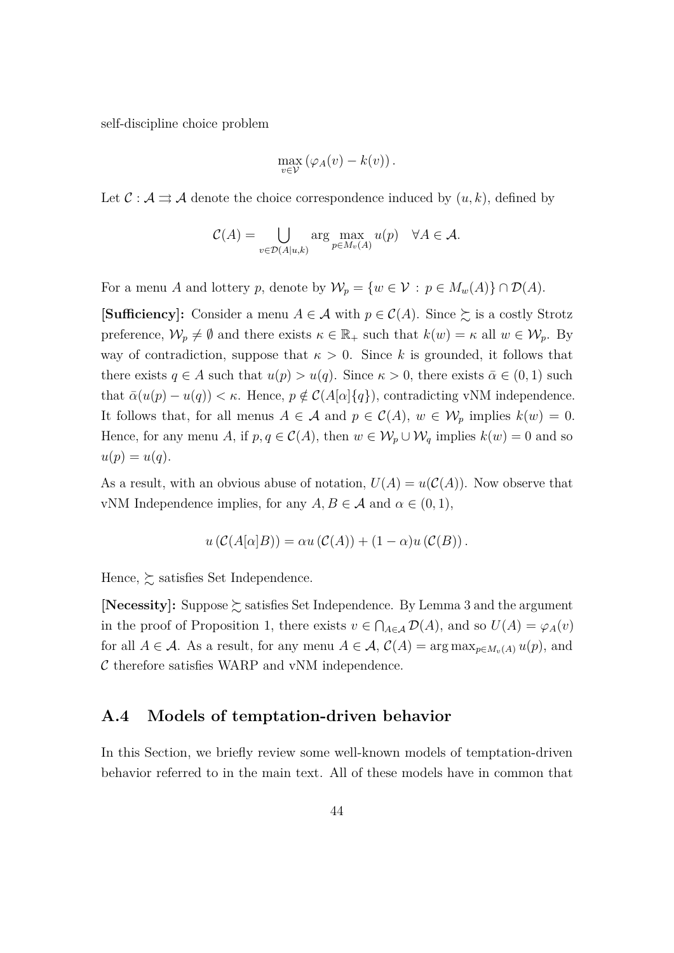self-discipline choice problem

$$
\max_{v \in \mathcal{V}} (\varphi_A(v) - k(v)).
$$

Let  $\mathcal{C} : \mathcal{A} \rightrightarrows \mathcal{A}$  denote the choice correspondence induced by  $(u, k)$ , defined by

$$
C(A) = \bigcup_{v \in \mathcal{D}(A|u,k)} \arg \max_{p \in M_v(A)} u(p) \quad \forall A \in \mathcal{A}.
$$

For a menu *A* and lottery *p*, denote by  $\mathcal{W}_p = \{w \in \mathcal{V} : p \in M_w(A)\} \cap \mathcal{D}(A)$ .

**[Sufficiency]:** Consider a menu  $A \in \mathcal{A}$  with  $p \in \mathcal{C}(A)$ . Since  $\succeq$  is a costly Strotz preference,  $\mathcal{W}_p \neq \emptyset$  and there exists  $\kappa \in \mathbb{R}_+$  such that  $k(w) = \kappa$  all  $w \in \mathcal{W}_p$ . By way of contradiction, suppose that  $\kappa > 0$ . Since *k* is grounded, it follows that there exists  $q \in A$  such that  $u(p) > u(q)$ . Since  $\kappa > 0$ , there exists  $\bar{\alpha} \in (0, 1)$  such that  $\bar{\alpha}(u(p) - u(q)) < \kappa$ . Hence,  $p \notin C(A[\alpha]\{q\})$ , contradicting vNM independence. It follows that, for all menus  $A \in \mathcal{A}$  and  $p \in \mathcal{C}(A)$ ,  $w \in \mathcal{W}_p$  implies  $k(w) = 0$ . Hence, for any menu *A*, if  $p, q \in C(A)$ , then  $w \in W_p \cup W_q$  implies  $k(w) = 0$  and so  $u(p) = u(q).$ 

As a result, with an obvious abuse of notation,  $U(A) = u(C(A))$ . Now observe that vNM Independence implies, for any  $A, B \in \mathcal{A}$  and  $\alpha \in (0, 1)$ ,

$$
u(C(A[\alpha]B)) = \alpha u(C(A)) + (1-\alpha)u(C(B)).
$$

Hence,  $\succsim$  satisfies Set Independence.

**[Necessity]:** Suppose  $\succsim$  satisfies Set Independence. By Lemma [3](#page-37-0) and the argument in the proof of Proposition [1,](#page-15-0) there exists  $v \in \bigcap_{A \in \mathcal{A}} \mathcal{D}(A)$ , and so  $U(A) = \varphi_A(v)$ for all  $A \in \mathcal{A}$ . As a result, for any menu  $A \in \mathcal{A}$ ,  $\mathcal{C}(A) = \arg \max_{p \in M_v(A)} u(p)$ , and  $\mathcal C$  therefore satisfies WARP and vNM independence.

#### **A.4 Models of temptation-driven behavior**

In this Section, we briefly review some well-known models of temptation-driven behavior referred to in the main text. All of these models have in common that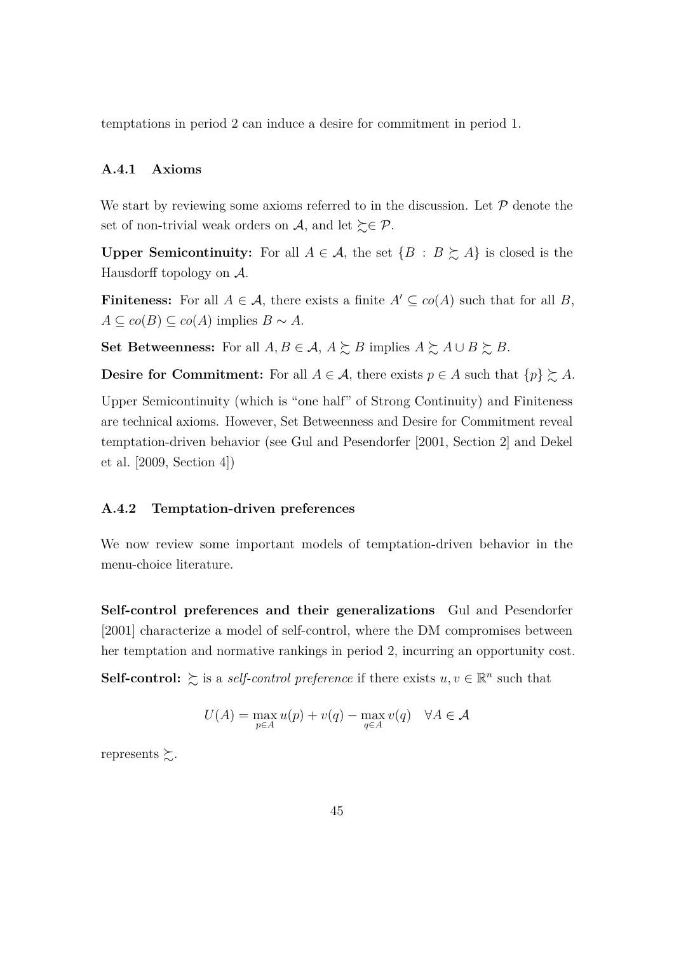temptations in period 2 can induce a desire for commitment in period 1.

#### **A.4.1 Axioms**

We start by reviewing some axioms referred to in the discussion. Let  $P$  denote the set of non-trivial weak orders on A, and let  $\succsim \mathcal{P}$ .

**Upper Semicontinuity:** For all  $A \in \mathcal{A}$ , the set  $\{B : B \succeq A\}$  is closed is the Hausdorff topology on A.

**Finiteness:** For all  $A \in \mathcal{A}$ , there exists a finite  $A' \subseteq co(A)$  such that for all *B*, *A* ⊆ *co*(*B*) ⊆ *co*(*A*) implies *B* ∼ *A*.

**Set Betweenness:** For all *A, B* ∈ *A, A*  $\succeq$  *B* implies *A*  $\succeq$  *A* ∪ *B*  $\succeq$  *B*.

**Desire for Commitment:** For all  $A \in \mathcal{A}$ , there exists  $p \in A$  such that  $\{p\} \succeq A$ .

Upper Semicontinuity (which is "one half" of Strong Continuity) and Finiteness are technical axioms. However, Set Betweenness and Desire for Commitment reveal temptation-driven behavior (see [Gul and Pesendorfer](#page-24-0) [\[2001,](#page-24-0) Section 2] and [Dekel](#page-23-3) [et al.](#page-23-3) [\[2009,](#page-23-3) Section 4])

#### **A.4.2 Temptation-driven preferences**

We now review some important models of temptation-driven behavior in the menu-choice literature.

**Self-control preferences and their generalizations** [Gul and Pesendorfer](#page-24-0) [\[2001\]](#page-24-0) characterize a model of self-control, where the DM compromises between her temptation and normative rankings in period 2, incurring an opportunity cost.

**Self-control:**  $\geq$  is a *self-control preference* if there exists  $u, v \in \mathbb{R}^n$  such that

$$
U(A) = \max_{p \in A} u(p) + v(q) - \max_{q \in A} v(q) \quad \forall A \in \mathcal{A}
$$

represents  $\succsim$ .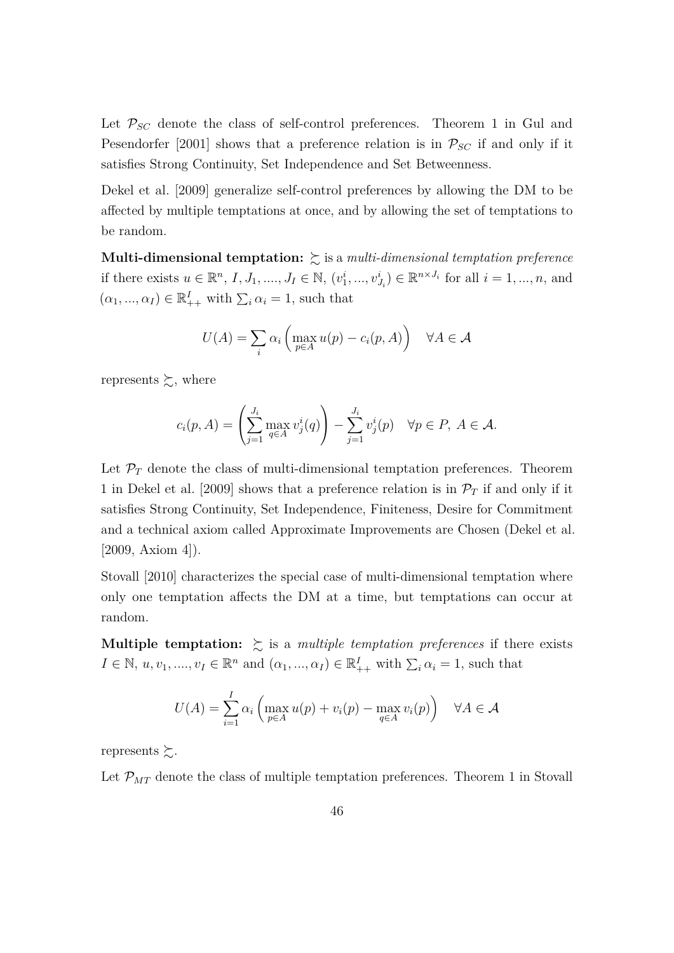Let  $P_{SC}$  denote the class of self-control preferences. Theorem 1 in [Gul and](#page-24-0) [Pesendorfer](#page-24-0) [\[2001\]](#page-24-0) shows that a preference relation is in  $P_{SC}$  if and only if it satisfies Strong Continuity, Set Independence and Set Betweenness.

[Dekel et al.](#page-23-3) [\[2009\]](#page-23-3) generalize self-control preferences by allowing the DM to be affected by multiple temptations at once, and by allowing the set of temptations to be random.

**Multi-dimensional temptation:**  $\sum$  is a *multi-dimensional temptation preference* if there exists  $u \in \mathbb{R}^n$ ,  $I, J_1, ..., J_I \in \mathbb{N}$ ,  $(v_1^i, ..., v_{J_i}^i) \in \mathbb{R}^{n \times J_i}$  for all  $i = 1, ..., n$ , and  $(\alpha_1, ..., \alpha_I) \in \mathbb{R}^I_{++}$  with  $\sum_i \alpha_i = 1$ , such that

$$
U(A) = \sum_{i} \alpha_i \left( \max_{p \in A} u(p) - c_i(p, A) \right) \quad \forall A \in \mathcal{A}
$$

represents  $\succsim$ , where

$$
c_i(p, A) = \left(\sum_{j=1}^{J_i} \max_{q \in A} v_j^i(q)\right) - \sum_{j=1}^{J_i} v_j^i(p) \quad \forall p \in P, \ A \in \mathcal{A}.
$$

Let  $\mathcal{P}_T$  denote the class of multi-dimensional temptation preferences. Theorem 1 in [Dekel et al.](#page-23-3) [\[2009\]](#page-23-3) shows that a preference relation is in  $\mathcal{P}_T$  if and only if it satisfies Strong Continuity, Set Independence, Finiteness, Desire for Commitment and a technical axiom called Approximate Improvements are Chosen [\(Dekel et al.](#page-23-3) [\[2009,](#page-23-3) Axiom 4]).

[Stovall](#page-25-0) [\[2010\]](#page-25-0) characterizes the special case of multi-dimensional temptation where only one temptation affects the DM at a time, but temptations can occur at random.

**Multiple temptation:**  $\geq$  is a *multiple temptation preferences* if there exists  $I \in \mathbb{N}, u, v_1, \ldots, v_I \in \mathbb{R}^n$  and  $(\alpha_1, \ldots, \alpha_I) \in \mathbb{R}^I_{++}$  with  $\sum_i \alpha_i = 1$ , such that

$$
U(A) = \sum_{i=1}^{I} \alpha_i \left( \max_{p \in A} u(p) + v_i(p) - \max_{q \in A} v_i(p) \right) \quad \forall A \in \mathcal{A}
$$

represents  $\succsim$ .

Let  $\mathcal{P}_{MT}$  denote the class of multiple temptation preferences. Theorem 1 in [Stovall](#page-25-0)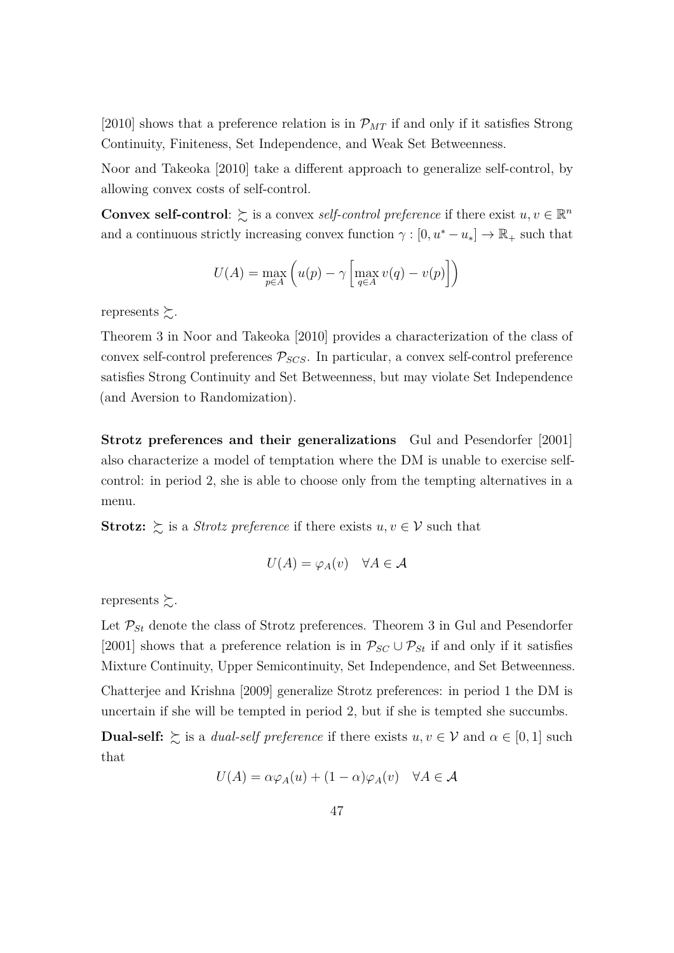[\[2010\]](#page-25-0) shows that a preference relation is in  $\mathcal{P}_{MT}$  if and only if it satisfies Strong Continuity, Finiteness, Set Independence, and Weak Set Betweenness.

[Noor and Takeoka](#page-24-2) [\[2010\]](#page-24-2) take a different approach to generalize self-control, by allowing convex costs of self-control.

**Convex self-control**:  $\geq$  is a convex *self-control preference* if there exist  $u, v \in \mathbb{R}^n$ and a continuous strictly increasing convex function  $\gamma : [0, u^* - u_*] \to \mathbb{R}_+$  such that

$$
U(A) = \max_{p \in A} \left( u(p) - \gamma \left[ \max_{q \in A} v(q) - v(p) \right] \right)
$$

represents  $\succsim$ .

Theorem 3 in [Noor and Takeoka](#page-24-2) [\[2010\]](#page-24-2) provides a characterization of the class of convex self-control preferences  $P_{SCS}$ . In particular, a convex self-control preference satisfies Strong Continuity and Set Betweenness, but may violate Set Independence (and Aversion to Randomization).

**Strotz preferences and their generalizations** [Gul and Pesendorfer](#page-24-0) [\[2001\]](#page-24-0) also characterize a model of temptation where the DM is unable to exercise selfcontrol: in period 2, she is able to choose only from the tempting alternatives in a menu.

**Strotz:**  $\geq$  is a *Strotz preference* if there exists  $u, v \in V$  such that

$$
U(A) = \varphi_A(v) \quad \forall A \in \mathcal{A}
$$

represents  $\succsim$ .

Let  $\mathcal{P}_{St}$  denote the class of Strotz preferences. Theorem 3 in [Gul and Pesendorfer](#page-24-0) [\[2001\]](#page-24-0) shows that a preference relation is in  $\mathcal{P}_{SC} \cup \mathcal{P}_{St}$  if and only if it satisfies Mixture Continuity, Upper Semicontinuity, Set Independence, and Set Betweenness.

[Chatterjee and Krishna](#page-23-1) [\[2009\]](#page-23-1) generalize Strotz preferences: in period 1 the DM is uncertain if she will be tempted in period 2, but if she is tempted she succumbs.

**Dual-self:**  $\geq$  is a *dual-self preference* if there exists  $u, v \in V$  and  $\alpha \in [0, 1]$  such that

$$
U(A) = \alpha \varphi_A(u) + (1 - \alpha)\varphi_A(v) \quad \forall A \in \mathcal{A}
$$